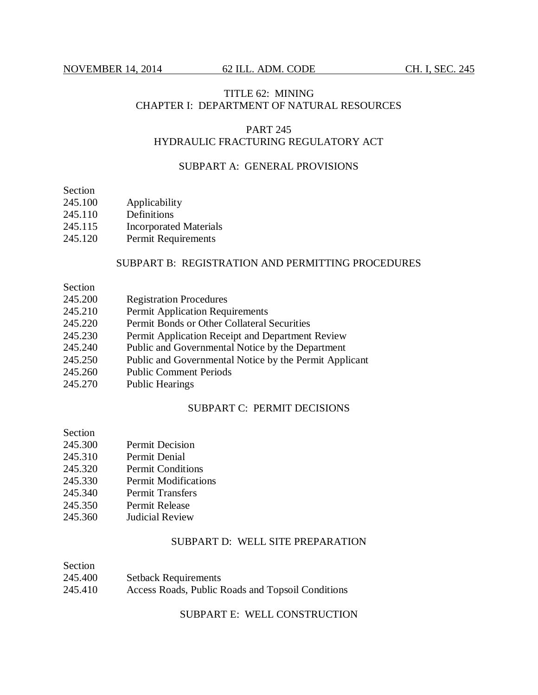# TITLE 62: MINING CHAPTER I: DEPARTMENT OF NATURAL RESOURCES

#### PART 245 HYDRAULIC FRACTURING REGULATORY ACT

## SUBPART A: GENERAL PROVISIONS

Section

- 245.100 Applicability
- 245.110 Definitions
- 245.115 Incorporated Materials
- 245.120 Permit Requirements

## SUBPART B: REGISTRATION AND PERMITTING PROCEDURES

Section

- 245.200 Registration Procedures
- 245.210 Permit Application Requirements
- 245.220 Permit Bonds or Other Collateral Securities
- 245.230 Permit Application Receipt and Department Review
- 245.240 Public and Governmental Notice by the Department
- 245.250 Public and Governmental Notice by the Permit Applicant
- 245.260 Public Comment Periods
- 245.270 Public Hearings

## SUBPART C: PERMIT DECISIONS

Section

- 245.300 Permit Decision
- 245.310 Permit Denial
- 245.320 Permit Conditions
- 245.330 Permit Modifications
- 245.340 Permit Transfers
- 245.350 Permit Release
- 245.360 Judicial Review

## SUBPART D: WELL SITE PREPARATION

Section 245.400 Setback Requirements 245.410 Access Roads, Public Roads and Topsoil Conditions

SUBPART E: WELL CONSTRUCTION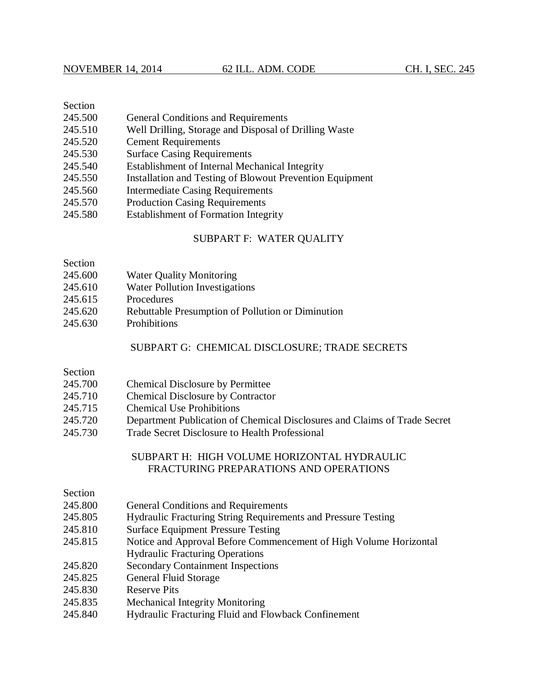## Section

- 245.500 General Conditions and Requirements
- 245.510 Well Drilling, Storage and Disposal of Drilling Waste
- 245.520 Cement Requirements
- 245.530 Surface Casing Requirements
- 245.540 Establishment of Internal Mechanical Integrity
- 245.550 Installation and Testing of Blowout Prevention Equipment
- 245.560 Intermediate Casing Requirements
- 245.570 Production Casing Requirements
- 245.580 Establishment of Formation Integrity

## SUBPART F: WATER QUALITY

## Section

- 245.600 Water Quality Monitoring
- 245.610 Water Pollution Investigations
- 245.615 Procedures
- 245.620 Rebuttable Presumption of Pollution or Diminution
- 245.630 Prohibitions

#### SUBPART G: CHEMICAL DISCLOSURE; TRADE SECRETS

#### Section

- 245.700 Chemical Disclosure by Permittee
- 245.710 Chemical Disclosure by Contractor
- 245.715 Chemical Use Prohibitions
- 245.720 Department Publication of Chemical Disclosures and Claims of Trade Secret
- 245.730 Trade Secret Disclosure to Health Professional

## SUBPART H: HIGH VOLUME HORIZONTAL HYDRAULIC FRACTURING PREPARATIONS AND OPERATIONS

## Section

- 245.800 General Conditions and Requirements
- 245.805 Hydraulic Fracturing String Requirements and Pressure Testing
- 245.810 Surface Equipment Pressure Testing
- 245.815 Notice and Approval Before Commencement of High Volume Horizontal Hydraulic Fracturing Operations
- 245.820 Secondary Containment Inspections
- 245.825 General Fluid Storage
- 245.830 Reserve Pits
- 245.835 Mechanical Integrity Monitoring
- 245.840 Hydraulic Fracturing Fluid and Flowback Confinement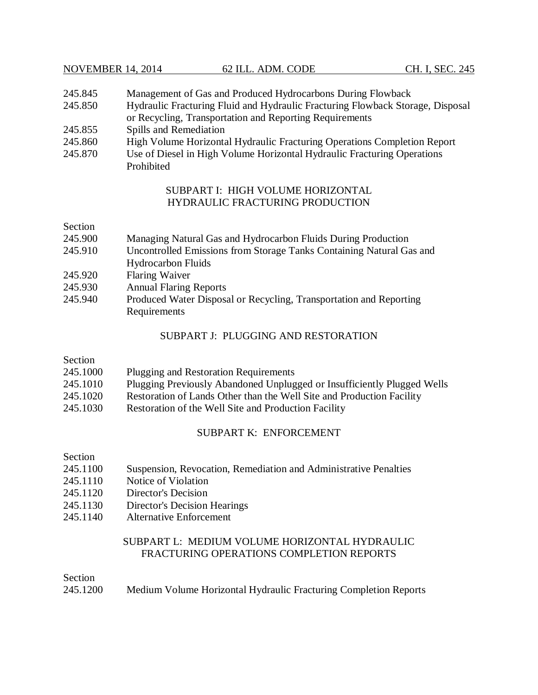| 245.845 | Management of Gas and Produced Hydrocarbons During Flowback                    |
|---------|--------------------------------------------------------------------------------|
| 245.850 | Hydraulic Fracturing Fluid and Hydraulic Fracturing Flowback Storage, Disposal |
|         | or Recycling, Transportation and Reporting Requirements                        |
| 245.855 | Spills and Remediation                                                         |
| 245.860 | High Volume Horizontal Hydraulic Frecturing Operations Completion Peport       |

- 245.860 High Volume Horizontal Hydraulic Fracturing Operations Completion Report
- 245.870 Use of Diesel in High Volume Horizontal Hydraulic Fracturing Operations Prohibited

# SUBPART I: HIGH VOLUME HORIZONTAL HYDRAULIC FRACTURING PRODUCTION

## Section

- 245.900 Managing Natural Gas and Hydrocarbon Fluids During Production
- 245.910 Uncontrolled Emissions from Storage Tanks Containing Natural Gas and Hydrocarbon Fluids
- 245.920 Flaring Waiver
- 245.930 Annual Flaring Reports
- 245.940 Produced Water Disposal or Recycling, Transportation and Reporting Requirements

# SUBPART J: PLUGGING AND RESTORATION

## Section

| 245.1000                 | Plugging and Restoration Requirements                                   |
|--------------------------|-------------------------------------------------------------------------|
| 245.1010                 | Plugging Previously Abandoned Unplugged or Insufficiently Plugged Wells |
| $\bigcap_{n=1}^{\infty}$ | רדי רב המוזידות ומונית מידי יותר                                        |

- 245.1020 Restoration of Lands Other than the Well Site and Production Facility
- 245.1030 Restoration of the Well Site and Production Facility

# SUBPART K: ENFORCEMENT

## Section

- 245.1100 Suspension, Revocation, Remediation and Administrative Penalties
- 245.1110 Notice of Violation
- 245.1120 Director's Decision
- 245.1130 Director's Decision Hearings
- 245.1140 Alternative Enforcement

# SUBPART L: MEDIUM VOLUME HORIZONTAL HYDRAULIC FRACTURING OPERATIONS COMPLETION REPORTS

## Section

245.1200 Medium Volume Horizontal Hydraulic Fracturing Completion Reports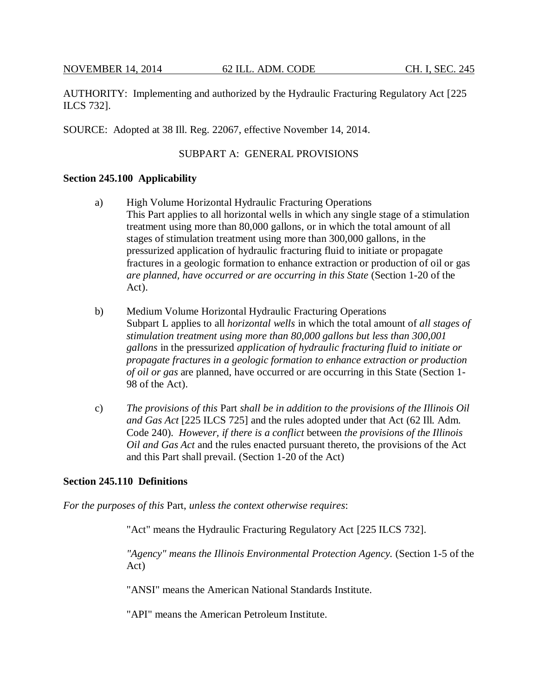AUTHORITY: Implementing and authorized by the Hydraulic Fracturing Regulatory Act [225 ILCS 732].

SOURCE: Adopted at 38 Ill. Reg. 22067, effective November 14, 2014.

## SUBPART A: GENERAL PROVISIONS

#### **Section 245.100 Applicability**

- a) High Volume Horizontal Hydraulic Fracturing Operations This Part applies to all horizontal wells in which any single stage of a stimulation treatment using more than 80,000 gallons, or in which the total amount of all stages of stimulation treatment using more than 300,000 gallons, in the pressurized application of hydraulic fracturing fluid to initiate or propagate fractures in a geologic formation to enhance extraction or production of oil or gas *are planned, have occurred or are occurring in this State* (Section 1-20 of the Act).
- b) Medium Volume Horizontal Hydraulic Fracturing Operations Subpart L applies to all *horizontal wells* in which the total amount of *all stages of stimulation treatment using more than 80,000 gallons but less than 300,001 gallons* in the pressurized *application of hydraulic fracturing fluid to initiate or propagate fractures in a geologic formation to enhance extraction or production of oil or gas* are planned, have occurred or are occurring in this State (Section 1- 98 of the Act).
- c) *The provisions of this* Part *shall be in addition to the provisions of the Illinois Oil and Gas Act* [225 ILCS 725] and the rules adopted under that Act (62 Ill. Adm. Code 240). *However, if there is a conflict* between *the provisions of the Illinois Oil and Gas Act* and the rules enacted pursuant thereto, the provisions of the Act and this Part shall prevail. (Section 1-20 of the Act)

#### **Section 245.110 Definitions**

*For the purposes of this* Part, *unless the context otherwise requires*:

"Act" means the Hydraulic Fracturing Regulatory Act [225 ILCS 732].

*"Agency" means the Illinois Environmental Protection Agency.* (Section 1-5 of the Act)

"ANSI" means the American National Standards Institute.

"API" means the American Petroleum Institute.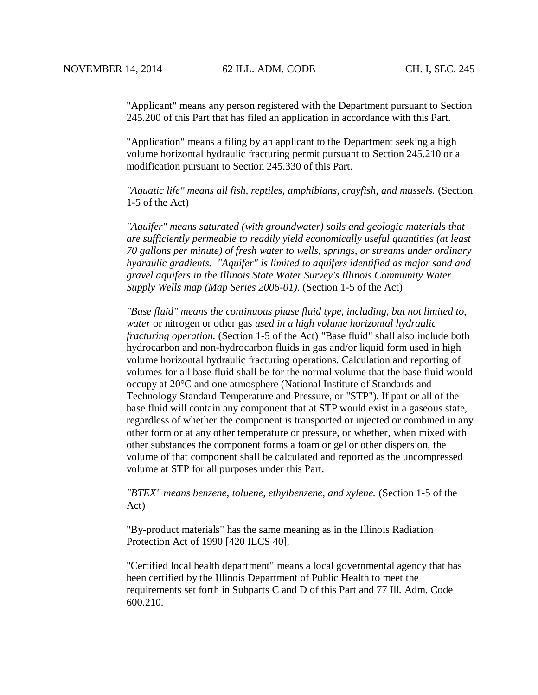"Applicant" means any person registered with the Department pursuant to Section 245.200 of this Part that has filed an application in accordance with this Part.

"Application" means a filing by an applicant to the Department seeking a high volume horizontal hydraulic fracturing permit pursuant to Section 245.210 or a modification pursuant to Section 245.330 of this Part.

*"Aquatic life" means all fish, reptiles, amphibians, crayfish, and mussels.* (Section 1-5 of the Act)

*"Aquifer" means saturated (with groundwater) soils and geologic materials that are sufficiently permeable to readily yield economically useful quantities (at least 70 gallons per minute) of fresh water to wells, springs, or streams under ordinary hydraulic gradients. "Aquifer" is limited to aquifers identified as major sand and gravel aquifers in the Illinois State Water Survey's Illinois Community Water Supply Wells map (Map Series 2006-01).* (Section 1-5 of the Act)

*"Base fluid" means the continuous phase fluid type, including, but not limited to, water* or nitrogen or other gas *used in a high volume horizontal hydraulic fracturing operation.* (Section 1-5 of the Act) "Base fluid" shall also include both hydrocarbon and non-hydrocarbon fluids in gas and/or liquid form used in high volume horizontal hydraulic fracturing operations. Calculation and reporting of volumes for all base fluid shall be for the normal volume that the base fluid would occupy at 20°C and one atmosphere (National Institute of Standards and Technology Standard Temperature and Pressure, or "STP"). If part or all of the base fluid will contain any component that at STP would exist in a gaseous state, regardless of whether the component is transported or injected or combined in any other form or at any other temperature or pressure, or whether, when mixed with other substances the component forms a foam or gel or other dispersion, the volume of that component shall be calculated and reported as the uncompressed volume at STP for all purposes under this Part.

*"BTEX" means benzene, toluene, ethylbenzene, and xylene.* (Section 1-5 of the Act)

"By-product materials" has the same meaning as in the Illinois Radiation Protection Act of 1990 [420 ILCS 40].

"Certified local health department" means a local governmental agency that has been certified by the Illinois Department of Public Health to meet the requirements set forth in Subparts C and D of this Part and 77 Ill. Adm. Code 600.210.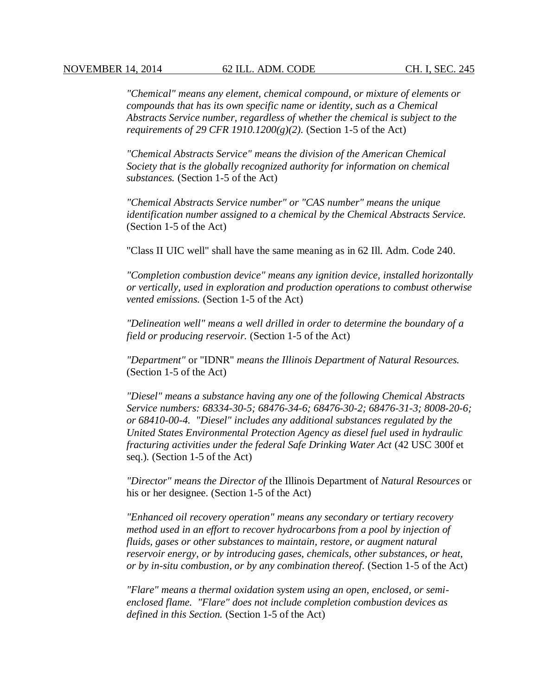*"Chemical" means any element, chemical compound, or mixture of elements or compounds that has its own specific name or identity, such as a Chemical Abstracts Service number, regardless of whether the chemical is subject to the requirements of 29 CFR 1910.1200(g)(2).* (Section 1-5 of the Act)

*"Chemical Abstracts Service" means the division of the American Chemical Society that is the globally recognized authority for information on chemical substances.* (Section 1-5 of the Act)

*"Chemical Abstracts Service number" or "CAS number" means the unique identification number assigned to a chemical by the Chemical Abstracts Service.* (Section 1-5 of the Act)

"Class II UIC well" shall have the same meaning as in 62 Ill. Adm. Code 240.

*"Completion combustion device" means any ignition device, installed horizontally or vertically, used in exploration and production operations to combust otherwise vented emissions.* (Section 1-5 of the Act)

*"Delineation well" means a well drilled in order to determine the boundary of a field or producing reservoir.* (Section 1-5 of the Act)

*"Department"* or "IDNR" *means the Illinois Department of Natural Resources.* (Section 1-5 of the Act)

*"Diesel" means a substance having any one of the following Chemical Abstracts Service numbers: 68334-30-5; 68476-34-6; 68476-30-2; 68476-31-3; 8008-20-6; or 68410-00-4. "Diesel" includes any additional substances regulated by the United States Environmental Protection Agency as diesel fuel used in hydraulic fracturing activities under the federal Safe Drinking Water Act* (42 USC 300f et seq.)*.* (Section 1-5 of the Act)

*"Director" means the Director of* the Illinois Department of *Natural Resources* or his or her designee. (Section 1-5 of the Act)

*"Enhanced oil recovery operation" means any secondary or tertiary recovery method used in an effort to recover hydrocarbons from a pool by injection of fluids, gases or other substances to maintain, restore, or augment natural reservoir energy, or by introducing gases, chemicals, other substances, or heat, or by in-situ combustion, or by any combination thereof.* (Section 1-5 of the Act)

*"Flare" means a thermal oxidation system using an open, enclosed, or semienclosed flame. "Flare" does not include completion combustion devices as defined in this Section.* (Section 1-5 of the Act)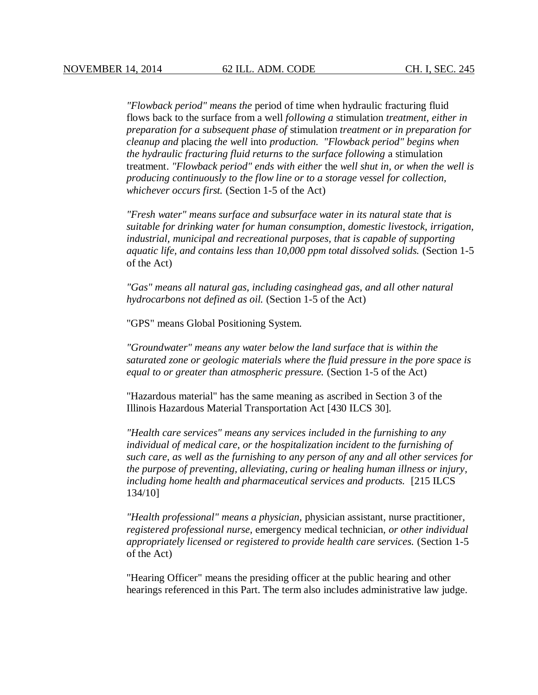*"Flowback period" means the* period of time when hydraulic fracturing fluid flows back to the surface from a well *following a* stimulation *treatment, either in preparation for a subsequent phase of* stimulation *treatment or in preparation for cleanup and* placing *the well* into *production*. *"Flowback period" begins when the hydraulic fracturing fluid returns to the surface following* a stimulation treatment. *"Flowback period" ends with either* the *well shut in, or when the well is producing continuously to the flow line or to a storage vessel for collection, whichever occurs first.* (Section 1-5 of the Act)

*"Fresh water" means surface and subsurface water in its natural state that is suitable for drinking water for human consumption, domestic livestock, irrigation, industrial, municipal and recreational purposes, that is capable of supporting aquatic life, and contains less than 10,000 ppm total dissolved solids.* (Section 1-5 of the Act)

*"Gas" means all natural gas, including casinghead gas, and all other natural hydrocarbons not defined as oil.* (Section 1-5 of the Act)

"GPS" means Global Positioning System.

*"Groundwater" means any water below the land surface that is within the saturated zone or geologic materials where the fluid pressure in the pore space is equal to or greater than atmospheric pressure.* (Section 1-5 of the Act)

"Hazardous material" has the same meaning as ascribed in Section 3 of the Illinois Hazardous Material Transportation Act [430 ILCS 30].

*"Health care services" means any services included in the furnishing to any individual of medical care, or the hospitalization incident to the furnishing of such care, as well as the furnishing to any person of any and all other services for the purpose of preventing, alleviating, curing or healing human illness or injury, including home health and pharmaceutical services and products.* [215 ILCS 134/10]

*"Health professional" means a physician,* physician assistant, nurse practitioner*, registered professional nurse,* emergency medical technician*, or other individual appropriately licensed or registered to provide health care services.* (Section 1-5 of the Act)

"Hearing Officer" means the presiding officer at the public hearing and other hearings referenced in this Part. The term also includes administrative law judge.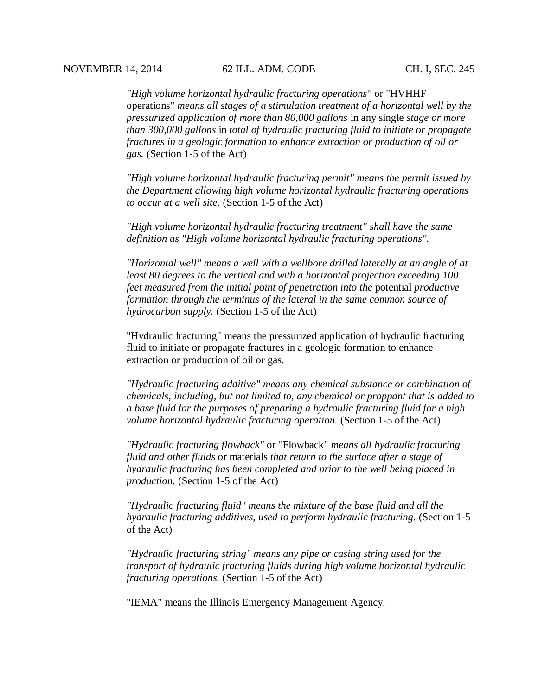*"High volume horizontal hydraulic fracturing operations"* or "HVHHF operations" *means all stages of a stimulation treatment of a horizontal well by the pressurized application of more than 80,000 gallons* in any single *stage or more than 300,000 gallons* in *total of hydraulic fracturing fluid to initiate or propagate fractures in a geologic formation to enhance extraction or production of oil or gas.* (Section 1-5 of the Act)

*"High volume horizontal hydraulic fracturing permit" means the permit issued by the Department allowing high volume horizontal hydraulic fracturing operations to occur at a well site.* (Section 1-5 of the Act)

*"High volume horizontal hydraulic fracturing treatment" shall have the same definition as "High volume horizontal hydraulic fracturing operations".*

*"Horizontal well" means a well with a wellbore drilled laterally at an angle of at least 80 degrees to the vertical and with a horizontal projection exceeding 100 feet measured from the initial point of penetration into the* potential *productive formation through the terminus of the lateral in the same common source of hydrocarbon supply.* (Section 1-5 of the Act)

"Hydraulic fracturing" means the pressurized application of hydraulic fracturing fluid to initiate or propagate fractures in a geologic formation to enhance extraction or production of oil or gas.

*"Hydraulic fracturing additive" means any chemical substance or combination of chemicals, including, but not limited to, any chemical or proppant that is added to a base fluid for the purposes of preparing a hydraulic fracturing fluid for a high volume horizontal hydraulic fracturing operation.* (Section 1-5 of the Act)

*"Hydraulic fracturing flowback"* or "Flowback" *means all hydraulic fracturing fluid and other fluids* or materials *that return to the surface after a stage of hydraulic fracturing has been completed and prior to the well being placed in production.* (Section 1-5 of the Act)

*"Hydraulic fracturing fluid" means the mixture of the base fluid and all the hydraulic fracturing additives, used to perform hydraulic fracturing.* (Section 1-5 of the Act)

*"Hydraulic fracturing string" means any pipe or casing string used for the transport of hydraulic fracturing fluids during high volume horizontal hydraulic fracturing operations.* (Section 1-5 of the Act)

"IEMA" means the Illinois Emergency Management Agency.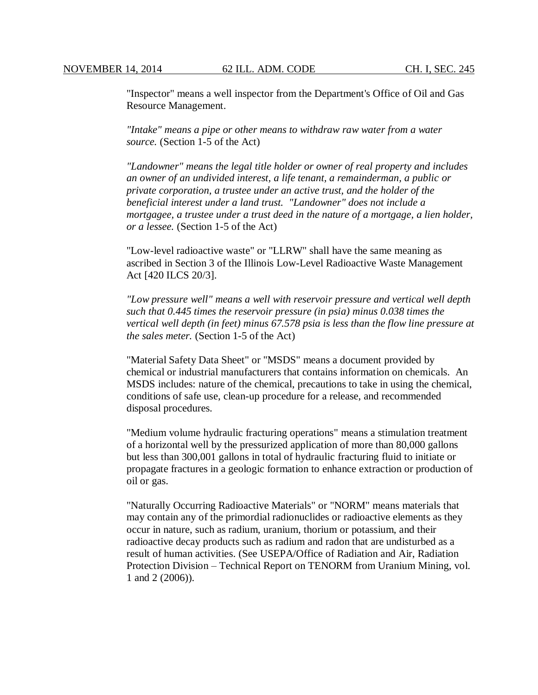"Inspector" means a well inspector from the Department's Office of Oil and Gas Resource Management.

*"Intake" means a pipe or other means to withdraw raw water from a water source.* (Section 1-5 of the Act)

*"Landowner" means the legal title holder or owner of real property and includes an owner of an undivided interest, a life tenant, a remainderman, a public or private corporation, a trustee under an active trust, and the holder of the beneficial interest under a land trust. "Landowner" does not include a mortgagee, a trustee under a trust deed in the nature of a mortgage, a lien holder, or a lessee.* (Section 1-5 of the Act)

"Low-level radioactive waste" or "LLRW" shall have the same meaning as ascribed in Section 3 of the Illinois Low-Level Radioactive Waste Management Act [420 ILCS 20/3].

*"Low pressure well" means a well with reservoir pressure and vertical well depth such that 0.445 times the reservoir pressure (in psia) minus 0.038 times the vertical well depth (in feet) minus 67.578 psia is less than the flow line pressure at the sales meter.* (Section 1-5 of the Act)

"Material Safety Data Sheet" or "MSDS" means a document provided by chemical or industrial manufacturers that contains information on chemicals. An MSDS includes: nature of the chemical, precautions to take in using the chemical, conditions of safe use, clean-up procedure for a release, and recommended disposal procedures.

"Medium volume hydraulic fracturing operations" means a stimulation treatment of a horizontal well by the pressurized application of more than 80,000 gallons but less than 300,001 gallons in total of hydraulic fracturing fluid to initiate or propagate fractures in a geologic formation to enhance extraction or production of oil or gas.

"Naturally Occurring Radioactive Materials" or "NORM" means materials that may contain any of the primordial radionuclides or radioactive elements as they occur in nature, such as radium, uranium, thorium or potassium, and their radioactive decay products such as radium and radon that are undisturbed as a result of human activities. (See USEPA/Office of Radiation and Air, Radiation Protection Division – Technical Report on TENORM from Uranium Mining, vol. 1 and 2 (2006)).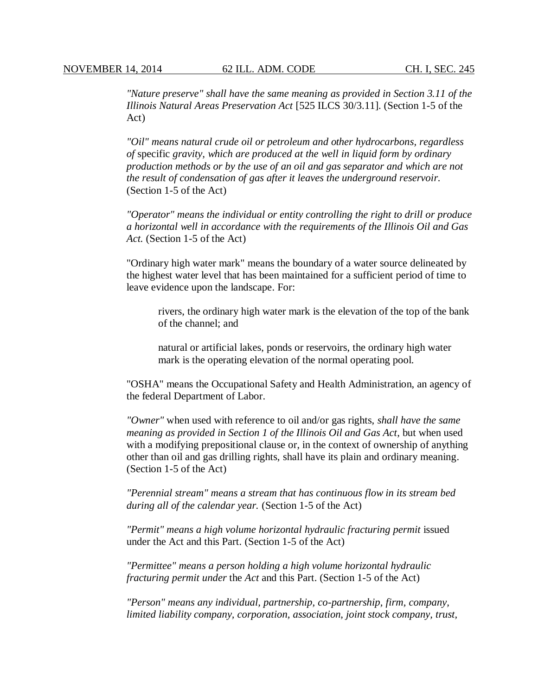*"Nature preserve" shall have the same meaning as provided in Section 3.11 of the Illinois Natural Areas Preservation Act* [525 ILCS 30/3.11]. (Section 1-5 of the Act)

*"Oil" means natural crude oil or petroleum and other hydrocarbons, regardless of* specific *gravity, which are produced at the well in liquid form by ordinary production methods or by the use of an oil and gas separator and which are not the result of condensation of gas after it leaves the underground reservoir.* (Section 1-5 of the Act)

*"Operator" means the individual or entity controlling the right to drill or produce a horizontal well in accordance with the requirements of the Illinois Oil and Gas Act.* (Section 1-5 of the Act)

"Ordinary high water mark" means the boundary of a water source delineated by the highest water level that has been maintained for a sufficient period of time to leave evidence upon the landscape. For:

rivers, the ordinary high water mark is the elevation of the top of the bank of the channel; and

natural or artificial lakes, ponds or reservoirs, the ordinary high water mark is the operating elevation of the normal operating pool.

"OSHA" means the Occupational Safety and Health Administration, an agency of the federal Department of Labor.

*"Owner"* when used with reference to oil and/or gas rights, *shall have the same meaning as provided in Section 1 of the Illinois Oil and Gas Act*, but when used with a modifying prepositional clause or, in the context of ownership of anything other than oil and gas drilling rights, shall have its plain and ordinary meaning. (Section 1-5 of the Act)

*"Perennial stream" means a stream that has continuous flow in its stream bed during all of the calendar year.* (Section 1-5 of the Act)

*"Permit" means a high volume horizontal hydraulic fracturing permit* issued under the Act and this Part*.* (Section 1-5 of the Act)

*"Permittee" means a person holding a high volume horizontal hydraulic fracturing permit under* the *Act* and this Part. (Section 1-5 of the Act)

*"Person" means any individual, partnership, co-partnership, firm, company, limited liability company, corporation, association, joint stock company, trust,*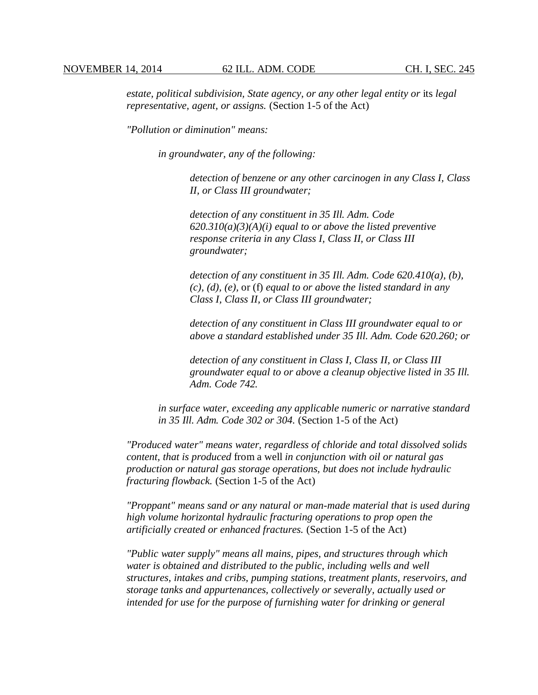*estate, political subdivision, State agency, or any other legal entity or its legal representative, agent, or assigns.* (Section 1-5 of the Act)

*"Pollution or diminution" means:* 

*in groundwater, any of the following:*

*detection of benzene or any other carcinogen in any Class I, Class II, or Class III groundwater;*

*detection of any constituent in 35 Ill. Adm. Code 620.310(a)(3)(A)(i) equal to or above the listed preventive response criteria in any Class I, Class II, or Class III groundwater;*

*detection of any constituent in 35 Ill. Adm. Code 620.410(a), (b), (c), (d), (e),* or (f) *equal to or above the listed standard in any Class I, Class II, or Class III groundwater;*

*detection of any constituent in Class III groundwater equal to or above a standard established under 35 Ill. Adm. Code 620.260; or*

*detection of any constituent in Class I, Class II, or Class III groundwater equal to or above a cleanup objective listed in 35 Ill. Adm. Code 742.*

*in surface water, exceeding any applicable numeric or narrative standard in 35 Ill. Adm. Code 302 or 304.* (Section 1-5 of the Act)

*"Produced water" means water, regardless of chloride and total dissolved solids content, that is produced* from a well *in conjunction with oil or natural gas production or natural gas storage operations, but does not include hydraulic fracturing flowback.* (Section 1-5 of the Act)

*"Proppant" means sand or any natural or man-made material that is used during high volume horizontal hydraulic fracturing operations to prop open the artificially created or enhanced fractures.* (Section 1-5 of the Act)

*"Public water supply" means all mains, pipes, and structures through which water is obtained and distributed to the public, including wells and well structures, intakes and cribs, pumping stations, treatment plants, reservoirs, and storage tanks and appurtenances, collectively or severally, actually used or intended for use for the purpose of furnishing water for drinking or general*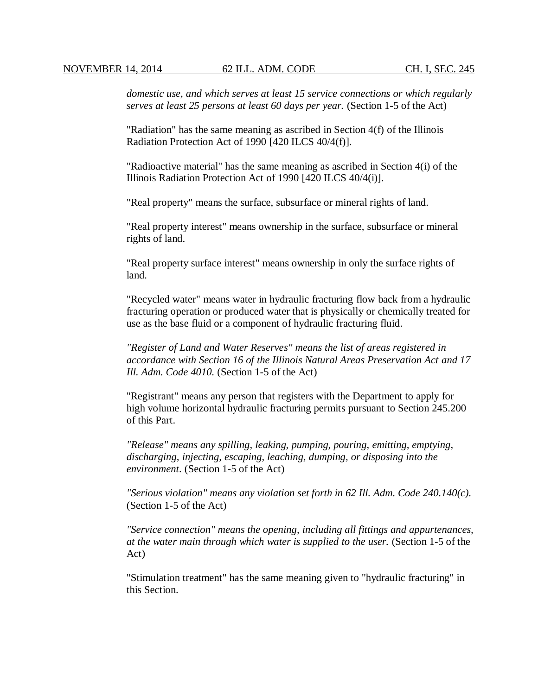*domestic use, and which serves at least 15 service connections or which regularly serves at least 25 persons at least 60 days per year.* (Section 1-5 of the Act)

"Radiation" has the same meaning as ascribed in Section 4(f) of the Illinois Radiation Protection Act of 1990 [420 ILCS 40/4(f)].

"Radioactive material" has the same meaning as ascribed in Section 4(i) of the Illinois Radiation Protection Act of 1990 [420 ILCS 40/4(i)].

"Real property" means the surface, subsurface or mineral rights of land.

"Real property interest" means ownership in the surface, subsurface or mineral rights of land.

"Real property surface interest" means ownership in only the surface rights of land.

"Recycled water" means water in hydraulic fracturing flow back from a hydraulic fracturing operation or produced water that is physically or chemically treated for use as the base fluid or a component of hydraulic fracturing fluid.

*"Register of Land and Water Reserves" means the list of areas registered in accordance with Section 16 of the Illinois Natural Areas Preservation Act and 17 Ill. Adm. Code 4010.* (Section 1-5 of the Act)

"Registrant" means any person that registers with the Department to apply for high volume horizontal hydraulic fracturing permits pursuant to Section 245.200 of this Part.

*"Release" means any spilling, leaking, pumping, pouring, emitting, emptying, discharging, injecting, escaping, leaching, dumping, or disposing into the environment*. (Section 1-5 of the Act)

*"Serious violation" means any violation set forth in 62 Ill. Adm. Code 240.140(c).* (Section 1-5 of the Act)

*"Service connection" means the opening, including all fittings and appurtenances, at the water main through which water is supplied to the user.* (Section 1-5 of the Act)

"Stimulation treatment" has the same meaning given to "hydraulic fracturing" in this Section.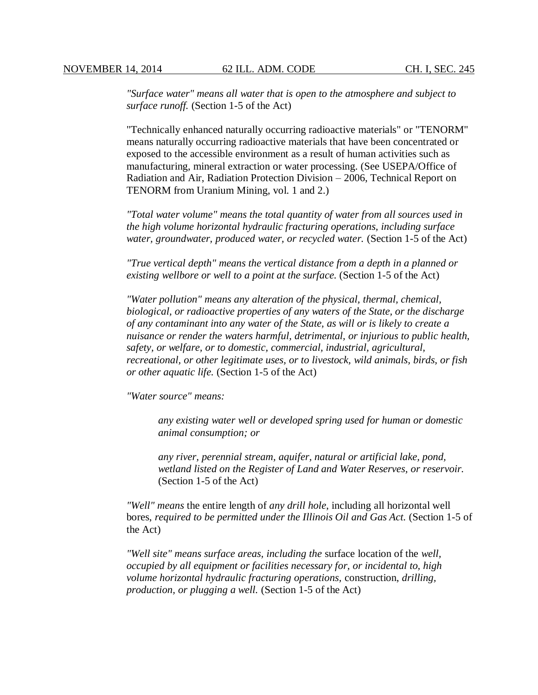*"Surface water" means all water that is open to the atmosphere and subject to surface runoff.* (Section 1-5 of the Act)

"Technically enhanced naturally occurring radioactive materials" or "TENORM" means naturally occurring radioactive materials that have been concentrated or exposed to the accessible environment as a result of human activities such as manufacturing, mineral extraction or water processing. (See USEPA/Office of Radiation and Air, Radiation Protection Division – 2006, Technical Report on TENORM from Uranium Mining, vol. 1 and 2.)

*"Total water volume" means the total quantity of water from all sources used in the high volume horizontal hydraulic fracturing operations, including surface water, groundwater, produced water, or recycled water.* (Section 1-5 of the Act)

*"True vertical depth" means the vertical distance from a depth in a planned or existing wellbore or well to a point at the surface.* (Section 1-5 of the Act)

*"Water pollution" means any alteration of the physical, thermal, chemical, biological, or radioactive properties of any waters of the State, or the discharge of any contaminant into any water of the State, as will or is likely to create a nuisance or render the waters harmful, detrimental, or injurious to public health, safety, or welfare, or to domestic, commercial, industrial, agricultural, recreational, or other legitimate uses, or to livestock, wild animals, birds, or fish or other aquatic life.* (Section 1-5 of the Act)

*"Water source" means:*

*any existing water well or developed spring used for human or domestic animal consumption; or* 

*any river, perennial stream, aquifer, natural or artificial lake, pond, wetland listed on the Register of Land and Water Reserves, or reservoir.* (Section 1-5 of the Act)

*"Well" means* the entire length of *any drill hole*, including all horizontal well bores, *required to be permitted under the Illinois Oil and Gas Act.* (Section 1-5 of the Act)

*"Well site" means surface areas, including the* surface location of the *well, occupied by all equipment or facilities necessary for, or incidental to, high volume horizontal hydraulic fracturing operations,* construction, *drilling, production, or plugging a well.* (Section 1-5 of the Act)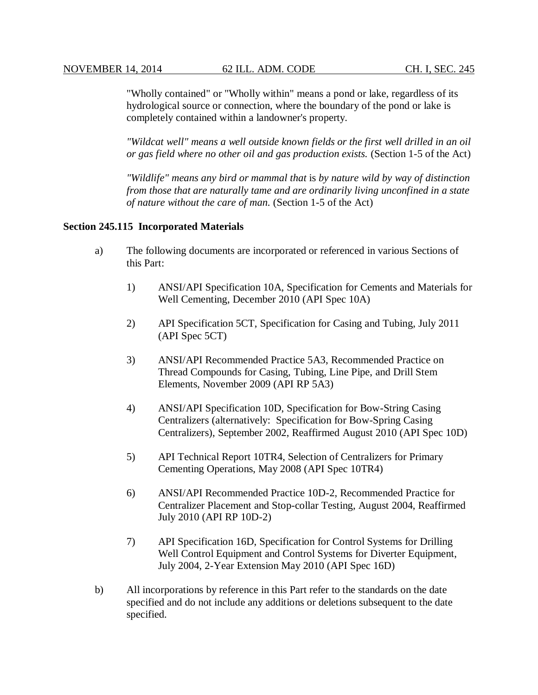"Wholly contained" or "Wholly within" means a pond or lake, regardless of its hydrological source or connection, where the boundary of the pond or lake is completely contained within a landowner's property.

*"Wildcat well" means a well outside known fields or the first well drilled in an oil or gas field where no other oil and gas production exists.* (Section 1-5 of the Act)

*"Wildlife" means any bird or mammal that* is *by nature wild by way of distinction from those that are naturally tame and are ordinarily living unconfined in a state of nature without the care of man.* (Section 1-5 of the Act)

#### **Section 245.115 Incorporated Materials**

- a) The following documents are incorporated or referenced in various Sections of this Part:
	- 1) ANSI/API Specification 10A, Specification for Cements and Materials for Well Cementing, December 2010 (API Spec 10A)
	- 2) API Specification 5CT, Specification for Casing and Tubing, July 2011 (API Spec 5CT)
	- 3) ANSI/API Recommended Practice 5A3, Recommended Practice on Thread Compounds for Casing, Tubing, Line Pipe, and Drill Stem Elements, November 2009 (API RP 5A3)
	- 4) ANSI/API Specification 10D, Specification for Bow-String Casing Centralizers (alternatively: Specification for Bow-Spring Casing Centralizers), September 2002, Reaffirmed August 2010 (API Spec 10D)
	- 5) API Technical Report 10TR4, Selection of Centralizers for Primary Cementing Operations, May 2008 (API Spec 10TR4)
	- 6) ANSI/API Recommended Practice 10D-2, Recommended Practice for Centralizer Placement and Stop-collar Testing, August 2004, Reaffirmed July 2010 (API RP 10D-2)
	- 7) API Specification 16D, Specification for Control Systems for Drilling Well Control Equipment and Control Systems for Diverter Equipment, July 2004, 2-Year Extension May 2010 (API Spec 16D)
- b) All incorporations by reference in this Part refer to the standards on the date specified and do not include any additions or deletions subsequent to the date specified.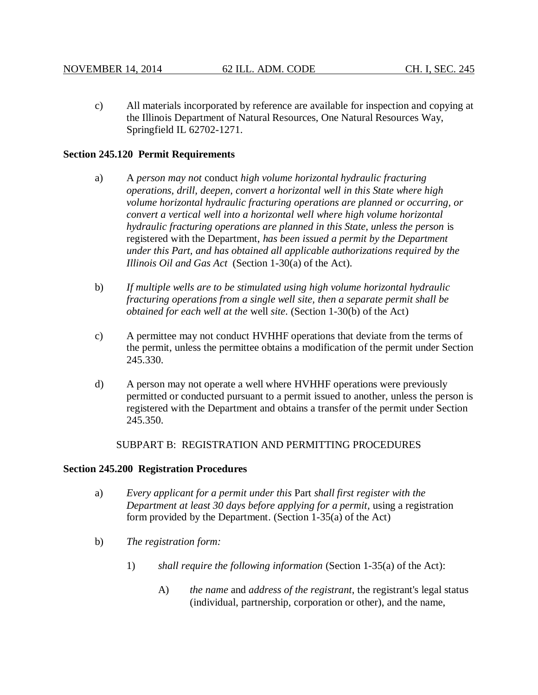c) All materials incorporated by reference are available for inspection and copying at the Illinois Department of Natural Resources, One Natural Resources Way, Springfield IL 62702-1271.

## **Section 245.120 Permit Requirements**

- a) A *person may not* conduct *high volume horizontal hydraulic fracturing operations, drill, deepen, convert a horizontal well in this State where high volume horizontal hydraulic fracturing operations are planned or occurring, or convert a vertical well into a horizontal well where high volume horizontal hydraulic fracturing operations are planned in this State, unless the person* is registered with the Department, *has been issued a permit by the Department under this Part, and has obtained all applicable authorizations required by the Illinois Oil and Gas Act* (Section 1-30(a) of the Act).
- b) *If multiple wells are to be stimulated using high volume horizontal hydraulic fracturing operations from a single well site, then a separate permit shall be obtained for each well at the* well *site*. (Section 1-30(b) of the Act)
- c) A permittee may not conduct HVHHF operations that deviate from the terms of the permit, unless the permittee obtains a modification of the permit under Section 245.330.
- d) A person may not operate a well where HVHHF operations were previously permitted or conducted pursuant to a permit issued to another, unless the person is registered with the Department and obtains a transfer of the permit under Section 245.350.

SUBPART B: REGISTRATION AND PERMITTING PROCEDURES

## **Section 245.200 Registration Procedures**

- a) *Every applicant for a permit under this* Part *shall first register with the Department at least 30 days before applying for a permit,* using a registration form provided by the Department. (Section 1-35(a) of the Act)
- b) *The registration form:*
	- 1) *shall require the following information* (Section 1-35(a) of the Act):
		- A) *the name* and *address of the registrant*, the registrant's legal status (individual, partnership, corporation or other), and the name,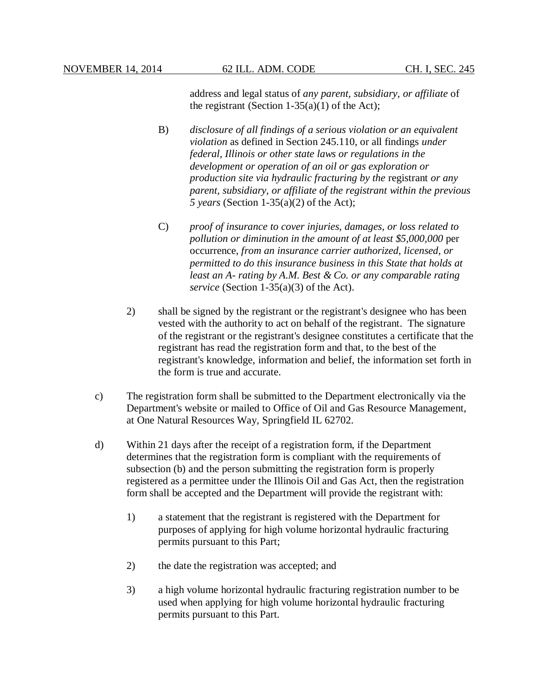address and legal status of *any parent, subsidiary, or affiliate* of the registrant (Section  $1-35(a)(1)$  of the Act);

- B) *disclosure of all findings of a serious violation or an equivalent violation* as defined in Section 245.110, or all findings *under federal, Illinois or other state laws or regulations in the development or operation of an oil or gas exploration or production site via hydraulic fracturing by the* registrant *or any parent, subsidiary, or affiliate of the registrant within the previous 5 years* (Section 1-35(a)(2) of the Act);
- C) *proof of insurance to cover injuries, damages, or loss related to pollution or diminution in the amount of at least \$5,000,000* per occurrence, *from an insurance carrier authorized, licensed, or permitted to do this insurance business in this State that holds at least an A- rating by A.M. Best & Co. or any comparable rating service* (Section 1-35(a)(3) of the Act).
- 2) shall be signed by the registrant or the registrant's designee who has been vested with the authority to act on behalf of the registrant. The signature of the registrant or the registrant's designee constitutes a certificate that the registrant has read the registration form and that, to the best of the registrant's knowledge, information and belief, the information set forth in the form is true and accurate.
- c) The registration form shall be submitted to the Department electronically via the Department's website or mailed to Office of Oil and Gas Resource Management, at One Natural Resources Way, Springfield IL 62702.
- d) Within 21 days after the receipt of a registration form, if the Department determines that the registration form is compliant with the requirements of subsection (b) and the person submitting the registration form is properly registered as a permittee under the Illinois Oil and Gas Act, then the registration form shall be accepted and the Department will provide the registrant with:
	- 1) a statement that the registrant is registered with the Department for purposes of applying for high volume horizontal hydraulic fracturing permits pursuant to this Part;
	- 2) the date the registration was accepted; and
	- 3) a high volume horizontal hydraulic fracturing registration number to be used when applying for high volume horizontal hydraulic fracturing permits pursuant to this Part.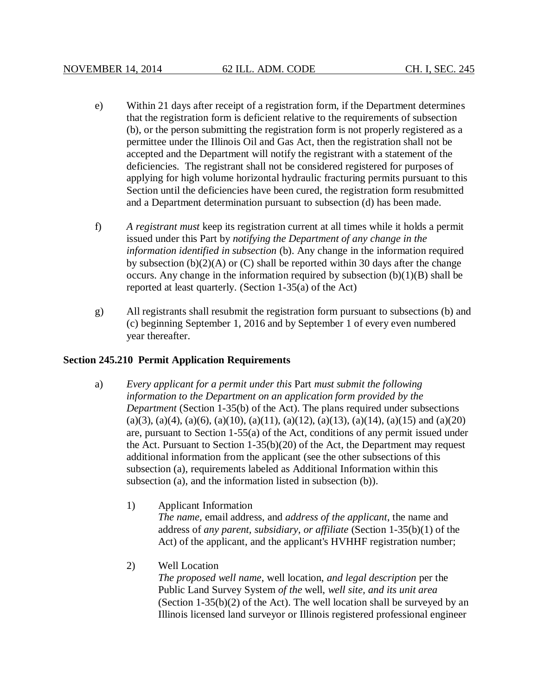- e) Within 21 days after receipt of a registration form, if the Department determines that the registration form is deficient relative to the requirements of subsection (b), or the person submitting the registration form is not properly registered as a permittee under the Illinois Oil and Gas Act, then the registration shall not be accepted and the Department will notify the registrant with a statement of the deficiencies. The registrant shall not be considered registered for purposes of applying for high volume horizontal hydraulic fracturing permits pursuant to this Section until the deficiencies have been cured, the registration form resubmitted and a Department determination pursuant to subsection (d) has been made.
- f) *A registrant must* keep its registration current at all times while it holds a permit issued under this Part by *notifying the Department of any change in the information identified in subsection* (b). Any change in the information required by subsection  $(b)(2)(A)$  or  $(C)$  shall be reported within 30 days after the change occurs. Any change in the information required by subsection  $(b)(1)(B)$  shall be reported at least quarterly. (Section 1-35(a) of the Act)
- g) All registrants shall resubmit the registration form pursuant to subsections (b) and (c) beginning September 1, 2016 and by September 1 of every even numbered year thereafter.

## **Section 245.210 Permit Application Requirements**

- a) *Every applicant for a permit under this* Part *must submit the following information to the Department on an application form provided by the Department* (Section 1-35(b) of the Act). The plans required under subsections  $(a)(3)$ ,  $(a)(4)$ ,  $(a)(6)$ ,  $(a)(10)$ ,  $(a)(11)$ ,  $(a)(12)$ ,  $(a)(13)$ ,  $(a)(14)$ ,  $(a)(15)$  and  $(a)(20)$ are, pursuant to Section 1-55(a) of the Act, conditions of any permit issued under the Act. Pursuant to Section 1-35(b)(20) of the Act, the Department may request additional information from the applicant (see the other subsections of this subsection (a), requirements labeled as Additional Information within this subsection (a), and the information listed in subsection (b)).
	- 1) Applicant Information *The name,* email address, and *address of the applicant*, the name and address of *any parent, subsidiary, or affiliate* (Section 1-35(b)(1) of the Act) of the applicant, and the applicant's HVHHF registration number;
	- 2) Well Location

*The proposed well name*, well location, *and legal description* per the Public Land Survey System *of the* well, *well site, and its unit area* (Section  $1-35(b)(2)$  of the Act). The well location shall be surveyed by an Illinois licensed land surveyor or Illinois registered professional engineer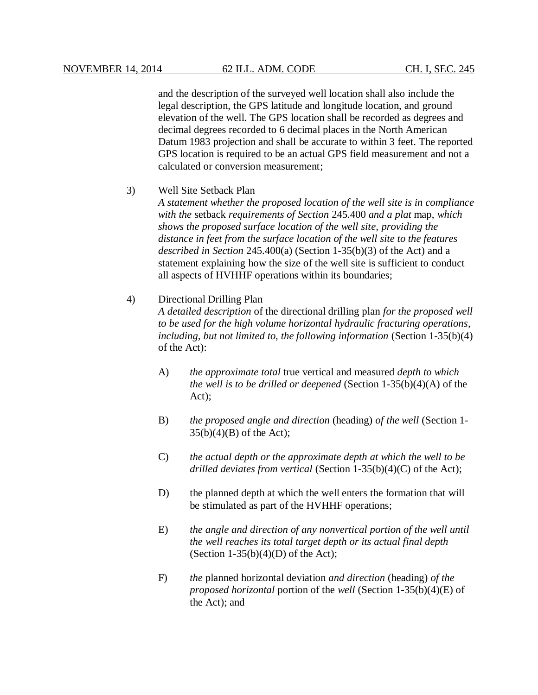and the description of the surveyed well location shall also include the legal description, the GPS latitude and longitude location, and ground elevation of the well. The GPS location shall be recorded as degrees and decimal degrees recorded to 6 decimal places in the North American Datum 1983 projection and shall be accurate to within 3 feet. The reported GPS location is required to be an actual GPS field measurement and not a calculated or conversion measurement;

## 3) Well Site Setback Plan

*A statement whether the proposed location of the well site is in compliance with the* setback *requirements of Section* 245.400 *and a plat* map, *which shows the proposed surface location of the well site, providing the distance in feet from the surface location of the well site to the features described in Section* 245.400(a) (Section 1-35(b)(3) of the Act) and a statement explaining how the size of the well site is sufficient to conduct all aspects of HVHHF operations within its boundaries;

## 4) Directional Drilling Plan

*A detailed description* of the directional drilling plan *for the proposed well to be used for the high volume horizontal hydraulic fracturing operations, including, but not limited to, the following information* (Section 1-35(b)(4) of the Act):

- A) *the approximate total* true vertical and measured *depth to which the well is to be drilled or deepened* (Section 1-35(b)(4)(A) of the Act);
- B) *the proposed angle and direction* (heading) *of the well* (Section 1-  $35(b)(4)(B)$  of the Act);
- C) *the actual depth or the approximate depth at which the well to be drilled deviates from vertical* (Section 1-35(b)(4)(C) of the Act);
- D) the planned depth at which the well enters the formation that will be stimulated as part of the HVHHF operations;
- E) *the angle and direction of any nonvertical portion of the well until the well reaches its total target depth or its actual final depth* (Section  $1-35(b)(4)(D)$  of the Act);
- F) *the* planned horizontal deviation *and direction* (heading) *of the proposed horizontal* portion of the *well* (Section 1-35(b)(4)(E) of the Act); and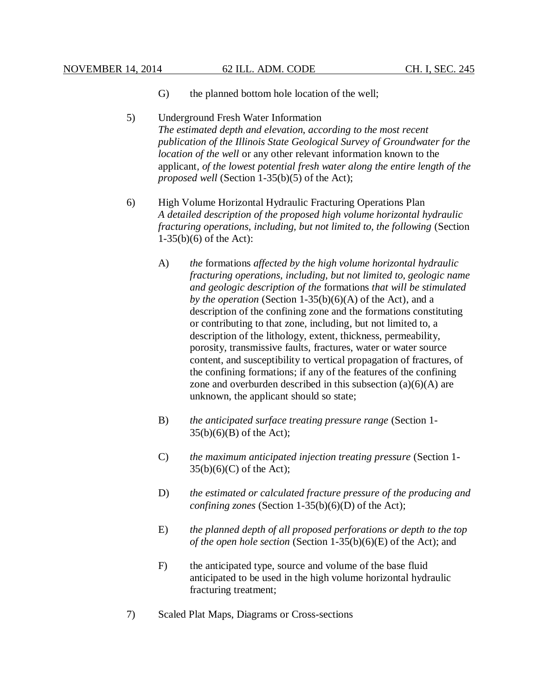- G) the planned bottom hole location of the well;
- 5) Underground Fresh Water Information *The estimated depth and elevation, according to the most recent publication of the Illinois State Geological Survey of Groundwater for the location of the well* or any other relevant information known to the applicant*, of the lowest potential fresh water along the entire length of the proposed well* (Section 1-35(b)(5) of the Act);
- 6) High Volume Horizontal Hydraulic Fracturing Operations Plan *A detailed description of the proposed high volume horizontal hydraulic fracturing operations, including, but not limited to, the following* (Section 1-35(b)(6) of the Act):
	- A) *the* formations *affected by the high volume horizontal hydraulic fracturing operations, including, but not limited to, geologic name and geologic description of the* formations *that will be stimulated by the operation* (Section 1-35(b)(6)(A) of the Act), and a description of the confining zone and the formations constituting or contributing to that zone, including, but not limited to, a description of the lithology, extent, thickness, permeability, porosity, transmissive faults, fractures, water or water source content, and susceptibility to vertical propagation of fractures, of the confining formations; if any of the features of the confining zone and overburden described in this subsection  $(a)(6)(A)$  are unknown, the applicant should so state;
	- B) *the anticipated surface treating pressure range* (Section 1-  $35(b)(6)(B)$  of the Act);
	- C) *the maximum anticipated injection treating pressure* (Section 1-  $35(b)(6)(C)$  of the Act);
	- D) *the estimated or calculated fracture pressure of the producing and confining zones* (Section 1-35(b)(6)(D) of the Act);
	- E) *the planned depth of all proposed perforations or depth to the top of the open hole section* (Section 1-35(b)(6)(E) of the Act); and
	- F) the anticipated type, source and volume of the base fluid anticipated to be used in the high volume horizontal hydraulic fracturing treatment;
- 7) Scaled Plat Maps, Diagrams or Cross-sections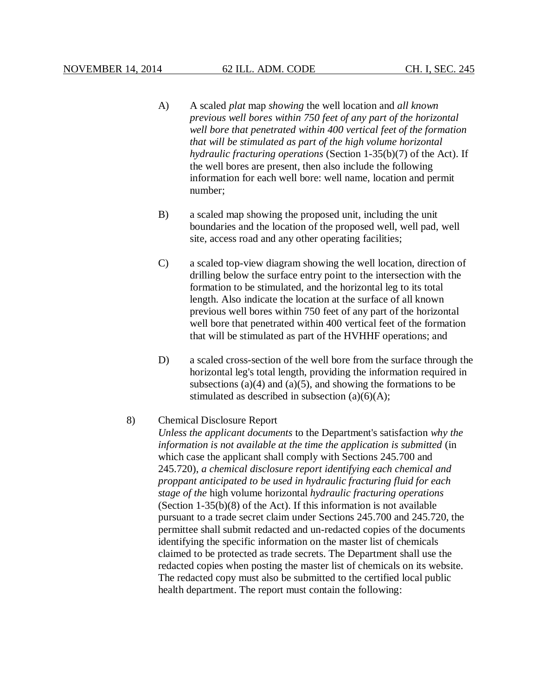- A) A scaled *plat* map *showing* the well location and *all known previous well bores within 750 feet of any part of the horizontal well bore that penetrated within 400 vertical feet of the formation that will be stimulated as part of the high volume horizontal hydraulic fracturing operations* (Section 1-35(b)(7) of the Act). If the well bores are present, then also include the following information for each well bore: well name, location and permit number;
- B) a scaled map showing the proposed unit, including the unit boundaries and the location of the proposed well, well pad, well site, access road and any other operating facilities;
- C) a scaled top-view diagram showing the well location, direction of drilling below the surface entry point to the intersection with the formation to be stimulated, and the horizontal leg to its total length. Also indicate the location at the surface of all known previous well bores within 750 feet of any part of the horizontal well bore that penetrated within 400 vertical feet of the formation that will be stimulated as part of the HVHHF operations; and
- D) a scaled cross-section of the well bore from the surface through the horizontal leg's total length, providing the information required in subsections  $(a)(4)$  and  $(a)(5)$ , and showing the formations to be stimulated as described in subsection  $(a)(6)(A)$ ;

#### 8) Chemical Disclosure Report

*Unless the applicant documents* to the Department's satisfaction *why the information is not available at the time the application is submitted* (in which case the applicant shall comply with Sections 245.700 and 245.720), *a chemical disclosure report identifying each chemical and proppant anticipated to be used in hydraulic fracturing fluid for each stage of the* high volume horizontal *hydraulic fracturing operations* (Section 1-35(b)(8) of the Act). If this information is not available pursuant to a trade secret claim under Sections 245.700 and 245.720, the permittee shall submit redacted and un-redacted copies of the documents identifying the specific information on the master list of chemicals claimed to be protected as trade secrets. The Department shall use the redacted copies when posting the master list of chemicals on its website. The redacted copy must also be submitted to the certified local public health department. The report must contain the following: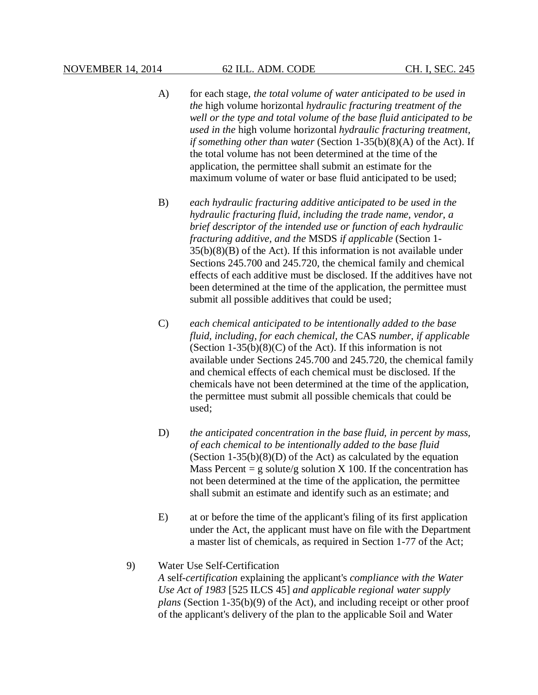- A) for each stage, *the total volume of water anticipated to be used in the* high volume horizontal *hydraulic fracturing treatment of the well or the type and total volume of the base fluid anticipated to be used in the* high volume horizontal *hydraulic fracturing treatment, if something other than water* (Section 1-35(b)(8)(A) of the Act). If the total volume has not been determined at the time of the application, the permittee shall submit an estimate for the maximum volume of water or base fluid anticipated to be used;
- B) *each hydraulic fracturing additive anticipated to be used in the hydraulic fracturing fluid, including the trade name, vendor, a brief descriptor of the intended use or function of each hydraulic fracturing additive, and the* MSDS *if applicable* (Section 1-  $35(b)(8)(B)$  of the Act). If this information is not available under Sections 245.700 and 245.720, the chemical family and chemical effects of each additive must be disclosed. If the additives have not been determined at the time of the application, the permittee must submit all possible additives that could be used;
- C) *each chemical anticipated to be intentionally added to the base fluid, including, for each chemical, the* CAS *number, if applicable* (Section  $1-35(b)(8)(C)$  of the Act). If this information is not available under Sections 245.700 and 245.720, the chemical family and chemical effects of each chemical must be disclosed. If the chemicals have not been determined at the time of the application, the permittee must submit all possible chemicals that could be used;
- D) *the anticipated concentration in the base fluid, in percent by mass, of each chemical to be intentionally added to the base fluid* (Section 1-35(b)(8)(D) of the Act) as calculated by the equation Mass Percent = g solute/g solution X 100. If the concentration has not been determined at the time of the application, the permittee shall submit an estimate and identify such as an estimate; and
- E) at or before the time of the applicant's filing of its first application under the Act, the applicant must have on file with the Department a master list of chemicals, as required in Section 1-77 of the Act;

## 9) Water Use Self-Certification

*A* self-*certification* explaining the applicant's *compliance with the Water Use Act of 1983* [525 ILCS 45] *and applicable regional water supply plans* (Section 1-35(b)(9) of the Act), and including receipt or other proof of the applicant's delivery of the plan to the applicable Soil and Water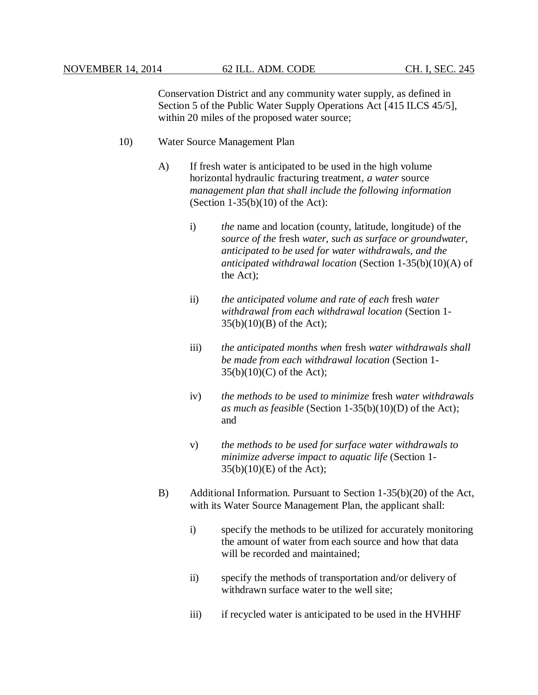Conservation District and any community water supply, as defined in Section 5 of the Public Water Supply Operations Act [415 ILCS 45/5], within 20 miles of the proposed water source:

- 10) Water Source Management Plan
	- A) If fresh water is anticipated to be used in the high volume horizontal hydraulic fracturing treatment, *a water* source *management plan that shall include the following information* (Section  $1-35(b)(10)$  of the Act):
		- i) *the* name and location (county, latitude, longitude) of the *source of the* fresh *water, such as surface or groundwater, anticipated to be used for water withdrawals, and the anticipated withdrawal location* (Section 1-35(b)(10)(A) of the Act);
		- ii) *the anticipated volume and rate of each* fresh *water withdrawal from each withdrawal location* (Section 1- 35(b)(10)(B) of the Act);
		- iii) *the anticipated months when* fresh *water withdrawals shall be made from each withdrawal location* (Section 1- 35(b)(10)(C) of the Act);
		- iv) *the methods to be used to minimize* fresh *water withdrawals as much as feasible* (Section 1-35(b)(10)(D) of the Act); and
		- v) *the methods to be used for surface water withdrawals to minimize adverse impact to aquatic life* (Section 1- 35(b)(10)(E) of the Act);
	- B) Additional Information. Pursuant to Section 1-35(b)(20) of the Act, with its Water Source Management Plan, the applicant shall:
		- i) specify the methods to be utilized for accurately monitoring the amount of water from each source and how that data will be recorded and maintained:
		- ii) specify the methods of transportation and/or delivery of withdrawn surface water to the well site;
		- iii) if recycled water is anticipated to be used in the HVHHF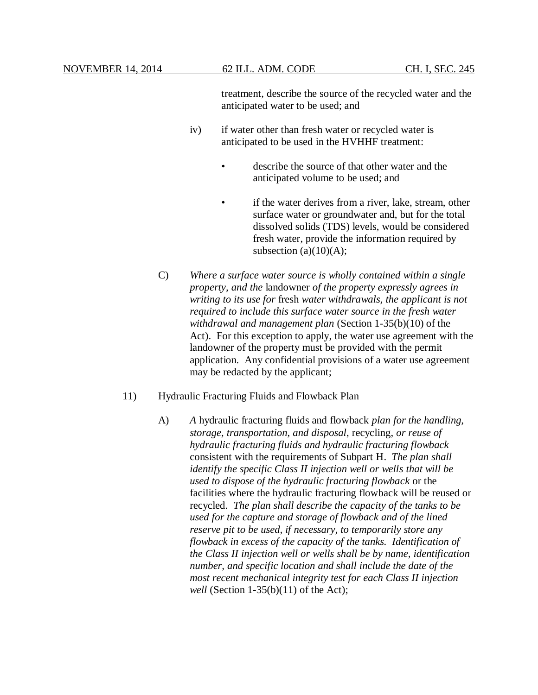treatment, describe the source of the recycled water and the anticipated water to be used; and

- iv) if water other than fresh water or recycled water is anticipated to be used in the HVHHF treatment:
	- describe the source of that other water and the anticipated volume to be used; and
	- if the water derives from a river, lake, stream, other surface water or groundwater and, but for the total dissolved solids (TDS) levels, would be considered fresh water, provide the information required by subsection (a) $(10)(A)$ ;
- C) *Where a surface water source is wholly contained within a single property, and the* landowner *of the property expressly agrees in writing to its use for* fresh *water withdrawals, the applicant is not required to include this surface water source in the fresh water withdrawal and management plan* (Section 1-35(b)(10) of the Act). For this exception to apply, the water use agreement with the landowner of the property must be provided with the permit application. Any confidential provisions of a water use agreement may be redacted by the applicant;
- 11) Hydraulic Fracturing Fluids and Flowback Plan
	- A) *A* hydraulic fracturing fluids and flowback *plan for the handling, storage, transportation, and disposal*, recycling, *or reuse of hydraulic fracturing fluids and hydraulic fracturing flowback* consistent with the requirements of Subpart H. *The plan shall identify the specific Class II injection well or wells that will be used to dispose of the hydraulic fracturing flowback* or the facilities where the hydraulic fracturing flowback will be reused or recycled. *The plan shall describe the capacity of the tanks to be used for the capture and storage of flowback and of the lined reserve pit to be used, if necessary, to temporarily store any flowback in excess of the capacity of the tanks. Identification of the Class II injection well or wells shall be by name, identification number, and specific location and shall include the date of the most recent mechanical integrity test for each Class II injection well* (Section 1-35(b)(11) of the Act);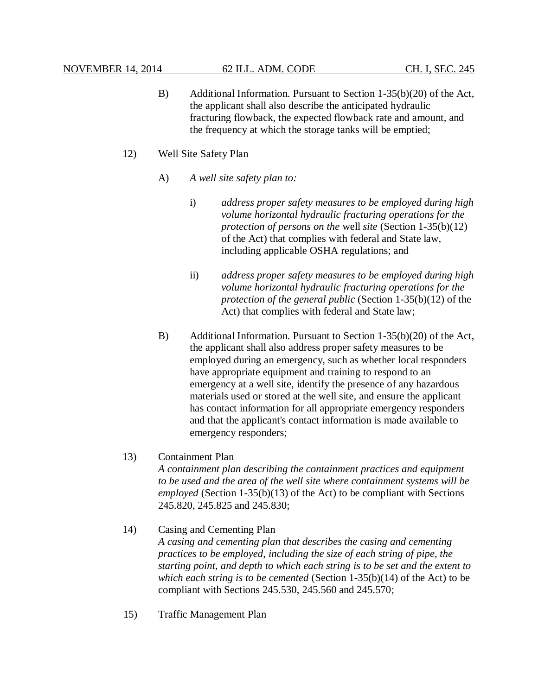- B) Additional Information. Pursuant to Section 1-35(b)(20) of the Act, the applicant shall also describe the anticipated hydraulic fracturing flowback, the expected flowback rate and amount, and the frequency at which the storage tanks will be emptied;
- 12) Well Site Safety Plan
	- A) *A well site safety plan to:*
		- i) *address proper safety measures to be employed during high volume horizontal hydraulic fracturing operations for the protection of persons on the* well *site* (Section 1-35(b)(12) of the Act) that complies with federal and State law, including applicable OSHA regulations; and
		- ii) *address proper safety measures to be employed during high volume horizontal hydraulic fracturing operations for the protection of the general public* (Section 1-35(b)(12) of the Act) that complies with federal and State law;
	- B) Additional Information. Pursuant to Section 1-35(b)(20) of the Act, the applicant shall also address proper safety measures to be employed during an emergency, such as whether local responders have appropriate equipment and training to respond to an emergency at a well site, identify the presence of any hazardous materials used or stored at the well site, and ensure the applicant has contact information for all appropriate emergency responders and that the applicant's contact information is made available to emergency responders;

## 13) Containment Plan

*A containment plan describing the containment practices and equipment to be used and the area of the well site where containment systems will be employed* (Section 1-35(b)(13) of the Act) to be compliant with Sections 245.820, 245.825 and 245.830;

- 14) Casing and Cementing Plan *A casing and cementing plan that describes the casing and cementing practices to be employed, including the size of each string of pipe, the starting point, and depth to which each string is to be set and the extent to which each string is to be cemented* (Section 1-35(b)(14) of the Act) to be compliant with Sections 245.530, 245.560 and 245.570;
- 15) Traffic Management Plan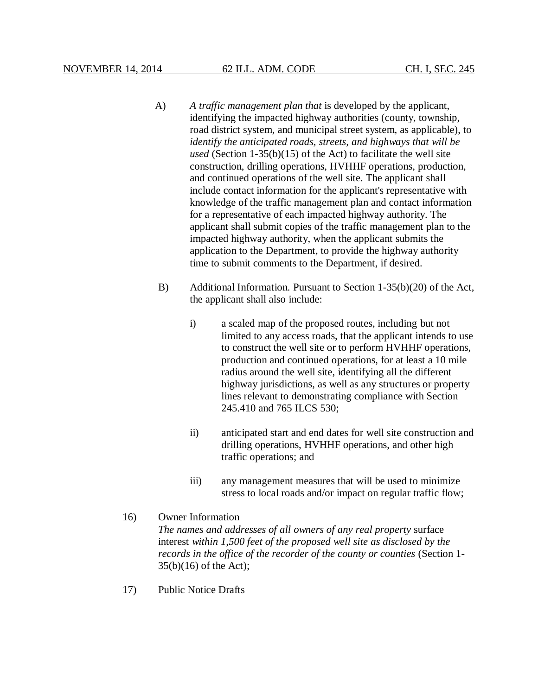- A) *A traffic management plan that* is developed by the applicant, identifying the impacted highway authorities (county, township, road district system, and municipal street system, as applicable), to *identify the anticipated roads, streets, and highways that will be used* (Section 1-35(b)(15) of the Act) to facilitate the well site construction, drilling operations, HVHHF operations, production, and continued operations of the well site. The applicant shall include contact information for the applicant's representative with knowledge of the traffic management plan and contact information for a representative of each impacted highway authority. The applicant shall submit copies of the traffic management plan to the impacted highway authority, when the applicant submits the application to the Department, to provide the highway authority time to submit comments to the Department, if desired.
- B) Additional Information. Pursuant to Section 1-35(b)(20) of the Act, the applicant shall also include:
	- i) a scaled map of the proposed routes, including but not limited to any access roads, that the applicant intends to use to construct the well site or to perform HVHHF operations, production and continued operations, for at least a 10 mile radius around the well site, identifying all the different highway jurisdictions, as well as any structures or property lines relevant to demonstrating compliance with Section 245.410 and 765 ILCS 530;
	- ii) anticipated start and end dates for well site construction and drilling operations, HVHHF operations, and other high traffic operations; and
	- iii) any management measures that will be used to minimize stress to local roads and/or impact on regular traffic flow;

# 16) Owner Information *The names and addresses of all owners of any real property* surface interest *within 1,500 feet of the proposed well site as disclosed by the records in the office of the recorder of the county or counties* (Section 1- 35(b)(16) of the Act);

17) Public Notice Drafts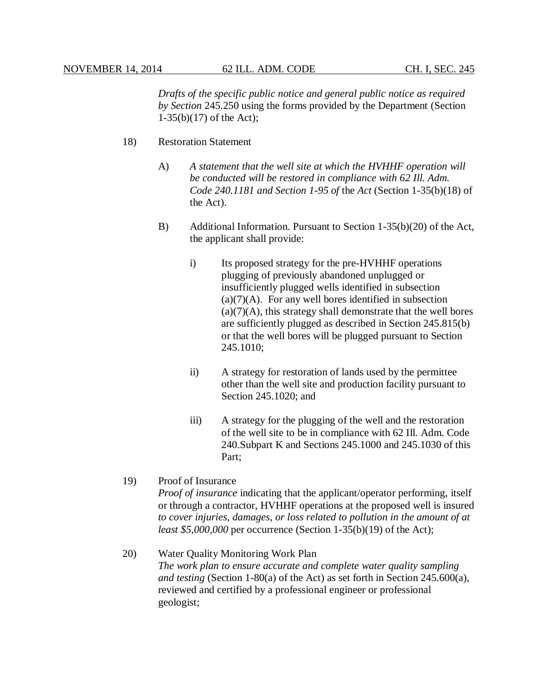*Drafts of the specific public notice and general public notice as required by Section* 245.250 using the forms provided by the Department (Section 1-35(b)(17) of the Act);

- 18) Restoration Statement
	- A) *A statement that the well site at which the HVHHF operation will be conducted will be restored in compliance with 62 Ill. Adm. Code 240.1181 and Section 1-95 of* the *Act* (Section 1-35(b)(18) of the Act).
	- B) Additional Information. Pursuant to Section 1-35(b)(20) of the Act, the applicant shall provide:
		- i) Its proposed strategy for the pre-HVHHF operations plugging of previously abandoned unplugged or insufficiently plugged wells identified in subsection  $(a)(7)(A)$ . For any well bores identified in subsection  $(a)(7)(A)$ , this strategy shall demonstrate that the well bores are sufficiently plugged as described in Section 245.815(b) or that the well bores will be plugged pursuant to Section 245.1010;
		- ii) A strategy for restoration of lands used by the permittee other than the well site and production facility pursuant to Section 245.1020; and
		- iii) A strategy for the plugging of the well and the restoration of the well site to be in compliance with 62 Ill. Adm. Code 240.Subpart K and Sections 245.1000 and 245.1030 of this Part;

## 19) Proof of Insurance

*Proof of insurance* indicating that the applicant/operator performing, itself or through a contractor, HVHHF operations at the proposed well is insured *to cover injuries, damages, or loss related to pollution in the amount of at least \$5,000,000* per occurrence (Section 1-35(b)(19) of the Act);

# 20) Water Quality Monitoring Work Plan *The work plan to ensure accurate and complete water quality sampling and testing* (Section 1-80(a) of the Act) as set forth in Section 245.600(a), reviewed and certified by a professional engineer or professional geologist;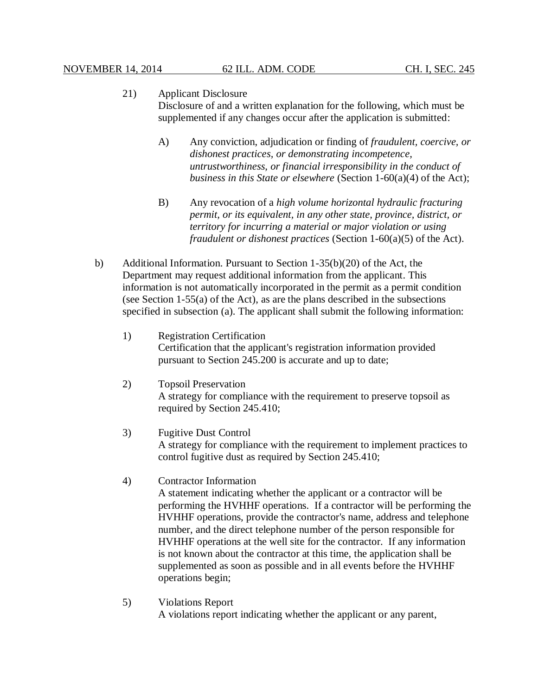## 21) Applicant Disclosure Disclosure of and a written explanation for the following, which must be supplemented if any changes occur after the application is submitted:

- A) Any conviction, adjudication or finding of *fraudulent, coercive, or dishonest practices, or demonstrating incompetence, untrustworthiness, or financial irresponsibility in the conduct of business in this State or elsewhere* (Section 1-60(a)(4) of the Act);
- B) Any revocation of a *high volume horizontal hydraulic fracturing permit, or its equivalent, in any other state, province, district, or territory for incurring a material or major violation or using fraudulent or dishonest practices* (Section 1-60(a)(5) of the Act).
- b) Additional Information. Pursuant to Section 1-35(b)(20) of the Act, the Department may request additional information from the applicant. This information is not automatically incorporated in the permit as a permit condition (see Section 1-55(a) of the Act), as are the plans described in the subsections specified in subsection (a). The applicant shall submit the following information:
	- 1) Registration Certification Certification that the applicant's registration information provided pursuant to Section 245.200 is accurate and up to date;
	- 2) Topsoil Preservation A strategy for compliance with the requirement to preserve topsoil as required by Section 245.410;
	- 3) Fugitive Dust Control A strategy for compliance with the requirement to implement practices to control fugitive dust as required by Section 245.410;
	- 4) Contractor Information

A statement indicating whether the applicant or a contractor will be performing the HVHHF operations. If a contractor will be performing the HVHHF operations, provide the contractor's name, address and telephone number, and the direct telephone number of the person responsible for HVHHF operations at the well site for the contractor. If any information is not known about the contractor at this time, the application shall be supplemented as soon as possible and in all events before the HVHHF operations begin;

5) Violations Report A violations report indicating whether the applicant or any parent,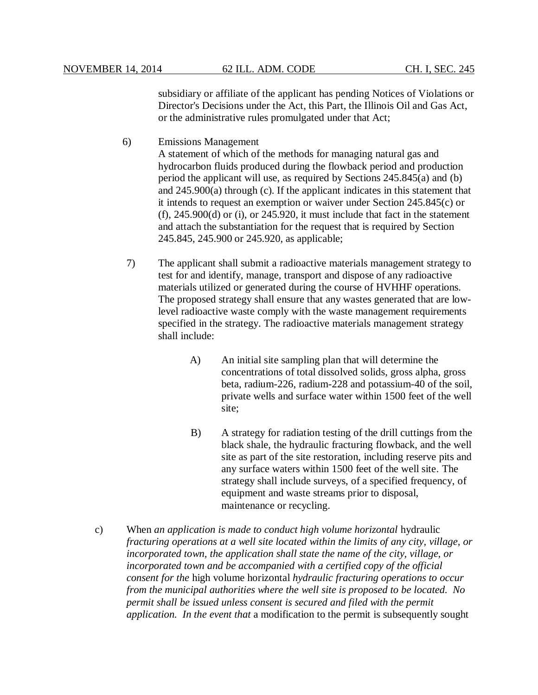subsidiary or affiliate of the applicant has pending Notices of Violations or Director's Decisions under the Act, this Part, the Illinois Oil and Gas Act, or the administrative rules promulgated under that Act;

- 6) Emissions Management A statement of which of the methods for managing natural gas and hydrocarbon fluids produced during the flowback period and production period the applicant will use, as required by Sections 245.845(a) and (b) and 245.900(a) through (c). If the applicant indicates in this statement that it intends to request an exemption or waiver under Section 245.845(c) or  $(f)$ , 245.900 $(d)$  or  $(i)$ , or 245.920, it must include that fact in the statement and attach the substantiation for the request that is required by Section 245.845, 245.900 or 245.920, as applicable;
- 7) The applicant shall submit a radioactive materials management strategy to test for and identify, manage, transport and dispose of any radioactive materials utilized or generated during the course of HVHHF operations. The proposed strategy shall ensure that any wastes generated that are lowlevel radioactive waste comply with the waste management requirements specified in the strategy. The radioactive materials management strategy shall include:
	- A) An initial site sampling plan that will determine the concentrations of total dissolved solids, gross alpha, gross beta, radium-226, radium-228 and potassium-40 of the soil, private wells and surface water within 1500 feet of the well site;
	- B) A strategy for radiation testing of the drill cuttings from the black shale, the hydraulic fracturing flowback, and the well site as part of the site restoration, including reserve pits and any surface waters within 1500 feet of the well site. The strategy shall include surveys, of a specified frequency, of equipment and waste streams prior to disposal, maintenance or recycling.
- c) When *an application is made to conduct high volume horizontal* hydraulic *fracturing operations at a well site located within the limits of any city, village, or incorporated town, the application shall state the name of the city, village, or incorporated town and be accompanied with a certified copy of the official consent for the* high volume horizontal *hydraulic fracturing operations to occur from the municipal authorities where the well site is proposed to be located. No permit shall be issued unless consent is secured and filed with the permit application. In the event that* a modification to the permit is subsequently sought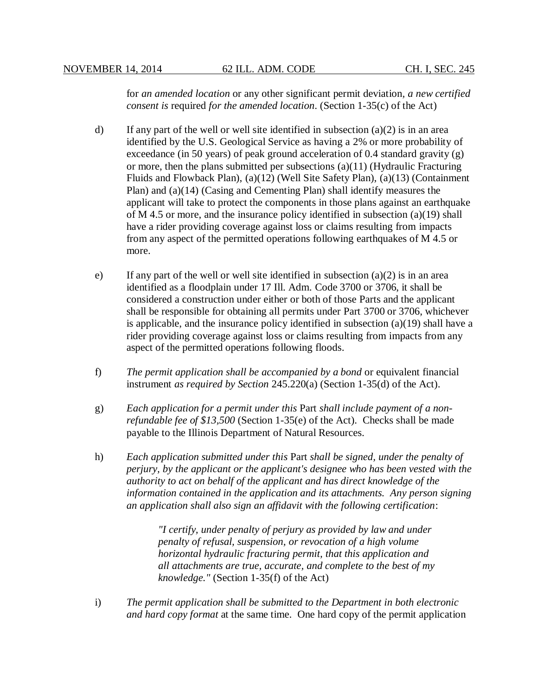for *an amended location* or any other significant permit deviation*, a new certified consent is* required *for the amended location*. (Section 1-35(c) of the Act)

- d) If any part of the well or well site identified in subsection  $(a)(2)$  is in an area identified by the U.S. Geological Service as having a 2% or more probability of exceedance (in 50 years) of peak ground acceleration of 0.4 standard gravity (g) or more, then the plans submitted per subsections (a)(11) (Hydraulic Fracturing Fluids and Flowback Plan), (a)(12) (Well Site Safety Plan), (a)(13) (Containment Plan) and (a)(14) (Casing and Cementing Plan) shall identify measures the applicant will take to protect the components in those plans against an earthquake of M 4.5 or more, and the insurance policy identified in subsection (a)(19) shall have a rider providing coverage against loss or claims resulting from impacts from any aspect of the permitted operations following earthquakes of M 4.5 or more.
- e) If any part of the well or well site identified in subsection  $(a)(2)$  is in an area identified as a floodplain under 17 Ill. Adm. Code 3700 or 3706, it shall be considered a construction under either or both of those Parts and the applicant shall be responsible for obtaining all permits under Part 3700 or 3706, whichever is applicable, and the insurance policy identified in subsection (a)(19) shall have a rider providing coverage against loss or claims resulting from impacts from any aspect of the permitted operations following floods.
- f) *The permit application shall be accompanied by a bond* or equivalent financial instrument *as required by Section* 245.220(a) (Section 1-35(d) of the Act).
- g) *Each application for a permit under this* Part *shall include payment of a nonrefundable fee of \$13,500* (Section 1-35(e) of the Act). Checks shall be made payable to the Illinois Department of Natural Resources.
- h) *Each application submitted under this* Part *shall be signed, under the penalty of perjury, by the applicant or the applicant's designee who has been vested with the authority to act on behalf of the applicant and has direct knowledge of the information contained in the application and its attachments. Any person signing an application shall also sign an affidavit with the following certification*:

*"I certify, under penalty of perjury as provided by law and under penalty of refusal, suspension, or revocation of a high volume horizontal hydraulic fracturing permit, that this application and all attachments are true, accurate, and complete to the best of my knowledge."* (Section 1-35(f) of the Act)

i) *The permit application shall be submitted to the Department in both electronic and hard copy format* at the same time. One hard copy of the permit application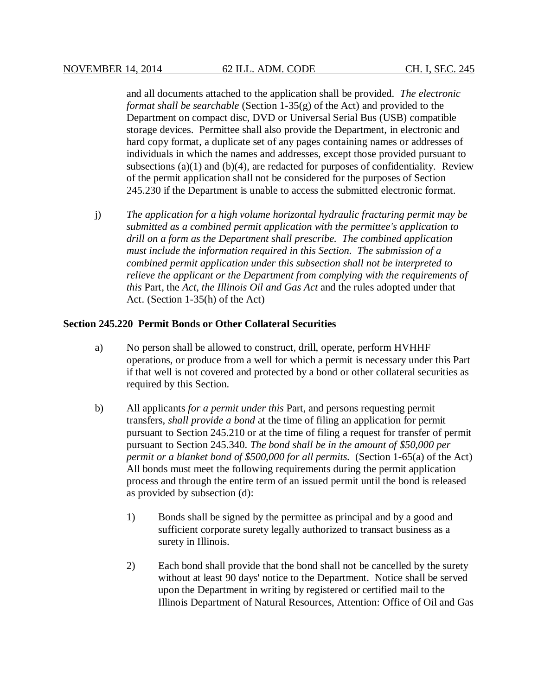and all documents attached to the application shall be provided. *The electronic format shall be searchable* (Section 1-35(g) of the Act) and provided to the Department on compact disc, DVD or Universal Serial Bus (USB) compatible storage devices. Permittee shall also provide the Department, in electronic and hard copy format, a duplicate set of any pages containing names or addresses of individuals in which the names and addresses, except those provided pursuant to subsections (a)(1) and (b)(4), are redacted for purposes of confidentiality. Review of the permit application shall not be considered for the purposes of Section 245.230 if the Department is unable to access the submitted electronic format.

j) *The application for a high volume horizontal hydraulic fracturing permit may be submitted as a combined permit application with the permittee's application to drill on a form as the Department shall prescribe. The combined application must include the information required in this Section. The submission of a combined permit application under this subsection shall not be interpreted to relieve the applicant or the Department from complying with the requirements of this* Part, the *Act, the Illinois Oil and Gas Act* and the rules adopted under that Act. (Section 1-35(h) of the Act)

## **Section 245.220 Permit Bonds or Other Collateral Securities**

- a) No person shall be allowed to construct, drill, operate, perform HVHHF operations, or produce from a well for which a permit is necessary under this Part if that well is not covered and protected by a bond or other collateral securities as required by this Section.
- b) All applicants *for a permit under this* Part, and persons requesting permit transfers, *shall provide a bond* at the time of filing an application for permit pursuant to Section 245.210 or at the time of filing a request for transfer of permit pursuant to Section 245.340. *The bond shall be in the amount of \$50,000 per permit or a blanket bond of \$500,000 for all permits.* (Section 1-65(a) of the Act) All bonds must meet the following requirements during the permit application process and through the entire term of an issued permit until the bond is released as provided by subsection (d):
	- 1) Bonds shall be signed by the permittee as principal and by a good and sufficient corporate surety legally authorized to transact business as a surety in Illinois.
	- 2) Each bond shall provide that the bond shall not be cancelled by the surety without at least 90 days' notice to the Department. Notice shall be served upon the Department in writing by registered or certified mail to the Illinois Department of Natural Resources, Attention: Office of Oil and Gas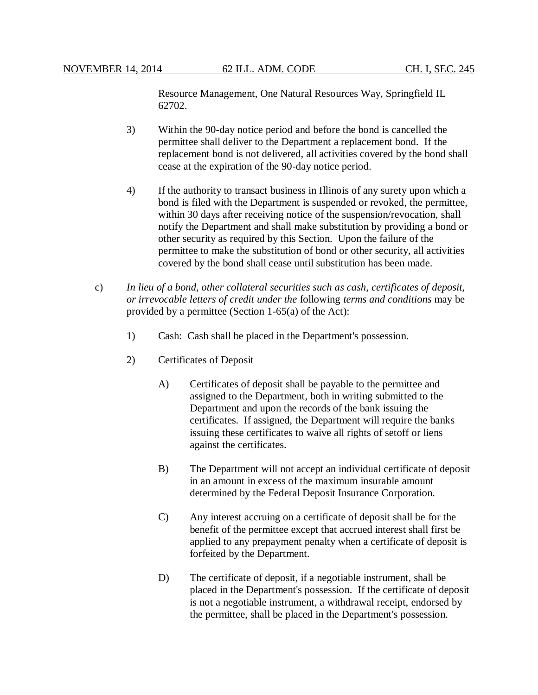Resource Management, One Natural Resources Way, Springfield IL 62702.

- 3) Within the 90-day notice period and before the bond is cancelled the permittee shall deliver to the Department a replacement bond. If the replacement bond is not delivered, all activities covered by the bond shall cease at the expiration of the 90-day notice period.
- 4) If the authority to transact business in Illinois of any surety upon which a bond is filed with the Department is suspended or revoked, the permittee, within 30 days after receiving notice of the suspension/revocation, shall notify the Department and shall make substitution by providing a bond or other security as required by this Section. Upon the failure of the permittee to make the substitution of bond or other security, all activities covered by the bond shall cease until substitution has been made.
- c) *In lieu of a bond, other collateral securities such as cash, certificates of deposit, or irrevocable letters of credit under the* following *terms and conditions* may be provided by a permittee (Section 1-65(a) of the Act):
	- 1) Cash: Cash shall be placed in the Department's possession.
	- 2) Certificates of Deposit
		- A) Certificates of deposit shall be payable to the permittee and assigned to the Department, both in writing submitted to the Department and upon the records of the bank issuing the certificates. If assigned, the Department will require the banks issuing these certificates to waive all rights of setoff or liens against the certificates.
		- B) The Department will not accept an individual certificate of deposit in an amount in excess of the maximum insurable amount determined by the Federal Deposit Insurance Corporation.
		- C) Any interest accruing on a certificate of deposit shall be for the benefit of the permittee except that accrued interest shall first be applied to any prepayment penalty when a certificate of deposit is forfeited by the Department.
		- D) The certificate of deposit, if a negotiable instrument, shall be placed in the Department's possession. If the certificate of deposit is not a negotiable instrument, a withdrawal receipt, endorsed by the permittee, shall be placed in the Department's possession.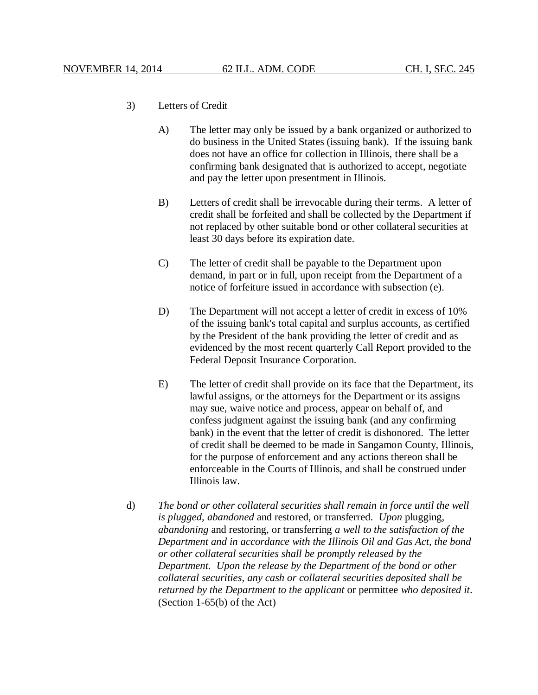#### 3) Letters of Credit

- A) The letter may only be issued by a bank organized or authorized to do business in the United States (issuing bank). If the issuing bank does not have an office for collection in Illinois, there shall be a confirming bank designated that is authorized to accept, negotiate and pay the letter upon presentment in Illinois.
- B) Letters of credit shall be irrevocable during their terms. A letter of credit shall be forfeited and shall be collected by the Department if not replaced by other suitable bond or other collateral securities at least 30 days before its expiration date.
- C) The letter of credit shall be payable to the Department upon demand, in part or in full, upon receipt from the Department of a notice of forfeiture issued in accordance with subsection (e).
- D) The Department will not accept a letter of credit in excess of 10% of the issuing bank's total capital and surplus accounts, as certified by the President of the bank providing the letter of credit and as evidenced by the most recent quarterly Call Report provided to the Federal Deposit Insurance Corporation.
- E) The letter of credit shall provide on its face that the Department, its lawful assigns, or the attorneys for the Department or its assigns may sue, waive notice and process, appear on behalf of, and confess judgment against the issuing bank (and any confirming bank) in the event that the letter of credit is dishonored. The letter of credit shall be deemed to be made in Sangamon County, Illinois, for the purpose of enforcement and any actions thereon shall be enforceable in the Courts of Illinois, and shall be construed under Illinois law.
- d) *The bond or other collateral securities shall remain in force until the well is plugged, abandoned* and restored, or transferred. *Upon* plugging, *abandoning* and restoring, or transferring *a well to the satisfaction of the Department and in accordance with the Illinois Oil and Gas Act, the bond or other collateral securities shall be promptly released by the Department. Upon the release by the Department of the bond or other collateral securities, any cash or collateral securities deposited shall be returned by the Department to the applicant* or permittee *who deposited it*. (Section 1-65(b) of the Act)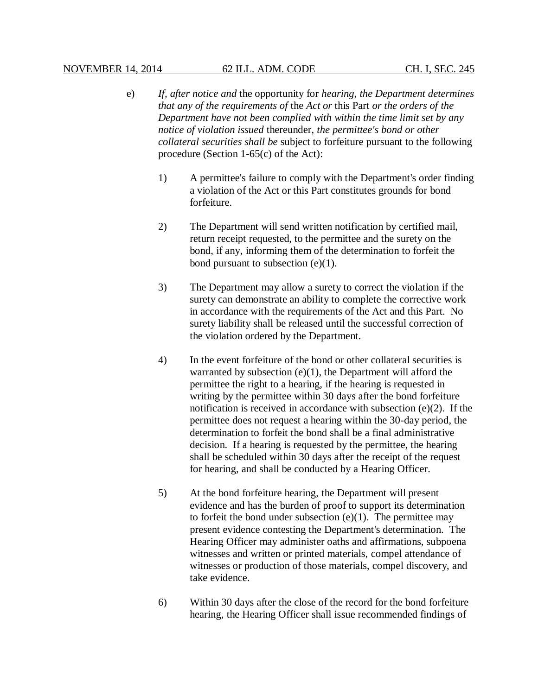- e) *If, after notice and* the opportunity for *hearing, the Department determines that any of the requirements of* the *Act or* this Part *or the orders of the Department have not been complied with within the time limit set by any notice of violation issued* thereunder, *the permittee's bond or other collateral securities shall be* subject to forfeiture pursuant to the following procedure (Section 1-65(c) of the Act):
	- 1) A permittee's failure to comply with the Department's order finding a violation of the Act or this Part constitutes grounds for bond forfeiture.
	- 2) The Department will send written notification by certified mail, return receipt requested, to the permittee and the surety on the bond, if any, informing them of the determination to forfeit the bond pursuant to subsection  $(e)(1)$ .
	- 3) The Department may allow a surety to correct the violation if the surety can demonstrate an ability to complete the corrective work in accordance with the requirements of the Act and this Part. No surety liability shall be released until the successful correction of the violation ordered by the Department.
	- 4) In the event forfeiture of the bond or other collateral securities is warranted by subsection  $(e)(1)$ , the Department will afford the permittee the right to a hearing, if the hearing is requested in writing by the permittee within 30 days after the bond forfeiture notification is received in accordance with subsection (e)(2). If the permittee does not request a hearing within the 30-day period, the determination to forfeit the bond shall be a final administrative decision. If a hearing is requested by the permittee, the hearing shall be scheduled within 30 days after the receipt of the request for hearing, and shall be conducted by a Hearing Officer.
	- 5) At the bond forfeiture hearing, the Department will present evidence and has the burden of proof to support its determination to forfeit the bond under subsection  $(e)(1)$ . The permittee may present evidence contesting the Department's determination. The Hearing Officer may administer oaths and affirmations, subpoena witnesses and written or printed materials, compel attendance of witnesses or production of those materials, compel discovery, and take evidence.
	- 6) Within 30 days after the close of the record for the bond forfeiture hearing, the Hearing Officer shall issue recommended findings of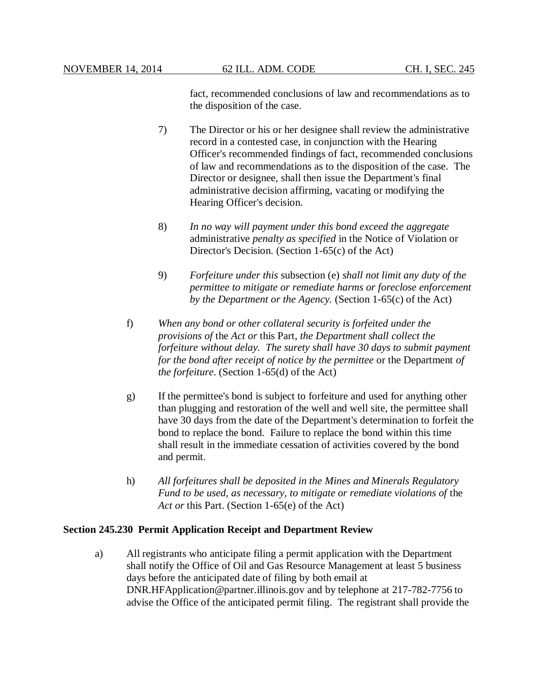fact, recommended conclusions of law and recommendations as to the disposition of the case.

- 7) The Director or his or her designee shall review the administrative record in a contested case, in conjunction with the Hearing Officer's recommended findings of fact, recommended conclusions of law and recommendations as to the disposition of the case. The Director or designee, shall then issue the Department's final administrative decision affirming, vacating or modifying the Hearing Officer's decision.
- 8) *In no way will payment under this bond exceed the aggregate* administrative *penalty as specified* in the Notice of Violation or Director's Decision. (Section 1-65(c) of the Act)
- 9) *Forfeiture under this* subsection (e) *shall not limit any duty of the permittee to mitigate or remediate harms or foreclose enforcement by the Department or the Agency.* (Section 1-65(c) of the Act)
- f) *When any bond or other collateral security is forfeited under the provisions of* the *Act or* this Part, *the Department shall collect the forfeiture without delay. The surety shall have 30 days to submit payment for the bond after receipt of notice by the permittee* or the Department *of the forfeiture*. (Section 1-65(d) of the Act)
- g) If the permittee's bond is subject to forfeiture and used for anything other than plugging and restoration of the well and well site, the permittee shall have 30 days from the date of the Department's determination to forfeit the bond to replace the bond. Failure to replace the bond within this time shall result in the immediate cessation of activities covered by the bond and permit.
- h) *All forfeitures shall be deposited in the Mines and Minerals Regulatory Fund to be used, as necessary, to mitigate or remediate violations of* the *Act or* this Part. (Section 1-65(e) of the Act)

#### **Section 245.230 Permit Application Receipt and Department Review**

a) All registrants who anticipate filing a permit application with the Department shall notify the Office of Oil and Gas Resource Management at least 5 business days before the anticipated date of filing by both email at DNR.HFApplication@partner.illinois.gov and by telephone at 217-782-7756 to advise the Office of the anticipated permit filing. The registrant shall provide the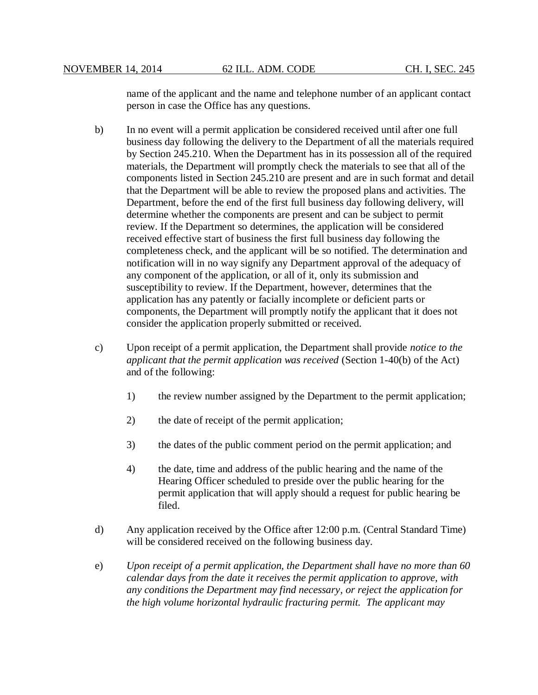name of the applicant and the name and telephone number of an applicant contact person in case the Office has any questions.

- b) In no event will a permit application be considered received until after one full business day following the delivery to the Department of all the materials required by Section 245.210. When the Department has in its possession all of the required materials, the Department will promptly check the materials to see that all of the components listed in Section 245.210 are present and are in such format and detail that the Department will be able to review the proposed plans and activities. The Department, before the end of the first full business day following delivery, will determine whether the components are present and can be subject to permit review. If the Department so determines, the application will be considered received effective start of business the first full business day following the completeness check, and the applicant will be so notified. The determination and notification will in no way signify any Department approval of the adequacy of any component of the application, or all of it, only its submission and susceptibility to review. If the Department, however, determines that the application has any patently or facially incomplete or deficient parts or components, the Department will promptly notify the applicant that it does not consider the application properly submitted or received.
- c) Upon receipt of a permit application, the Department shall provide *notice to the applicant that the permit application was received* (Section 1-40(b) of the Act) and of the following:
	- 1) the review number assigned by the Department to the permit application;
	- 2) the date of receipt of the permit application;
	- 3) the dates of the public comment period on the permit application; and
	- 4) the date, time and address of the public hearing and the name of the Hearing Officer scheduled to preside over the public hearing for the permit application that will apply should a request for public hearing be filed.
- d) Any application received by the Office after 12:00 p.m. (Central Standard Time) will be considered received on the following business day.
- e) *Upon receipt of a permit application, the Department shall have no more than 60 calendar days from the date it receives the permit application to approve, with any conditions the Department may find necessary, or reject the application for the high volume horizontal hydraulic fracturing permit. The applicant may*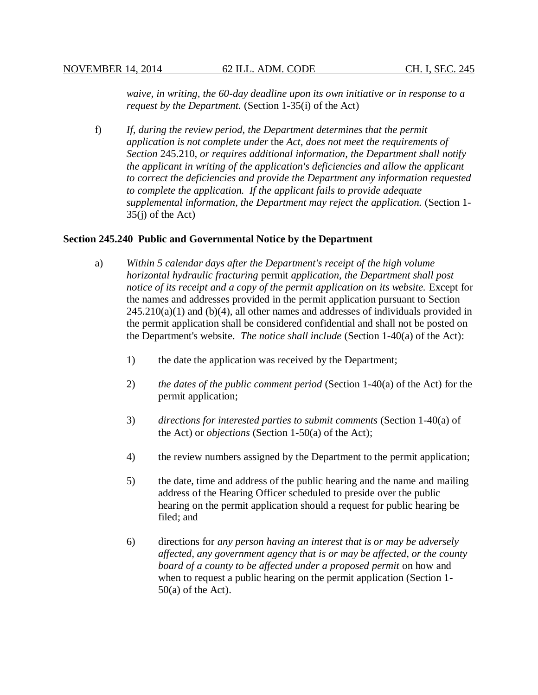*waive, in writing, the 60-day deadline upon its own initiative or in response to a request by the Department.* (Section 1-35(i) of the Act)

f) *If, during the review period, the Department determines that the permit application is not complete under* the *Act, does not meet the requirements of Section* 245.210, *or requires additional information, the Department shall notify the applicant in writing of the application's deficiencies and allow the applicant to correct the deficiencies and provide the Department any information requested to complete the application. If the applicant fails to provide adequate supplemental information, the Department may reject the application.* (Section 1-  $35(i)$  of the Act)

#### **Section 245.240 Public and Governmental Notice by the Department**

- a) *Within 5 calendar days after the Department's receipt of the high volume horizontal hydraulic fracturing* permit *application, the Department shall post notice of its receipt and a copy of the permit application on its website.* Except for the names and addresses provided in the permit application pursuant to Section  $245.210(a)(1)$  and  $(b)(4)$ , all other names and addresses of individuals provided in the permit application shall be considered confidential and shall not be posted on the Department's website. *The notice shall include* (Section 1-40(a) of the Act):
	- 1) the date the application was received by the Department;
	- 2) *the dates of the public comment period* (Section 1-40(a) of the Act) for the permit application;
	- 3) *directions for interested parties to submit comments* (Section 1-40(a) of the Act) or *objections* (Section 1-50(a) of the Act);
	- 4) the review numbers assigned by the Department to the permit application;
	- 5) the date, time and address of the public hearing and the name and mailing address of the Hearing Officer scheduled to preside over the public hearing on the permit application should a request for public hearing be filed; and
	- 6) directions for *any person having an interest that is or may be adversely affected, any government agency that is or may be affected, or the county board of a county to be affected under a proposed permit* on how and when to request a public hearing on the permit application (Section 1-  $50(a)$  of the Act).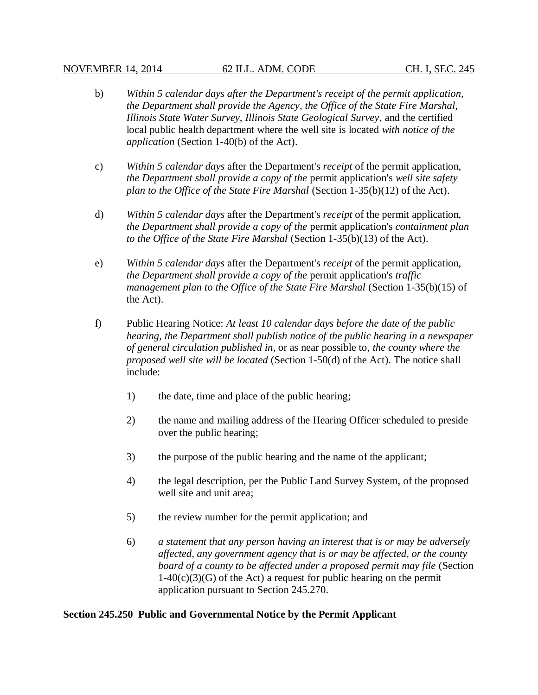### NOVEMBER 14, 2014 62 ILL. ADM. CODE CH. I, SEC. 245

- b) *Within 5 calendar days after the Department's receipt of the permit application, the Department shall provide the Agency, the Office of the State Fire Marshal, Illinois State Water Survey, Illinois State Geological Survey*, and the certified local public health department where the well site is located *with notice of the application* (Section 1-40(b) of the Act).
- c) *Within 5 calendar days* after the Department's *receipt* of the permit application, *the Department shall provide a copy of the* permit application's *well site safety plan to the Office of the State Fire Marshal* (Section 1-35(b)(12) of the Act).
- d) *Within 5 calendar days* after the Department's *receipt* of the permit application, *the Department shall provide a copy of the* permit application's *containment plan to the Office of the State Fire Marshal* (Section 1-35(b)(13) of the Act).
- e) *Within 5 calendar days* after the Department's *receipt* of the permit application, *the Department shall provide a copy of the* permit application's *traffic management plan to the Office of the State Fire Marshal* (Section 1-35(b)(15) of the Act).
- f) Public Hearing Notice: *At least 10 calendar days before the date of the public hearing, the Department shall publish notice of the public hearing in a newspaper of general circulation published in*, or as near possible to, *the county where the proposed well site will be located* (Section 1-50(d) of the Act). The notice shall include:
	- 1) the date, time and place of the public hearing;
	- 2) the name and mailing address of the Hearing Officer scheduled to preside over the public hearing;
	- 3) the purpose of the public hearing and the name of the applicant;
	- 4) the legal description, per the Public Land Survey System, of the proposed well site and unit area;
	- 5) the review number for the permit application; and
	- 6) *a statement that any person having an interest that is or may be adversely affected, any government agency that is or may be affected, or the county board of a county to be affected under a proposed permit may file* (Section  $1-40(c)(3)(G)$  of the Act) a request for public hearing on the permit application pursuant to Section 245.270.

## **Section 245.250 Public and Governmental Notice by the Permit Applicant**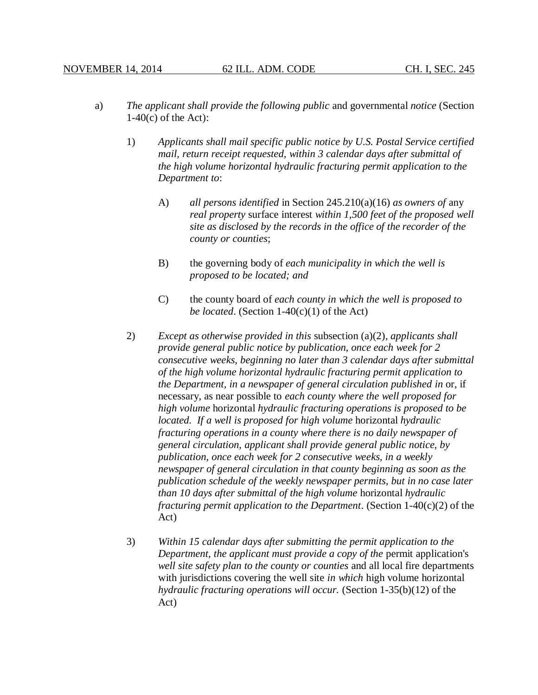- a) *The applicant shall provide the following public* and governmental *notice* (Section  $1-40(c)$  of the Act):
	- 1) *Applicants shall mail specific public notice by U.S. Postal Service certified mail, return receipt requested, within 3 calendar days after submittal of the high volume horizontal hydraulic fracturing permit application to the Department to*:
		- A) *all persons identified* in Section 245.210(a)(16) *as owners of* any *real property* surface interest *within 1,500 feet of the proposed well site as disclosed by the records in the office of the recorder of the county or counties*;
		- B) the governing body of *each municipality in which the well is proposed to be located; and*
		- C) the county board of *each county in which the well is proposed to be located*. (Section 1-40(c)(1) of the Act)
	- 2) *Except as otherwise provided in this* subsection (a)(2)*, applicants shall provide general public notice by publication, once each week for 2 consecutive weeks, beginning no later than 3 calendar days after submittal of the high volume horizontal hydraulic fracturing permit application to the Department, in a newspaper of general circulation published in* or, if necessary, as near possible to *each county where the well proposed for high volume* horizontal *hydraulic fracturing operations is proposed to be located. If a well is proposed for high volume* horizontal *hydraulic fracturing operations in a county where there is no daily newspaper of general circulation, applicant shall provide general public notice, by publication, once each week for 2 consecutive weeks, in a weekly newspaper of general circulation in that county beginning as soon as the publication schedule of the weekly newspaper permits, but in no case later than 10 days after submittal of the high volume* horizontal *hydraulic fracturing permit application to the Department*. (Section 1-40(c)(2) of the Act)
	- 3) *Within 15 calendar days after submitting the permit application to the Department, the applicant must provide a copy of the* permit application's *well site safety plan to the county or counties* and all local fire departments with jurisdictions covering the well site *in which* high volume horizontal *hydraulic fracturing operations will occur.* (Section 1-35(b)(12) of the Act)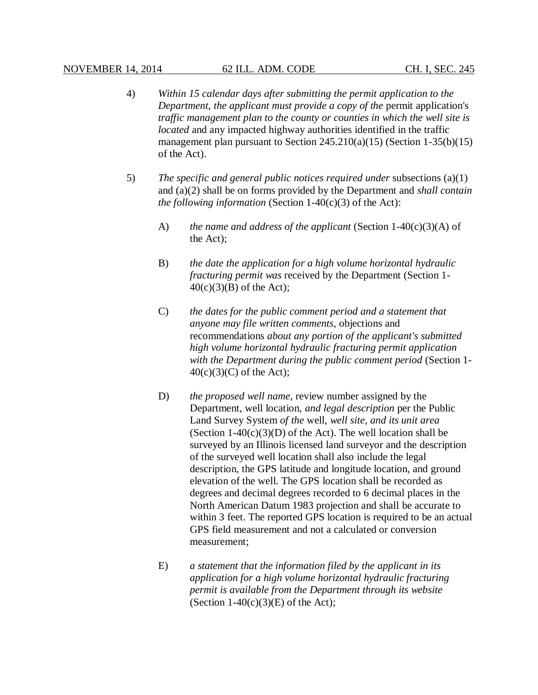- 4) *Within 15 calendar days after submitting the permit application to the Department, the applicant must provide a copy of the* permit application's *traffic management plan to the county or counties in which the well site is located* and any impacted highway authorities identified in the traffic management plan pursuant to Section  $245.210(a)(15)$  (Section 1-35(b)(15) of the Act).
- 5) *The specific and general public notices required under* subsections (a)(1) and (a)(2) shall be on forms provided by the Department and *shall contain the following information* (Section  $1-40(c)(3)$  of the Act):
	- A) *the name and address of the applicant* (Section 1-40(c)(3)(A) of the Act);
	- B) *the date the application for a high volume horizontal hydraulic fracturing permit was* received by the Department (Section 1- 40(c)(3)(B) of the Act);
	- C) *the dates for the public comment period and a statement that anyone may file written comments*, objections and recommendations *about any portion of the applicant's submitted high volume horizontal hydraulic fracturing permit application with the Department during the public comment period* (Section 1-  $40(c)(3)(C)$  of the Act);
	- D) *the proposed well name*, review number assigned by the Department, well location, *and legal description* per the Public Land Survey System *of the* well, *well site, and its unit area* (Section  $1-40(c)(3)(D)$  of the Act). The well location shall be surveyed by an Illinois licensed land surveyor and the description of the surveyed well location shall also include the legal description, the GPS latitude and longitude location, and ground elevation of the well. The GPS location shall be recorded as degrees and decimal degrees recorded to 6 decimal places in the North American Datum 1983 projection and shall be accurate to within 3 feet. The reported GPS location is required to be an actual GPS field measurement and not a calculated or conversion measurement;
	- E) *a statement that the information filed by the applicant in its application for a high volume horizontal hydraulic fracturing permit is available from the Department through its website* (Section  $1-40(c)(3)$ (E) of the Act);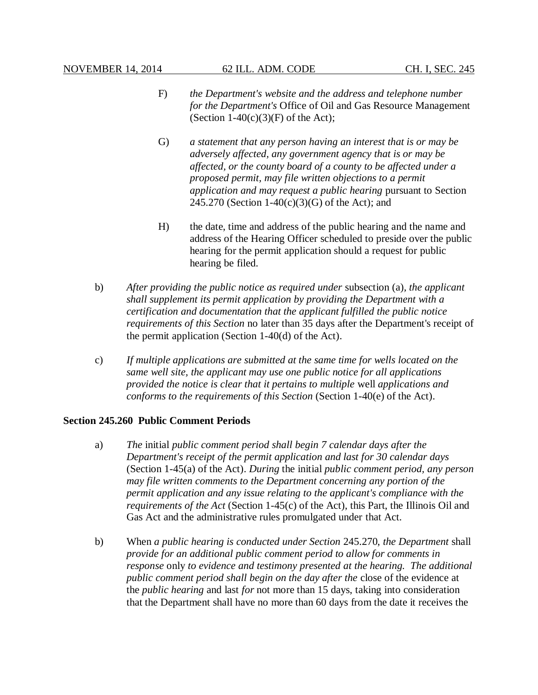- F) *the Department's website and the address and telephone number for the Department's* Office of Oil and Gas Resource Management (Section  $1-40(c)(3)(F)$  of the Act);
- G) *a statement that any person having an interest that is or may be adversely affected, any government agency that is or may be affected, or the county board of a county to be affected under a proposed permit, may file written objections to a permit application and may request a public hearing* pursuant to Section 245.270 (Section 1-40(c)(3)(G) of the Act); and
- H) the date, time and address of the public hearing and the name and address of the Hearing Officer scheduled to preside over the public hearing for the permit application should a request for public hearing be filed.
- b) *After providing the public notice as required under* subsection (a)*, the applicant shall supplement its permit application by providing the Department with a certification and documentation that the applicant fulfilled the public notice requirements of this Section* no later than 35 days after the Department's receipt of the permit application (Section 1-40(d) of the Act).
- c) *If multiple applications are submitted at the same time for wells located on the same well site, the applicant may use one public notice for all applications provided the notice is clear that it pertains to multiple* well *applications and conforms to the requirements of this Section* (Section 1-40(e) of the Act).

## **Section 245.260 Public Comment Periods**

- a) *The* initial *public comment period shall begin 7 calendar days after the Department's receipt of the permit application and last for 30 calendar days* (Section 1-45(a) of the Act). *During* the initial *public comment period, any person may file written comments to the Department concerning any portion of the permit application and any issue relating to the applicant's compliance with the requirements of the Act* (Section 1-45(c) of the Act), this Part, the Illinois Oil and Gas Act and the administrative rules promulgated under that Act.
- b) When *a public hearing is conducted under Section* 245.270, *the Department* shall *provide for an additional public comment period to allow for comments in response* only *to evidence and testimony presented at the hearing. The additional public comment period shall begin on the day after the* close of the evidence at the *public hearing* and last *for* not more than 15 days, taking into consideration that the Department shall have no more than 60 days from the date it receives the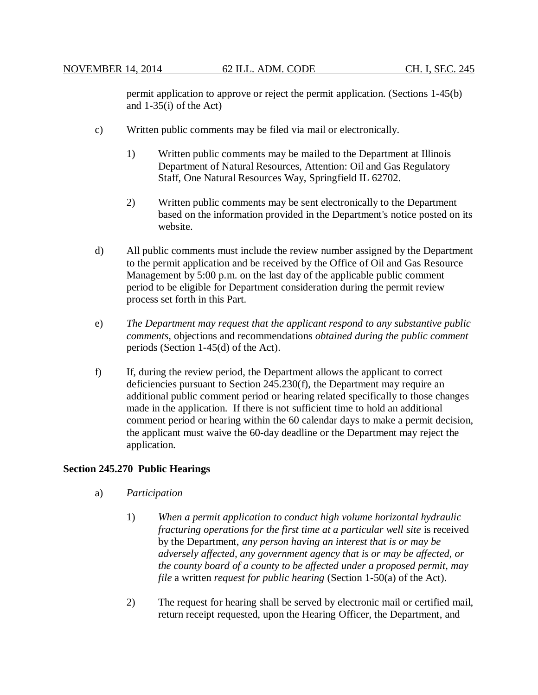permit application to approve or reject the permit application. (Sections 1-45(b) and 1-35(i) of the Act)

- c) Written public comments may be filed via mail or electronically.
	- 1) Written public comments may be mailed to the Department at Illinois Department of Natural Resources, Attention: Oil and Gas Regulatory Staff, One Natural Resources Way, Springfield IL 62702.
	- 2) Written public comments may be sent electronically to the Department based on the information provided in the Department's notice posted on its website.
- d) All public comments must include the review number assigned by the Department to the permit application and be received by the Office of Oil and Gas Resource Management by 5:00 p.m. on the last day of the applicable public comment period to be eligible for Department consideration during the permit review process set forth in this Part.
- e) *The Department may request that the applicant respond to any substantive public comments*, objections and recommendations *obtained during the public comment* periods (Section 1-45(d) of the Act).
- f) If, during the review period, the Department allows the applicant to correct deficiencies pursuant to Section 245.230(f), the Department may require an additional public comment period or hearing related specifically to those changes made in the application. If there is not sufficient time to hold an additional comment period or hearing within the 60 calendar days to make a permit decision, the applicant must waive the 60-day deadline or the Department may reject the application.

## **Section 245.270 Public Hearings**

- a) *Participation*
	- 1) *When a permit application to conduct high volume horizontal hydraulic fracturing operations for the first time at a particular well site* is received by the Department, *any person having an interest that is or may be adversely affected, any government agency that is or may be affected, or the county board of a county to be affected under a proposed permit, may file* a written *request for public hearing* (Section 1-50(a) of the Act).
	- 2) The request for hearing shall be served by electronic mail or certified mail, return receipt requested, upon the Hearing Officer, the Department, and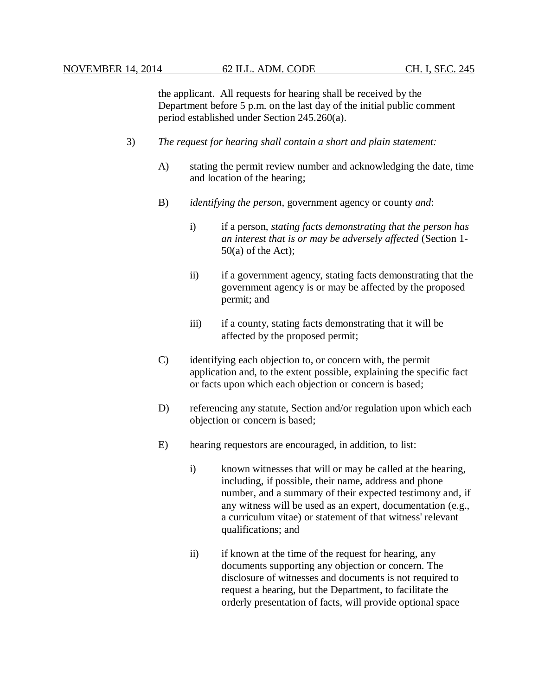the applicant. All requests for hearing shall be received by the Department before 5 p.m. on the last day of the initial public comment period established under Section 245.260(a).

- 3) *The request for hearing shall contain a short and plain statement:*
	- A) stating the permit review number and acknowledging the date, time and location of the hearing;
	- B) *identifying the person*, government agency or county *and*:
		- i) if a person, *stating facts demonstrating that the person has an interest that is or may be adversely affected* (Section 1-  $50(a)$  of the Act);
		- ii) if a government agency, stating facts demonstrating that the government agency is or may be affected by the proposed permit; and
		- iii) if a county, stating facts demonstrating that it will be affected by the proposed permit;
	- C) identifying each objection to, or concern with, the permit application and, to the extent possible, explaining the specific fact or facts upon which each objection or concern is based;
	- D) referencing any statute, Section and/or regulation upon which each objection or concern is based;
	- E) hearing requestors are encouraged, in addition, to list:
		- i) known witnesses that will or may be called at the hearing, including, if possible, their name, address and phone number, and a summary of their expected testimony and, if any witness will be used as an expert, documentation (e.g., a curriculum vitae) or statement of that witness' relevant qualifications; and
		- ii) if known at the time of the request for hearing, any documents supporting any objection or concern. The disclosure of witnesses and documents is not required to request a hearing, but the Department, to facilitate the orderly presentation of facts, will provide optional space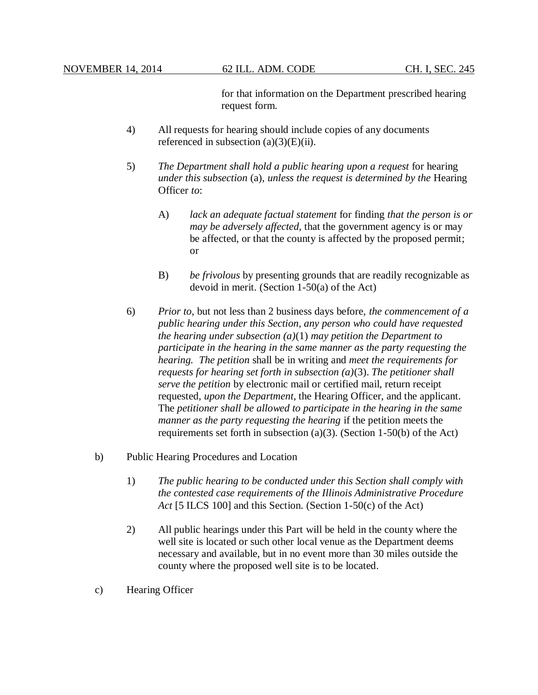for that information on the Department prescribed hearing request form.

- 4) All requests for hearing should include copies of any documents referenced in subsection  $(a)(3)(E)(ii)$ .
- 5) *The Department shall hold a public hearing upon a request* for hearing *under this subsection* (a)*, unless the request is determined by the* Hearing Officer *to*:
	- A) *lack an adequate factual statement* for finding *that the person is or may be adversely affected,* that the government agency is or may be affected, or that the county is affected by the proposed permit; or
	- B) *be frivolous* by presenting grounds that are readily recognizable as devoid in merit. (Section 1-50(a) of the Act)
- 6) *Prior to*, but not less than 2 business days before, *the commencement of a public hearing under this Section, any person who could have requested the hearing under subsection (a)*(1) *may petition the Department to participate in the hearing in the same manner as the party requesting the hearing. The petition* shall be in writing and *meet the requirements for requests for hearing set forth in subsection (a)*(3). *The petitioner shall serve the petition* by electronic mail or certified mail, return receipt requested, *upon the Department*, the Hearing Officer, and the applicant. The *petitioner shall be allowed to participate in the hearing in the same manner as the party requesting the hearing* if the petition meets the requirements set forth in subsection (a)(3). (Section 1-50(b) of the Act)
- b) Public Hearing Procedures and Location
	- 1) *The public hearing to be conducted under this Section shall comply with the contested case requirements of the Illinois Administrative Procedure Act* [5 ILCS 100] and this Section. (Section 1-50(c) of the Act)
	- 2) All public hearings under this Part will be held in the county where the well site is located or such other local venue as the Department deems necessary and available, but in no event more than 30 miles outside the county where the proposed well site is to be located.
- c) Hearing Officer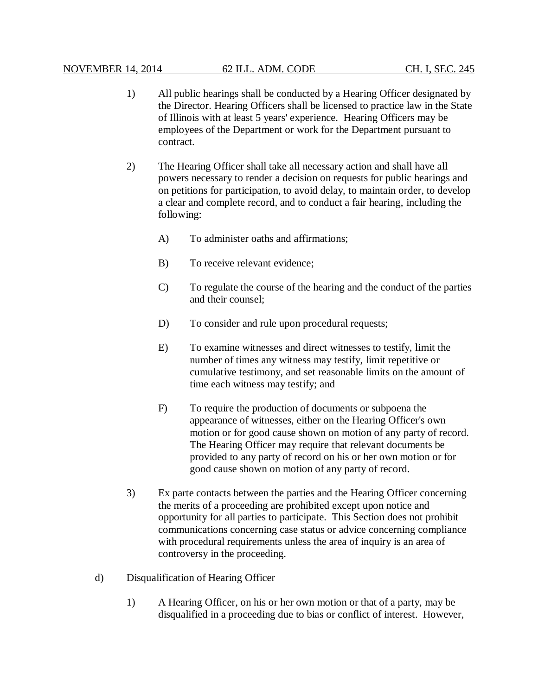- 1) All public hearings shall be conducted by a Hearing Officer designated by the Director. Hearing Officers shall be licensed to practice law in the State of Illinois with at least 5 years' experience. Hearing Officers may be employees of the Department or work for the Department pursuant to contract.
- 2) The Hearing Officer shall take all necessary action and shall have all powers necessary to render a decision on requests for public hearings and on petitions for participation, to avoid delay, to maintain order, to develop a clear and complete record, and to conduct a fair hearing, including the following:
	- A) To administer oaths and affirmations;
	- B) To receive relevant evidence;
	- C) To regulate the course of the hearing and the conduct of the parties and their counsel;
	- D) To consider and rule upon procedural requests;
	- E) To examine witnesses and direct witnesses to testify, limit the number of times any witness may testify, limit repetitive or cumulative testimony, and set reasonable limits on the amount of time each witness may testify; and
	- F) To require the production of documents or subpoena the appearance of witnesses, either on the Hearing Officer's own motion or for good cause shown on motion of any party of record. The Hearing Officer may require that relevant documents be provided to any party of record on his or her own motion or for good cause shown on motion of any party of record.
- 3) Ex parte contacts between the parties and the Hearing Officer concerning the merits of a proceeding are prohibited except upon notice and opportunity for all parties to participate. This Section does not prohibit communications concerning case status or advice concerning compliance with procedural requirements unless the area of inquiry is an area of controversy in the proceeding.
- d) Disqualification of Hearing Officer
	- 1) A Hearing Officer, on his or her own motion or that of a party, may be disqualified in a proceeding due to bias or conflict of interest. However,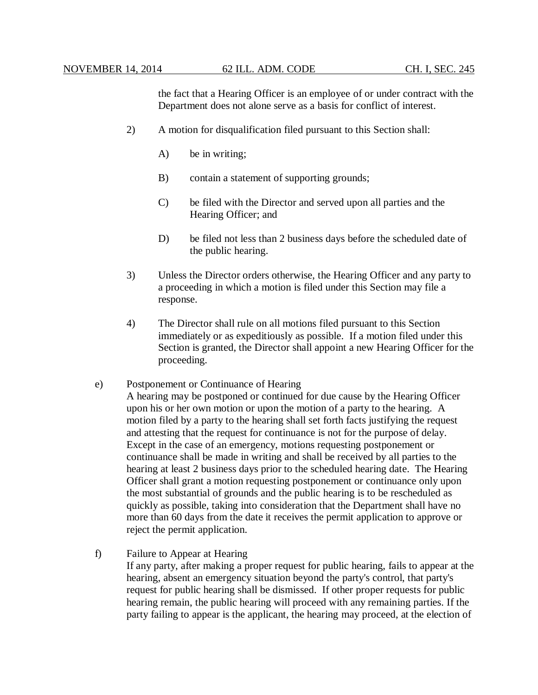the fact that a Hearing Officer is an employee of or under contract with the Department does not alone serve as a basis for conflict of interest.

- 2) A motion for disqualification filed pursuant to this Section shall:
	- A) be in writing;
	- B) contain a statement of supporting grounds;
	- C) be filed with the Director and served upon all parties and the Hearing Officer; and
	- D) be filed not less than 2 business days before the scheduled date of the public hearing.
- 3) Unless the Director orders otherwise, the Hearing Officer and any party to a proceeding in which a motion is filed under this Section may file a response.
- 4) The Director shall rule on all motions filed pursuant to this Section immediately or as expeditiously as possible. If a motion filed under this Section is granted, the Director shall appoint a new Hearing Officer for the proceeding.

#### e) Postponement or Continuance of Hearing

A hearing may be postponed or continued for due cause by the Hearing Officer upon his or her own motion or upon the motion of a party to the hearing. A motion filed by a party to the hearing shall set forth facts justifying the request and attesting that the request for continuance is not for the purpose of delay. Except in the case of an emergency, motions requesting postponement or continuance shall be made in writing and shall be received by all parties to the hearing at least 2 business days prior to the scheduled hearing date. The Hearing Officer shall grant a motion requesting postponement or continuance only upon the most substantial of grounds and the public hearing is to be rescheduled as quickly as possible, taking into consideration that the Department shall have no more than 60 days from the date it receives the permit application to approve or reject the permit application.

f) Failure to Appear at Hearing

If any party, after making a proper request for public hearing, fails to appear at the hearing, absent an emergency situation beyond the party's control, that party's request for public hearing shall be dismissed. If other proper requests for public hearing remain, the public hearing will proceed with any remaining parties. If the party failing to appear is the applicant, the hearing may proceed, at the election of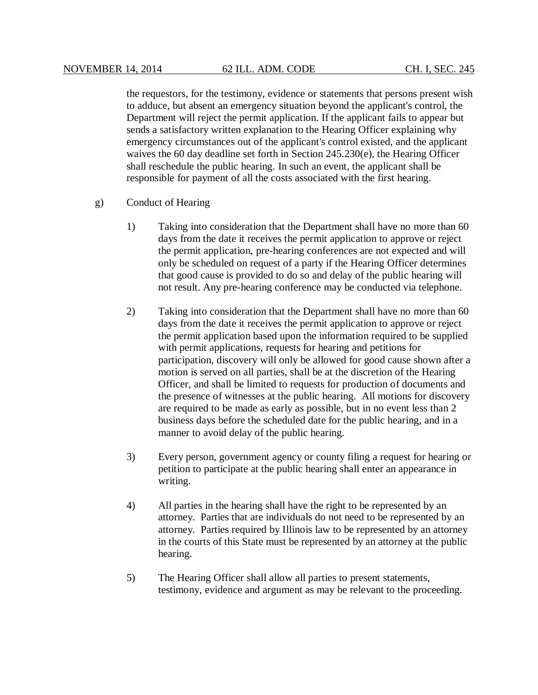the requestors, for the testimony, evidence or statements that persons present wish to adduce, but absent an emergency situation beyond the applicant's control, the Department will reject the permit application. If the applicant fails to appear but sends a satisfactory written explanation to the Hearing Officer explaining why emergency circumstances out of the applicant's control existed, and the applicant waives the 60 day deadline set forth in Section 245.230(e), the Hearing Officer shall reschedule the public hearing. In such an event, the applicant shall be responsible for payment of all the costs associated with the first hearing.

- g) Conduct of Hearing
	- 1) Taking into consideration that the Department shall have no more than 60 days from the date it receives the permit application to approve or reject the permit application, pre-hearing conferences are not expected and will only be scheduled on request of a party if the Hearing Officer determines that good cause is provided to do so and delay of the public hearing will not result. Any pre-hearing conference may be conducted via telephone.
	- 2) Taking into consideration that the Department shall have no more than 60 days from the date it receives the permit application to approve or reject the permit application based upon the information required to be supplied with permit applications, requests for hearing and petitions for participation, discovery will only be allowed for good cause shown after a motion is served on all parties, shall be at the discretion of the Hearing Officer, and shall be limited to requests for production of documents and the presence of witnesses at the public hearing. All motions for discovery are required to be made as early as possible, but in no event less than 2 business days before the scheduled date for the public hearing, and in a manner to avoid delay of the public hearing.
	- 3) Every person, government agency or county filing a request for hearing or petition to participate at the public hearing shall enter an appearance in writing.
	- 4) All parties in the hearing shall have the right to be represented by an attorney. Parties that are individuals do not need to be represented by an attorney. Parties required by Illinois law to be represented by an attorney in the courts of this State must be represented by an attorney at the public hearing.
	- 5) The Hearing Officer shall allow all parties to present statements, testimony, evidence and argument as may be relevant to the proceeding.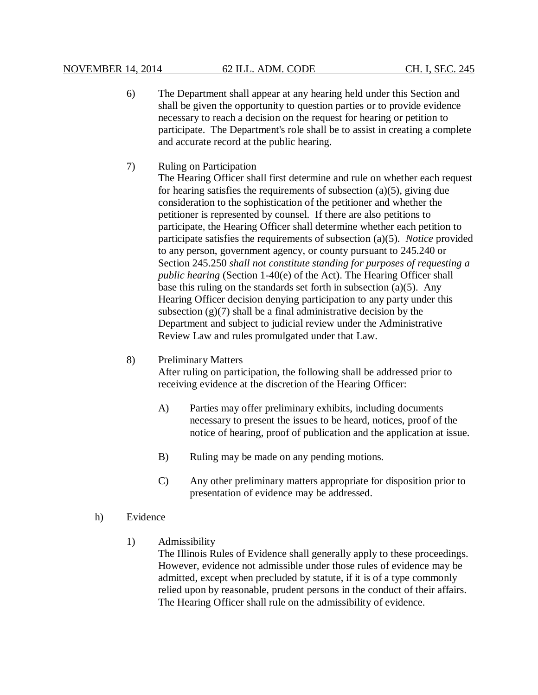- 6) The Department shall appear at any hearing held under this Section and shall be given the opportunity to question parties or to provide evidence necessary to reach a decision on the request for hearing or petition to participate. The Department's role shall be to assist in creating a complete and accurate record at the public hearing.
- 7) Ruling on Participation

The Hearing Officer shall first determine and rule on whether each request for hearing satisfies the requirements of subsection  $(a)(5)$ , giving due consideration to the sophistication of the petitioner and whether the petitioner is represented by counsel. If there are also petitions to participate, the Hearing Officer shall determine whether each petition to participate satisfies the requirements of subsection (a)(5). *Notice* provided to any person, government agency, or county pursuant to 245.240 or Section 245.250 *shall not constitute standing for purposes of requesting a public hearing* (Section 1-40(e) of the Act). The Hearing Officer shall base this ruling on the standards set forth in subsection (a)(5). Any Hearing Officer decision denying participation to any party under this subsection  $(g)(7)$  shall be a final administrative decision by the Department and subject to judicial review under the Administrative Review Law and rules promulgated under that Law.

## 8) Preliminary Matters

After ruling on participation, the following shall be addressed prior to receiving evidence at the discretion of the Hearing Officer:

- A) Parties may offer preliminary exhibits, including documents necessary to present the issues to be heard, notices, proof of the notice of hearing, proof of publication and the application at issue.
- B) Ruling may be made on any pending motions.
- C) Any other preliminary matters appropriate for disposition prior to presentation of evidence may be addressed.
- h) Evidence
	- 1) Admissibility

The Illinois Rules of Evidence shall generally apply to these proceedings. However, evidence not admissible under those rules of evidence may be admitted, except when precluded by statute, if it is of a type commonly relied upon by reasonable, prudent persons in the conduct of their affairs. The Hearing Officer shall rule on the admissibility of evidence.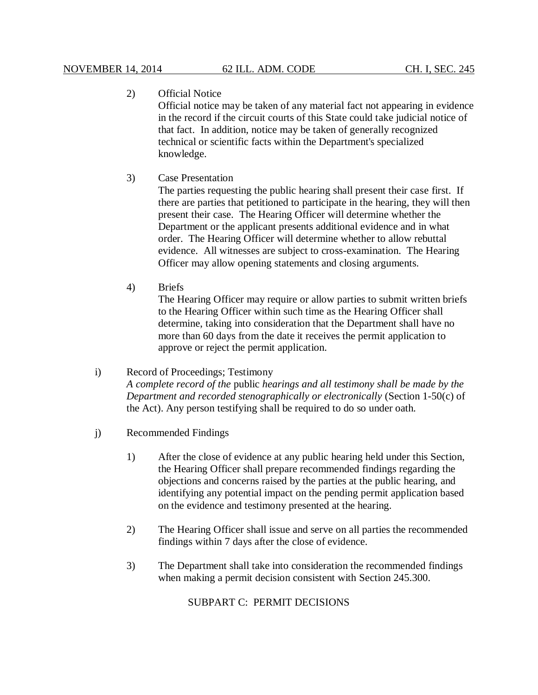# 2) Official Notice

Official notice may be taken of any material fact not appearing in evidence in the record if the circuit courts of this State could take judicial notice of that fact. In addition, notice may be taken of generally recognized technical or scientific facts within the Department's specialized knowledge.

3) Case Presentation

The parties requesting the public hearing shall present their case first. If there are parties that petitioned to participate in the hearing, they will then present their case. The Hearing Officer will determine whether the Department or the applicant presents additional evidence and in what order. The Hearing Officer will determine whether to allow rebuttal evidence. All witnesses are subject to cross-examination. The Hearing Officer may allow opening statements and closing arguments.

4) Briefs

The Hearing Officer may require or allow parties to submit written briefs to the Hearing Officer within such time as the Hearing Officer shall determine, taking into consideration that the Department shall have no more than 60 days from the date it receives the permit application to approve or reject the permit application.

## i) Record of Proceedings; Testimony

*A complete record of the* public *hearings and all testimony shall be made by the Department and recorded stenographically or electronically* (Section 1-50(c) of the Act). Any person testifying shall be required to do so under oath.

- j) Recommended Findings
	- 1) After the close of evidence at any public hearing held under this Section, the Hearing Officer shall prepare recommended findings regarding the objections and concerns raised by the parties at the public hearing, and identifying any potential impact on the pending permit application based on the evidence and testimony presented at the hearing.
	- 2) The Hearing Officer shall issue and serve on all parties the recommended findings within 7 days after the close of evidence.
	- 3) The Department shall take into consideration the recommended findings when making a permit decision consistent with Section 245.300.

SUBPART C: PERMIT DECISIONS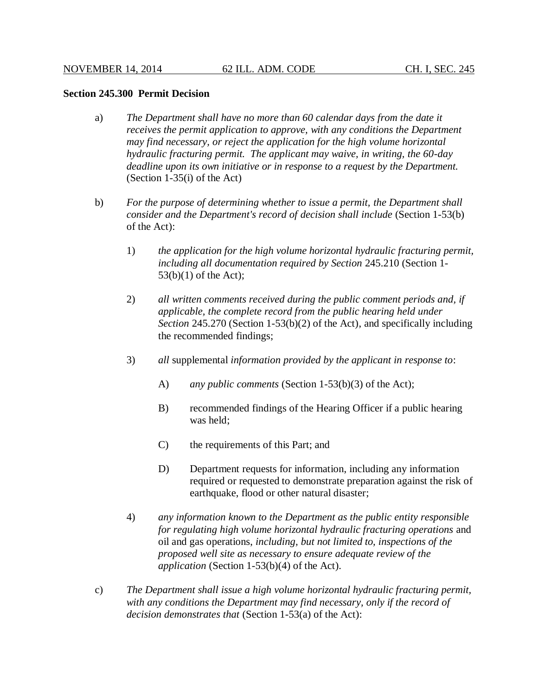#### **Section 245.300 Permit Decision**

- a) *The Department shall have no more than 60 calendar days from the date it receives the permit application to approve, with any conditions the Department may find necessary, or reject the application for the high volume horizontal hydraulic fracturing permit. The applicant may waive, in writing, the 60-day deadline upon its own initiative or in response to a request by the Department.* (Section 1-35(i) of the Act)
- b) *For the purpose of determining whether to issue a permit, the Department shall consider and the Department's record of decision shall include* (Section 1-53(b) of the Act):
	- 1) *the application for the high volume horizontal hydraulic fracturing permit, including all documentation required by Section* 245.210 (Section 1- 53(b)(1) of the Act);
	- 2) *all written comments received during the public comment periods and, if applicable, the complete record from the public hearing held under Section* 245.270 (Section 1-53(b)(2) of the Act), and specifically including the recommended findings;
	- 3) *all* supplemental *information provided by the applicant in response to*:
		- A) *any public comments* (Section 1-53(b)(3) of the Act);
		- B) recommended findings of the Hearing Officer if a public hearing was held;
		- C) the requirements of this Part; and
		- D) Department requests for information, including any information required or requested to demonstrate preparation against the risk of earthquake, flood or other natural disaster;
	- 4) *any information known to the Department as the public entity responsible for regulating high volume horizontal hydraulic fracturing operations* and oil and gas operations, *including, but not limited to, inspections of the proposed well site as necessary to ensure adequate review of the application* (Section 1-53(b)(4) of the Act).
- c) *The Department shall issue a high volume horizontal hydraulic fracturing permit, with any conditions the Department may find necessary, only if the record of decision demonstrates that* (Section 1-53(a) of the Act):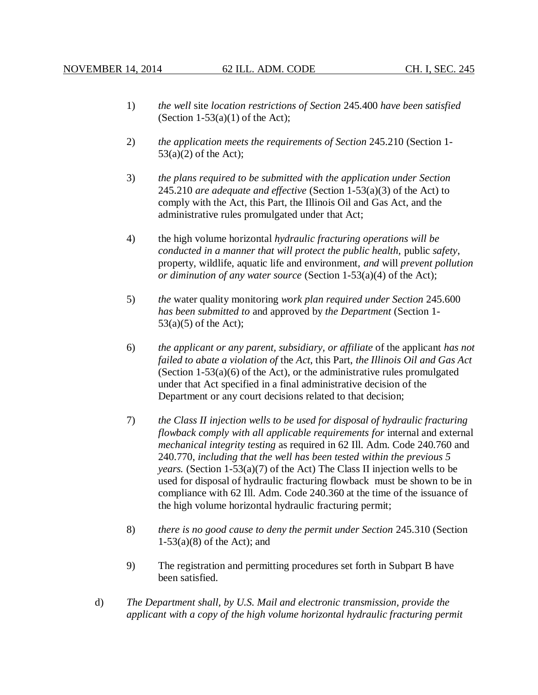- 1) *the well* site *location restrictions of Section* 245.400 *have been satisfied* (Section  $1-53(a)(1)$  of the Act):
- 2) *the application meets the requirements of Section* 245.210 (Section 1-  $53(a)(2)$  of the Act);
- 3) *the plans required to be submitted with the application under Section* 245.210 *are adequate and effective* (Section 1-53(a)(3) of the Act) to comply with the Act, this Part, the Illinois Oil and Gas Act, and the administrative rules promulgated under that Act;
- 4) the high volume horizontal *hydraulic fracturing operations will be conducted in a manner that will protect the public health,* public *safety*, property, wildlife, aquatic life and environment, *and* will *prevent pollution or diminution of any water source* (Section 1-53(a)(4) of the Act);
- 5) *the* water quality monitoring *work plan required under Section* 245.600 *has been submitted to* and approved by *the Department* (Section 1-  $53(a)(5)$  of the Act);
- 6) *the applicant or any parent, subsidiary, or affiliate* of the applicant *has not failed to abate a violation of* the *Act*, this Part, *the Illinois Oil and Gas Act* (Section  $1-53(a)(6)$  of the Act), or the administrative rules promulgated under that Act specified in a final administrative decision of the Department or any court decisions related to that decision;
- 7) *the Class II injection wells to be used for disposal of hydraulic fracturing flowback comply with all applicable requirements for* internal and external *mechanical integrity testing* as required in 62 Ill. Adm. Code 240.760 and 240.770, *including that the well has been tested within the previous 5 years.* (Section 1-53(a)(7) of the Act) The Class II injection wells to be used for disposal of hydraulic fracturing flowback must be shown to be in compliance with 62 Ill. Adm. Code 240.360 at the time of the issuance of the high volume horizontal hydraulic fracturing permit;
- 8) *there is no good cause to deny the permit under Section* 245.310 (Section  $1-53(a)(8)$  of the Act); and
- 9) The registration and permitting procedures set forth in Subpart B have been satisfied.
- d) *The Department shall, by U.S. Mail and electronic transmission, provide the applicant with a copy of the high volume horizontal hydraulic fracturing permit*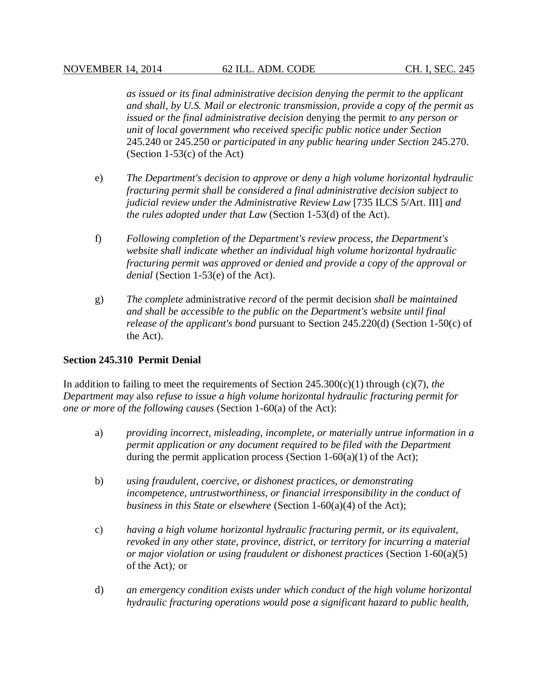*as issued or its final administrative decision denying the permit to the applicant and shall, by U.S. Mail or electronic transmission, provide a copy of the permit as issued or the final administrative decision* denying the permit *to any person or unit of local government who received specific public notice under Section* 245.240 or 245.250 *or participated in any public hearing under Section* 245.270. (Section 1-53(c) of the Act)

- e) *The Department's decision to approve or deny a high volume horizontal hydraulic fracturing permit shall be considered a final administrative decision subject to judicial review under the Administrative Review Law* [735 ILCS 5/Art. III] *and the rules adopted under that Law* (Section 1-53(d) of the Act).
- f) *Following completion of the Department's review process, the Department's website shall indicate whether an individual high volume horizontal hydraulic fracturing permit was approved or denied and provide a copy of the approval or denial* (Section 1-53(e) of the Act).
- g) *The complete* administrative *record* of the permit decision *shall be maintained and shall be accessible to the public on the Department's website until final release of the applicant's bond* pursuant to Section 245.220(d) (Section 1-50(c) of the Act).

## **Section 245.310 Permit Denial**

In addition to failing to meet the requirements of Section 245.300(c)(1) through (c)(7), *the Department may* also *refuse to issue a high volume horizontal hydraulic fracturing permit for one or more of the following causes* (Section 1-60(a) of the Act):

- a) *providing incorrect, misleading, incomplete, or materially untrue information in a permit application or any document required to be filed with the Department* during the permit application process (Section  $1-60(a)(1)$  of the Act);
- b) *using fraudulent, coercive, or dishonest practices, or demonstrating incompetence, untrustworthiness, or financial irresponsibility in the conduct of business in this State or elsewhere* (Section 1-60(a)(4) of the Act);
- c) *having a high volume horizontal hydraulic fracturing permit, or its equivalent, revoked in any other state, province, district, or territory for incurring a material or major violation or using fraudulent or dishonest practices* (Section 1-60(a)(5) of the Act)*;* or
- d) *an emergency condition exists under which conduct of the high volume horizontal hydraulic fracturing operations would pose a significant hazard to public health,*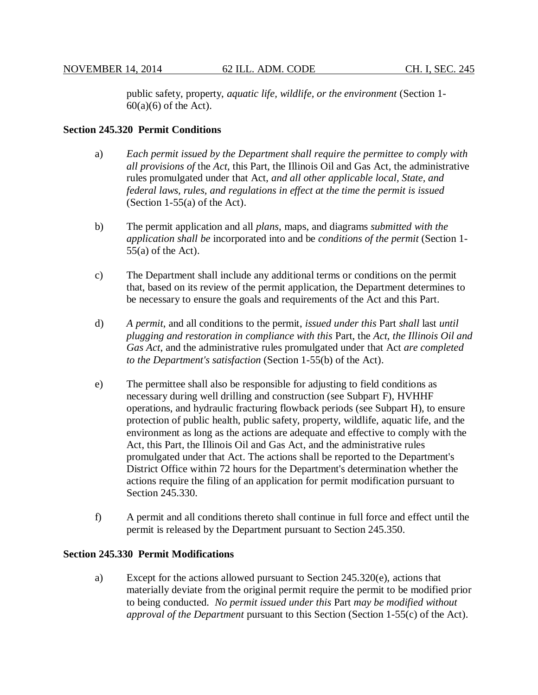public safety, property, *aquatic life, wildlife, or the environment* (Section 1-  $60(a)(6)$  of the Act).

## **Section 245.320 Permit Conditions**

- a) *Each permit issued by the Department shall require the permittee to comply with all provisions of* the *Act*, this Part, the Illinois Oil and Gas Act, the administrative rules promulgated under that Act, *and all other applicable local, State, and federal laws, rules, and regulations in effect at the time the permit is issued* (Section 1-55(a) of the Act).
- b) The permit application and all *plans*, maps, and diagrams *submitted with the application shall be* incorporated into and be *conditions of the permit* (Section 1-  $55(a)$  of the Act).
- c) The Department shall include any additional terms or conditions on the permit that, based on its review of the permit application, the Department determines to be necessary to ensure the goals and requirements of the Act and this Part.
- d) *A permit*, and all conditions to the permit, *issued under this* Part *shall* last *until plugging and restoration in compliance with this* Part, the *Act*, *the Illinois Oil and Gas Act*, and the administrative rules promulgated under that Act *are completed to the Department's satisfaction* (Section 1-55(b) of the Act).
- e) The permittee shall also be responsible for adjusting to field conditions as necessary during well drilling and construction (see Subpart F), HVHHF operations, and hydraulic fracturing flowback periods (see Subpart H), to ensure protection of public health, public safety, property, wildlife, aquatic life, and the environment as long as the actions are adequate and effective to comply with the Act, this Part, the Illinois Oil and Gas Act, and the administrative rules promulgated under that Act. The actions shall be reported to the Department's District Office within 72 hours for the Department's determination whether the actions require the filing of an application for permit modification pursuant to Section 245.330.
- f) A permit and all conditions thereto shall continue in full force and effect until the permit is released by the Department pursuant to Section 245.350.

### **Section 245.330 Permit Modifications**

a) Except for the actions allowed pursuant to Section 245.320(e), actions that materially deviate from the original permit require the permit to be modified prior to being conducted. *No permit issued under this* Part *may be modified without approval of the Department* pursuant to this Section (Section 1-55(c) of the Act).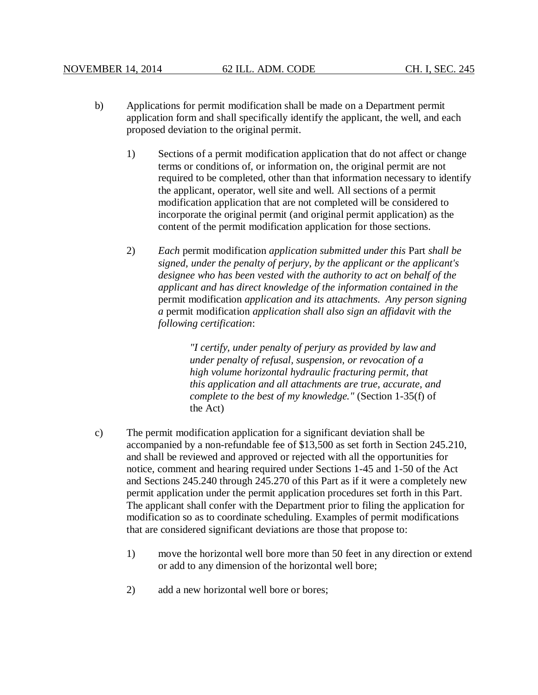- b) Applications for permit modification shall be made on a Department permit application form and shall specifically identify the applicant, the well, and each proposed deviation to the original permit.
	- 1) Sections of a permit modification application that do not affect or change terms or conditions of, or information on, the original permit are not required to be completed, other than that information necessary to identify the applicant, operator, well site and well. All sections of a permit modification application that are not completed will be considered to incorporate the original permit (and original permit application) as the content of the permit modification application for those sections.
	- 2) *Each* permit modification *application submitted under this* Part *shall be signed, under the penalty of perjury, by the applicant or the applicant's designee who has been vested with the authority to act on behalf of the applicant and has direct knowledge of the information contained in the* permit modification *application and its attachments*. *Any person signing a* permit modification *application shall also sign an affidavit with the following certification*:

*"I certify, under penalty of perjury as provided by law and under penalty of refusal, suspension, or revocation of a high volume horizontal hydraulic fracturing permit, that this application and all attachments are true, accurate, and complete to the best of my knowledge."* (Section 1-35(f) of the Act)

- c) The permit modification application for a significant deviation shall be accompanied by a non-refundable fee of \$13,500 as set forth in Section 245.210, and shall be reviewed and approved or rejected with all the opportunities for notice, comment and hearing required under Sections 1-45 and 1-50 of the Act and Sections 245.240 through 245.270 of this Part as if it were a completely new permit application under the permit application procedures set forth in this Part. The applicant shall confer with the Department prior to filing the application for modification so as to coordinate scheduling. Examples of permit modifications that are considered significant deviations are those that propose to:
	- 1) move the horizontal well bore more than 50 feet in any direction or extend or add to any dimension of the horizontal well bore;
	- 2) add a new horizontal well bore or bores;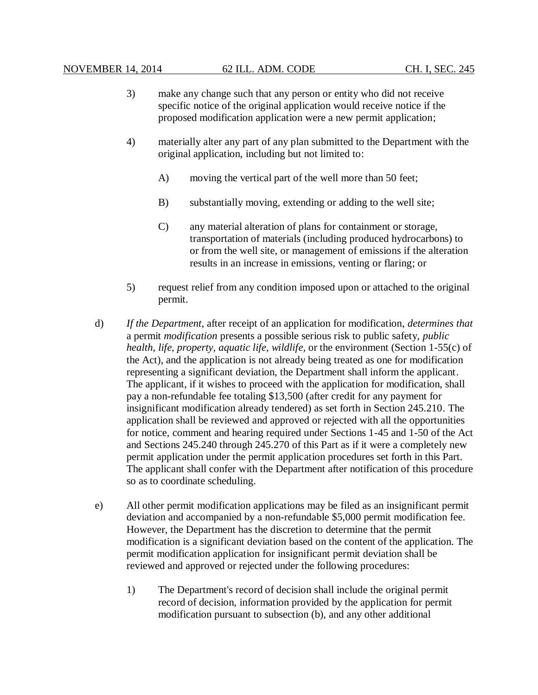- 3) make any change such that any person or entity who did not receive specific notice of the original application would receive notice if the proposed modification application were a new permit application;
- 4) materially alter any part of any plan submitted to the Department with the original application, including but not limited to:
	- A) moving the vertical part of the well more than 50 feet;
	- B) substantially moving, extending or adding to the well site;
	- C) any material alteration of plans for containment or storage, transportation of materials (including produced hydrocarbons) to or from the well site, or management of emissions if the alteration results in an increase in emissions, venting or flaring; or
- 5) request relief from any condition imposed upon or attached to the original permit.
- d) *If the Department*, after receipt of an application for modification, *determines that*  a permit *modification* presents a possible serious risk to public safety, *public health, life, property, aquatic life, wildlife,* or the environment (Section 1-55(c) of the Act), and the application is not already being treated as one for modification representing a significant deviation, the Department shall inform the applicant. The applicant, if it wishes to proceed with the application for modification, shall pay a non-refundable fee totaling \$13,500 (after credit for any payment for insignificant modification already tendered) as set forth in Section 245.210. The application shall be reviewed and approved or rejected with all the opportunities for notice, comment and hearing required under Sections 1-45 and 1-50 of the Act and Sections 245.240 through 245.270 of this Part as if it were a completely new permit application under the permit application procedures set forth in this Part. The applicant shall confer with the Department after notification of this procedure so as to coordinate scheduling.
- e) All other permit modification applications may be filed as an insignificant permit deviation and accompanied by a non-refundable \$5,000 permit modification fee. However, the Department has the discretion to determine that the permit modification is a significant deviation based on the content of the application. The permit modification application for insignificant permit deviation shall be reviewed and approved or rejected under the following procedures:
	- 1) The Department's record of decision shall include the original permit record of decision, information provided by the application for permit modification pursuant to subsection (b), and any other additional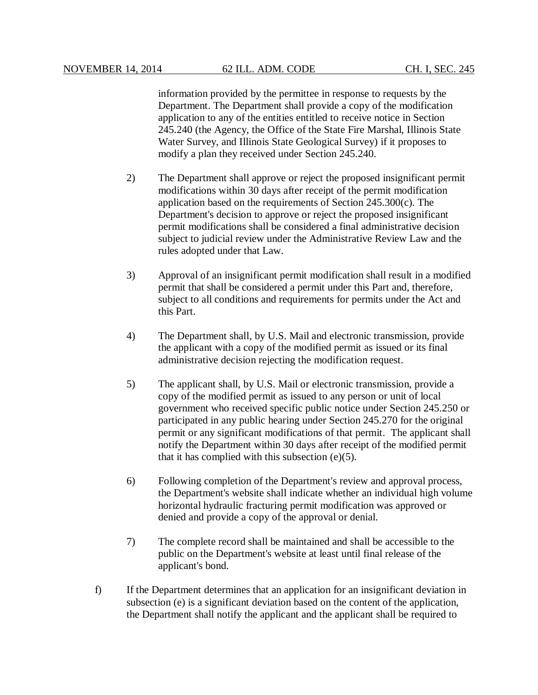information provided by the permittee in response to requests by the Department. The Department shall provide a copy of the modification application to any of the entities entitled to receive notice in Section 245.240 (the Agency, the Office of the State Fire Marshal, Illinois State Water Survey, and Illinois State Geological Survey) if it proposes to modify a plan they received under Section 245.240.

- 2) The Department shall approve or reject the proposed insignificant permit modifications within 30 days after receipt of the permit modification application based on the requirements of Section 245.300(c). The Department's decision to approve or reject the proposed insignificant permit modifications shall be considered a final administrative decision subject to judicial review under the Administrative Review Law and the rules adopted under that Law.
- 3) Approval of an insignificant permit modification shall result in a modified permit that shall be considered a permit under this Part and, therefore, subject to all conditions and requirements for permits under the Act and this Part.
- 4) The Department shall, by U.S. Mail and electronic transmission, provide the applicant with a copy of the modified permit as issued or its final administrative decision rejecting the modification request.
- 5) The applicant shall, by U.S. Mail or electronic transmission, provide a copy of the modified permit as issued to any person or unit of local government who received specific public notice under Section 245.250 or participated in any public hearing under Section 245.270 for the original permit or any significant modifications of that permit. The applicant shall notify the Department within 30 days after receipt of the modified permit that it has complied with this subsection  $(e)(5)$ .
- 6) Following completion of the Department's review and approval process, the Department's website shall indicate whether an individual high volume horizontal hydraulic fracturing permit modification was approved or denied and provide a copy of the approval or denial.
- 7) The complete record shall be maintained and shall be accessible to the public on the Department's website at least until final release of the applicant's bond.
- f) If the Department determines that an application for an insignificant deviation in subsection (e) is a significant deviation based on the content of the application, the Department shall notify the applicant and the applicant shall be required to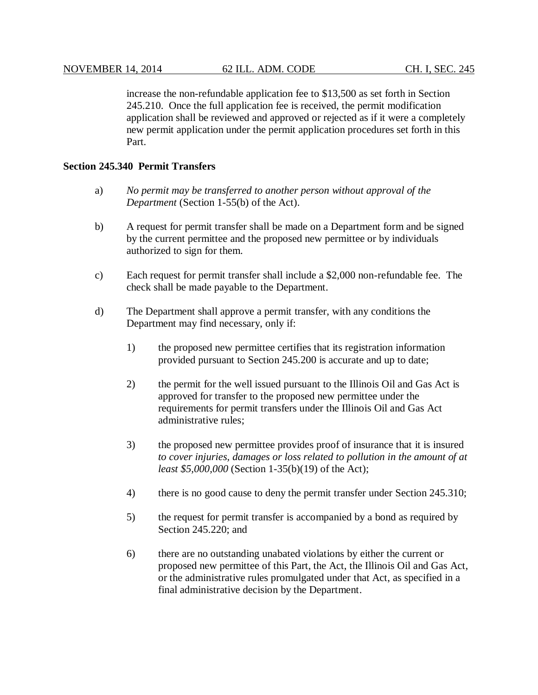increase the non-refundable application fee to \$13,500 as set forth in Section 245.210. Once the full application fee is received, the permit modification application shall be reviewed and approved or rejected as if it were a completely new permit application under the permit application procedures set forth in this Part.

# **Section 245.340 Permit Transfers**

- a) *No permit may be transferred to another person without approval of the Department* (Section 1-55(b) of the Act).
- b) A request for permit transfer shall be made on a Department form and be signed by the current permittee and the proposed new permittee or by individuals authorized to sign for them.
- c) Each request for permit transfer shall include a \$2,000 non-refundable fee. The check shall be made payable to the Department.
- d) The Department shall approve a permit transfer, with any conditions the Department may find necessary, only if:
	- 1) the proposed new permittee certifies that its registration information provided pursuant to Section 245.200 is accurate and up to date;
	- 2) the permit for the well issued pursuant to the Illinois Oil and Gas Act is approved for transfer to the proposed new permittee under the requirements for permit transfers under the Illinois Oil and Gas Act administrative rules;
	- 3) the proposed new permittee provides proof of insurance that it is insured *to cover injuries, damages or loss related to pollution in the amount of at least \$5,000,000* (Section 1-35(b)(19) of the Act);
	- 4) there is no good cause to deny the permit transfer under Section 245.310;
	- 5) the request for permit transfer is accompanied by a bond as required by Section 245.220; and
	- 6) there are no outstanding unabated violations by either the current or proposed new permittee of this Part, the Act, the Illinois Oil and Gas Act, or the administrative rules promulgated under that Act, as specified in a final administrative decision by the Department.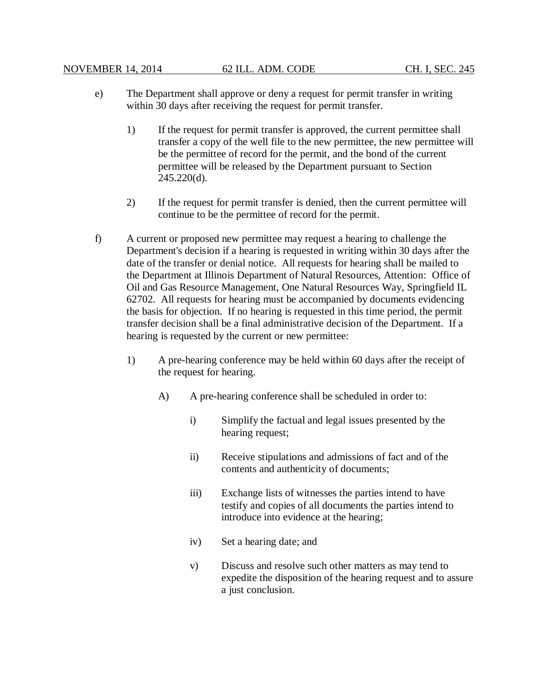- e) The Department shall approve or deny a request for permit transfer in writing within 30 days after receiving the request for permit transfer.
	- 1) If the request for permit transfer is approved, the current permittee shall transfer a copy of the well file to the new permittee, the new permittee will be the permittee of record for the permit, and the bond of the current permittee will be released by the Department pursuant to Section 245.220(d).
	- 2) If the request for permit transfer is denied, then the current permittee will continue to be the permittee of record for the permit.
- f) A current or proposed new permittee may request a hearing to challenge the Department's decision if a hearing is requested in writing within 30 days after the date of the transfer or denial notice. All requests for hearing shall be mailed to the Department at Illinois Department of Natural Resources, Attention: Office of Oil and Gas Resource Management, One Natural Resources Way, Springfield IL 62702. All requests for hearing must be accompanied by documents evidencing the basis for objection. If no hearing is requested in this time period, the permit transfer decision shall be a final administrative decision of the Department. If a hearing is requested by the current or new permittee:
	- 1) A pre-hearing conference may be held within 60 days after the receipt of the request for hearing.
		- A) A pre-hearing conference shall be scheduled in order to:
			- i) Simplify the factual and legal issues presented by the hearing request;
			- ii) Receive stipulations and admissions of fact and of the contents and authenticity of documents;
			- iii) Exchange lists of witnesses the parties intend to have testify and copies of all documents the parties intend to introduce into evidence at the hearing;
			- iv) Set a hearing date; and
			- v) Discuss and resolve such other matters as may tend to expedite the disposition of the hearing request and to assure a just conclusion.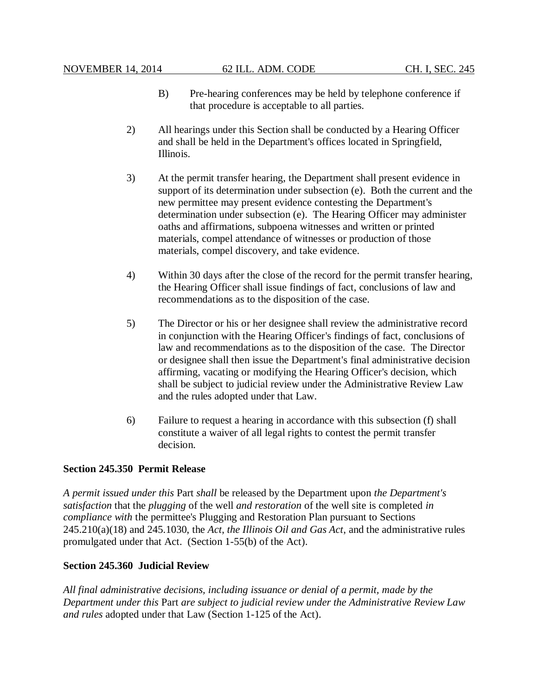- B) Pre-hearing conferences may be held by telephone conference if that procedure is acceptable to all parties.
- 2) All hearings under this Section shall be conducted by a Hearing Officer and shall be held in the Department's offices located in Springfield, Illinois.
- 3) At the permit transfer hearing, the Department shall present evidence in support of its determination under subsection (e). Both the current and the new permittee may present evidence contesting the Department's determination under subsection (e). The Hearing Officer may administer oaths and affirmations, subpoena witnesses and written or printed materials, compel attendance of witnesses or production of those materials, compel discovery, and take evidence.
- 4) Within 30 days after the close of the record for the permit transfer hearing, the Hearing Officer shall issue findings of fact, conclusions of law and recommendations as to the disposition of the case.
- 5) The Director or his or her designee shall review the administrative record in conjunction with the Hearing Officer's findings of fact, conclusions of law and recommendations as to the disposition of the case. The Director or designee shall then issue the Department's final administrative decision affirming, vacating or modifying the Hearing Officer's decision, which shall be subject to judicial review under the Administrative Review Law and the rules adopted under that Law.
- 6) Failure to request a hearing in accordance with this subsection (f) shall constitute a waiver of all legal rights to contest the permit transfer decision.

## **Section 245.350 Permit Release**

*A permit issued under this* Part *shall* be released by the Department upon *the Department's satisfaction* that the *plugging* of the well *and restoration* of the well site is completed *in compliance with* the permittee's Plugging and Restoration Plan pursuant to Sections 245.210(a)(18) and 245.1030, the *Act*, *the Illinois Oil and Gas Act*, and the administrative rules promulgated under that Act. (Section 1-55(b) of the Act).

## **Section 245.360 Judicial Review**

*All final administrative decisions, including issuance or denial of a permit, made by the Department under this* Part *are subject to judicial review under the Administrative Review Law and rules* adopted under that Law (Section 1-125 of the Act).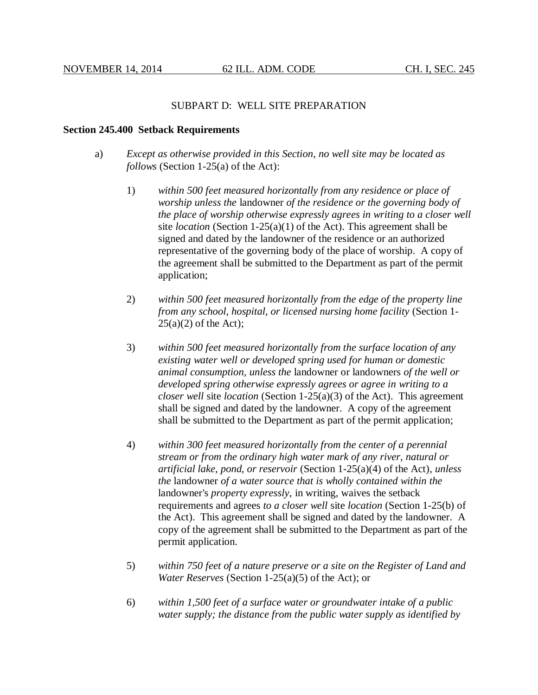### SUBPART D: WELL SITE PREPARATION

#### **Section 245.400 Setback Requirements**

- a) *Except as otherwise provided in this Section, no well site may be located as follows* (Section 1-25(a) of the Act):
	- 1) *within 500 feet measured horizontally from any residence or place of worship unless the* landowner *of the residence or the governing body of the place of worship otherwise expressly agrees in writing to a closer well* site *location* (Section 1-25(a)(1) of the Act). This agreement shall be signed and dated by the landowner of the residence or an authorized representative of the governing body of the place of worship. A copy of the agreement shall be submitted to the Department as part of the permit application;
	- 2) *within 500 feet measured horizontally from the edge of the property line from any school, hospital, or licensed nursing home facility* (Section 1-  $25(a)(2)$  of the Act);
	- 3) *within 500 feet measured horizontally from the surface location of any existing water well or developed spring used for human or domestic animal consumption, unless the* landowner or landowners *of the well or developed spring otherwise expressly agrees or agree in writing to a closer well* site *location* (Section 1-25(a)(3) of the Act). This agreement shall be signed and dated by the landowner. A copy of the agreement shall be submitted to the Department as part of the permit application;
	- 4) *within 300 feet measured horizontally from the center of a perennial stream or from the ordinary high water mark of any river, natural or artificial lake, pond, or reservoir* (Section 1-25(a)(4) of the Act), *unless the* landowner *of a water source that is wholly contained within the* landowner's *property expressly*, in writing, waives the setback requirements and agrees *to a closer well* site *location* (Section 1-25(b) of the Act). This agreement shall be signed and dated by the landowner. A copy of the agreement shall be submitted to the Department as part of the permit application.
	- 5) *within 750 feet of a nature preserve or a site on the Register of Land and Water Reserves* (Section 1-25(a)(5) of the Act); or
	- 6) *within 1,500 feet of a surface water or groundwater intake of a public water supply; the distance from the public water supply as identified by*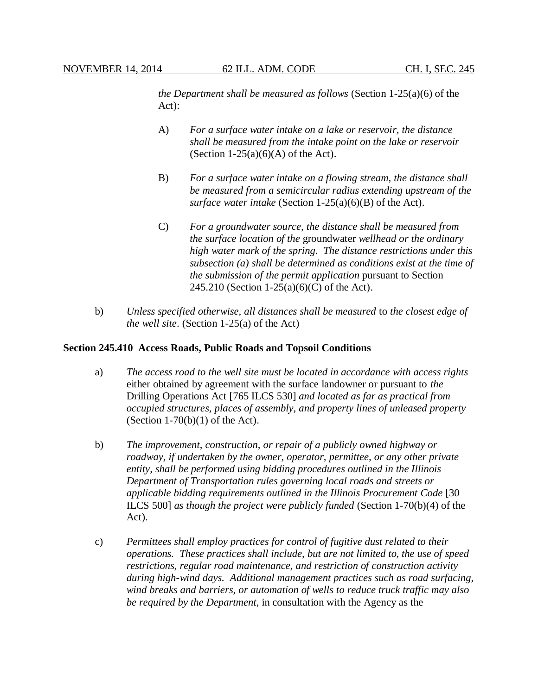*the Department shall be measured as follows* (Section 1-25(a)(6) of the Act):

- A) *For a surface water intake on a lake or reservoir, the distance shall be measured from the intake point on the lake or reservoir* (Section 1-25(a)(6)(A) of the Act).
- B) *For a surface water intake on a flowing stream, the distance shall be measured from a semicircular radius extending upstream of the surface water intake* (Section 1-25(a)(6)(B) of the Act).
- C) *For a groundwater source, the distance shall be measured from the surface location of the* groundwater *wellhead or the ordinary high water mark of the spring. The distance restrictions under this subsection (a) shall be determined as conditions exist at the time of the submission of the permit application* pursuant to Section 245.210 (Section 1-25(a)(6)(C) of the Act).
- b) *Unless specified otherwise, all distances shall be measured* to *the closest edge of the well site*. (Section 1-25(a) of the Act)

#### **Section 245.410 Access Roads, Public Roads and Topsoil Conditions**

- a) *The access road to the well site must be located in accordance with access rights*  either obtained by agreement with the surface landowner or pursuant to *the* Drilling Operations Act [765 ILCS 530] *and located as far as practical from occupied structures, places of assembly, and property lines of unleased property* (Section  $1-70(b)(1)$  of the Act).
- b) *The improvement, construction, or repair of a publicly owned highway or roadway, if undertaken by the owner, operator, permittee, or any other private entity, shall be performed using bidding procedures outlined in the Illinois Department of Transportation rules governing local roads and streets or applicable bidding requirements outlined in the Illinois Procurement Code* [30 ILCS 500] *as though the project were publicly funded* (Section 1-70(b)(4) of the Act).
- c) *Permittees shall employ practices for control of fugitive dust related to their operations. These practices shall include, but are not limited to, the use of speed restrictions, regular road maintenance, and restriction of construction activity during high-wind days. Additional management practices such as road surfacing, wind breaks and barriers, or automation of wells to reduce truck traffic may also be required by the Department*, in consultation with the Agency as the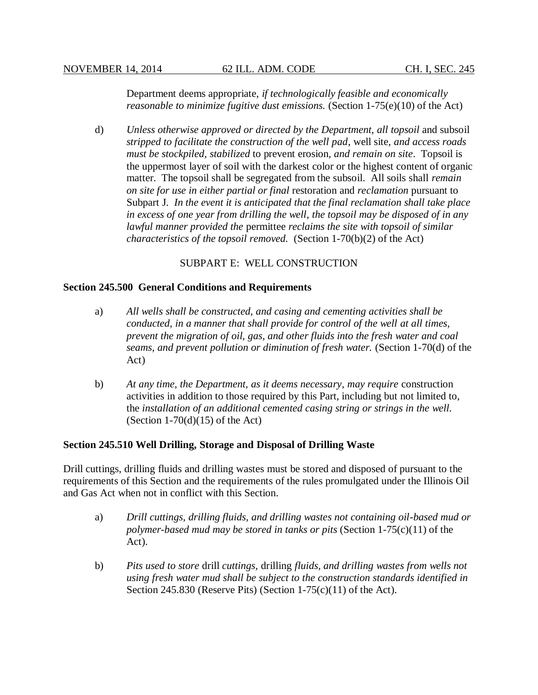Department deems appropriate, *if technologically feasible and economically reasonable to minimize fugitive dust emissions.* (Section 1-75(e)(10) of the Act)

d) *Unless otherwise approved or directed by the Department, all topsoil* and subsoil *stripped to facilitate the construction of the well pad*, well site, *and access roads must be stockpiled, stabilized* to prevent erosion*, and remain on site*. Topsoil is the uppermost layer of soil with the darkest color or the highest content of organic matter. The topsoil shall be segregated from the subsoil. All soils shall *remain on site for use in either partial or final* restoration and *reclamation* pursuant to Subpart J. *In the event it is anticipated that the final reclamation shall take place in excess of one year from drilling the well, the topsoil may be disposed of in any lawful manner provided the* permittee *reclaims the site with topsoil of similar characteristics of the topsoil removed.* (Section 1-70(b)(2) of the Act)

## SUBPART E: WELL CONSTRUCTION

### **Section 245.500 General Conditions and Requirements**

- a) *All wells shall be constructed, and casing and cementing activities shall be conducted, in a manner that shall provide for control of the well at all times, prevent the migration of oil, gas, and other fluids into the fresh water and coal seams, and prevent pollution or diminution of fresh water.* (Section 1-70(d) of the Act)
- b) *At any time, the Department, as it deems necessary, may require* construction activities in addition to those required by this Part, including but not limited to, the *installation of an additional cemented casing string or strings in the well.* (Section  $1-70(d)(15)$  of the Act)

### **Section 245.510 Well Drilling, Storage and Disposal of Drilling Waste**

Drill cuttings, drilling fluids and drilling wastes must be stored and disposed of pursuant to the requirements of this Section and the requirements of the rules promulgated under the Illinois Oil and Gas Act when not in conflict with this Section.

- a) *Drill cuttings, drilling fluids, and drilling wastes not containing oil-based mud or polymer-based mud may be stored in tanks or pits* (Section 1-75(c)(11) of the Act).
- b) *Pits used to store* drill *cuttings,* drilling *fluids, and drilling wastes from wells not using fresh water mud shall be subject to the construction standards identified in* Section 245.830 (Reserve Pits) (Section  $1-75(c)(11)$  of the Act).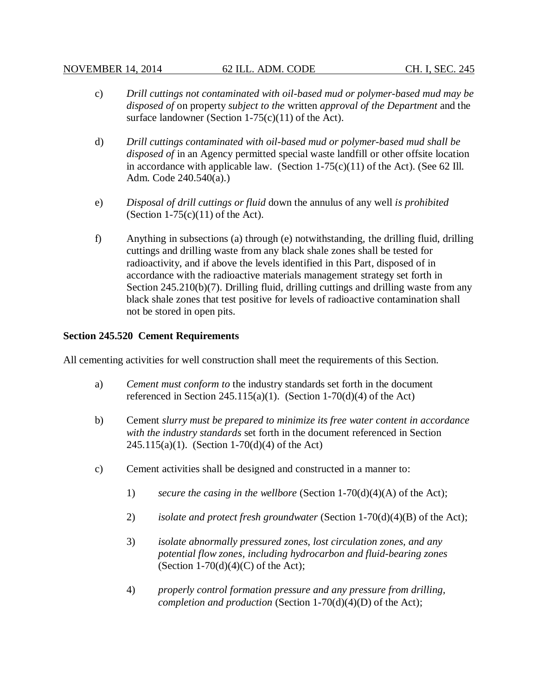- c) *Drill cuttings not contaminated with oil-based mud or polymer-based mud may be disposed of* on property *subject to the* written *approval of the Department* and the surface landowner (Section  $1-75(c)(11)$  of the Act).
- d) *Drill cuttings contaminated with oil-based mud or polymer-based mud shall be disposed of* in an Agency permitted special waste landfill or other offsite location in accordance with applicable law. (Section  $1-75(c)(11)$  of the Act). (See 62 Ill. Adm. Code 240.540(a).)
- e) *Disposal of drill cuttings or fluid* down the annulus of any well *is prohibited* (Section  $1-75(c)(11)$  of the Act).
- f) Anything in subsections (a) through (e) notwithstanding, the drilling fluid, drilling cuttings and drilling waste from any black shale zones shall be tested for radioactivity, and if above the levels identified in this Part, disposed of in accordance with the radioactive materials management strategy set forth in Section 245.210(b)(7). Drilling fluid, drilling cuttings and drilling waste from any black shale zones that test positive for levels of radioactive contamination shall not be stored in open pits.

## **Section 245.520 Cement Requirements**

All cementing activities for well construction shall meet the requirements of this Section.

- a) *Cement must conform to* the industry standards set forth in the document referenced in Section 245.115(a)(1). (Section 1-70(d)(4) of the Act)
- b) Cement *slurry must be prepared to minimize its free water content in accordance with the industry standards* set forth in the document referenced in Section 245.115(a)(1). (Section 1-70(d)(4) of the Act)
- c) Cement activities shall be designed and constructed in a manner to:
	- 1) *secure the casing in the wellbore* (Section 1-70(d)(4)(A) of the Act);
	- 2) *isolate and protect fresh groundwater* (Section 1-70(d)(4)(B) of the Act);
	- 3) *isolate abnormally pressured zones, lost circulation zones, and any potential flow zones, including hydrocarbon and fluid-bearing zones*  (Section 1-70(d)(4)(C) of the Act);
	- 4) *properly control formation pressure and any pressure from drilling, completion and production* (Section 1-70(d)(4)(D) of the Act);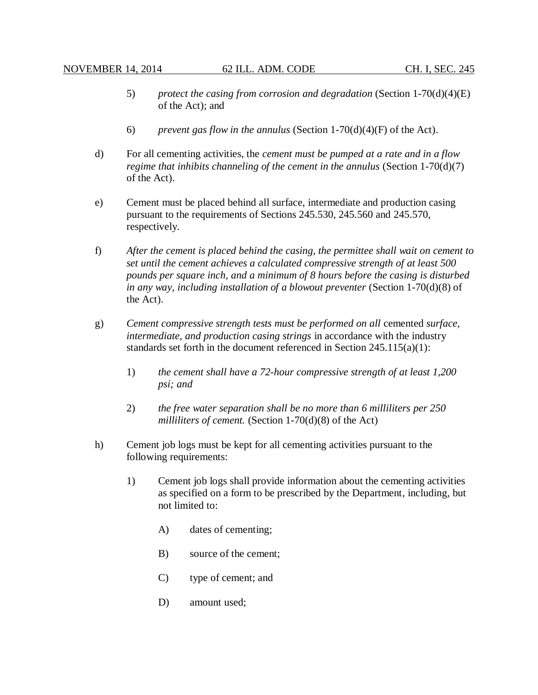- 5) *protect the casing from corrosion and degradation* (Section 1-70(d)(4)(E) of the Act); and
- 6) *prevent gas flow in the annulus* (Section 1-70(d)(4)(F) of the Act).
- d) For all cementing activities, the *cement must be pumped at a rate and in a flow regime that inhibits channeling of the cement in the annulus* (Section 1-70(d)(7) of the Act).
- e) Cement must be placed behind all surface, intermediate and production casing pursuant to the requirements of Sections 245.530, 245.560 and 245.570, respectively.
- f) *After the cement is placed behind the casing, the permittee shall wait on cement to set until the cement achieves a calculated compressive strength of at least 500 pounds per square inch, and a minimum of 8 hours before the casing is disturbed in any way, including installation of a blowout preventer* (Section 1-70(d)(8) of the Act).
- g) *Cement compressive strength tests must be performed on all* cemented *surface, intermediate, and production casing strings* in accordance with the industry standards set forth in the document referenced in Section  $245.115(a)(1)$ :
	- 1) *the cement shall have a 72-hour compressive strength of at least 1,200 psi; and*
	- 2) *the free water separation shall be no more than 6 milliliters per 250 milliliters of cement.* (Section 1-70(d)(8) of the Act)
- h) Cement job logs must be kept for all cementing activities pursuant to the following requirements:
	- 1) Cement job logs shall provide information about the cementing activities as specified on a form to be prescribed by the Department, including, but not limited to:
		- A) dates of cementing;
		- B) source of the cement;
		- C) type of cement; and
		- D) amount used;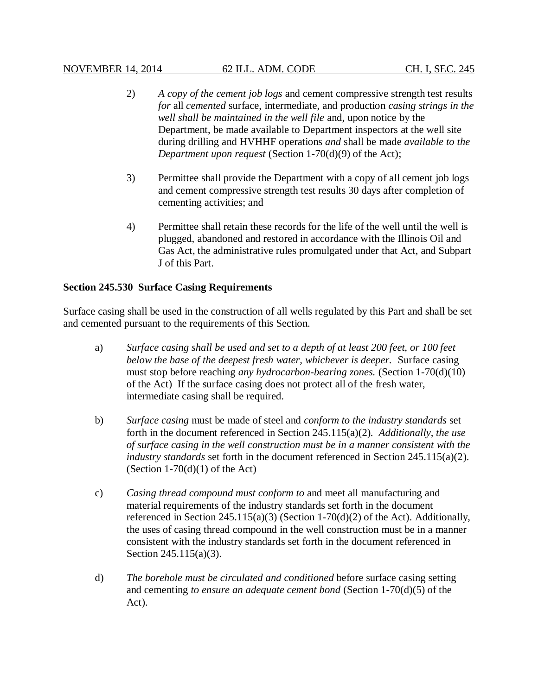- 2) *A copy of the cement job logs* and cement compressive strength test results *for* all *cemented* surface, intermediate, and production *casing strings in the well shall be maintained in the well file* and, upon notice by the Department, be made available to Department inspectors at the well site during drilling and HVHHF operations *and* shall be made *available to the Department upon request* (Section 1-70(d)(9) of the Act);
- 3) Permittee shall provide the Department with a copy of all cement job logs and cement compressive strength test results 30 days after completion of cementing activities; and
- 4) Permittee shall retain these records for the life of the well until the well is plugged, abandoned and restored in accordance with the Illinois Oil and Gas Act, the administrative rules promulgated under that Act, and Subpart J of this Part.

## **Section 245.530 Surface Casing Requirements**

Surface casing shall be used in the construction of all wells regulated by this Part and shall be set and cemented pursuant to the requirements of this Section.

- a) *Surface casing shall be used and set to a depth of at least 200 feet, or 100 feet below the base of the deepest fresh water, whichever is deeper.* Surface casing must stop before reaching *any hydrocarbon-bearing zones.* (Section 1-70(d)(10) of the Act) If the surface casing does not protect all of the fresh water, intermediate casing shall be required.
- b) *Surface casing* must be made of steel and *conform to the industry standards* set forth in the document referenced in Section 245.115(a)(2)*. Additionally, the use of surface casing in the well construction must be in a manner consistent with the industry standards* set forth in the document referenced in Section 245.115(a)(2). (Section  $1-70(d)(1)$  of the Act)
- c) *Casing thread compound must conform to* and meet all manufacturing and material requirements of the industry standards set forth in the document referenced in Section  $245.115(a)(3)$  (Section 1-70(d)(2) of the Act). Additionally, the uses of casing thread compound in the well construction must be in a manner consistent with the industry standards set forth in the document referenced in Section 245.115(a)(3).
- d) *The borehole must be circulated and conditioned* before surface casing setting and cementing *to ensure an adequate cement bond* (Section 1-70(d)(5) of the Act).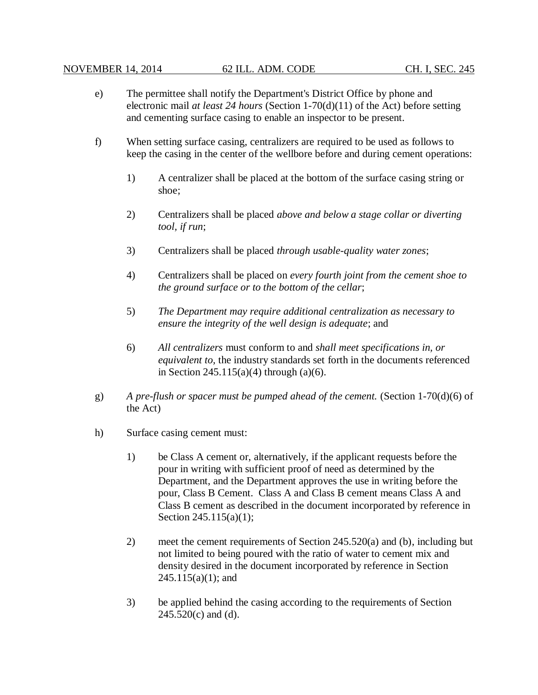- e) The permittee shall notify the Department's District Office by phone and electronic mail *at least 24 hours* (Section 1-70(d)(11) of the Act) before setting and cementing surface casing to enable an inspector to be present.
- f) When setting surface casing, centralizers are required to be used as follows to keep the casing in the center of the wellbore before and during cement operations:
	- 1) A centralizer shall be placed at the bottom of the surface casing string or shoe;
	- 2) Centralizers shall be placed *above and below a stage collar or diverting tool, if run*;
	- 3) Centralizers shall be placed *through usable-quality water zones*;
	- 4) Centralizers shall be placed on *every fourth joint from the cement shoe to the ground surface or to the bottom of the cellar*;
	- 5) *The Department may require additional centralization as necessary to ensure the integrity of the well design is adequate*; and
	- 6) *All centralizers* must conform to and *shall meet specifications in, or equivalent to,* the industry standards set forth in the documents referenced in Section  $245.115(a)(4)$  through  $(a)(6)$ .
- g) *A pre-flush or spacer must be pumped ahead of the cement.* (Section 1-70(d)(6) of the Act)
- h) Surface casing cement must:
	- 1) be Class A cement or, alternatively, if the applicant requests before the pour in writing with sufficient proof of need as determined by the Department, and the Department approves the use in writing before the pour, Class B Cement. Class A and Class B cement means Class A and Class B cement as described in the document incorporated by reference in Section 245.115(a)(1);
	- 2) meet the cement requirements of Section 245.520(a) and (b), including but not limited to being poured with the ratio of water to cement mix and density desired in the document incorporated by reference in Section  $245.115(a)(1)$ ; and
	- 3) be applied behind the casing according to the requirements of Section  $245.520(c)$  and (d).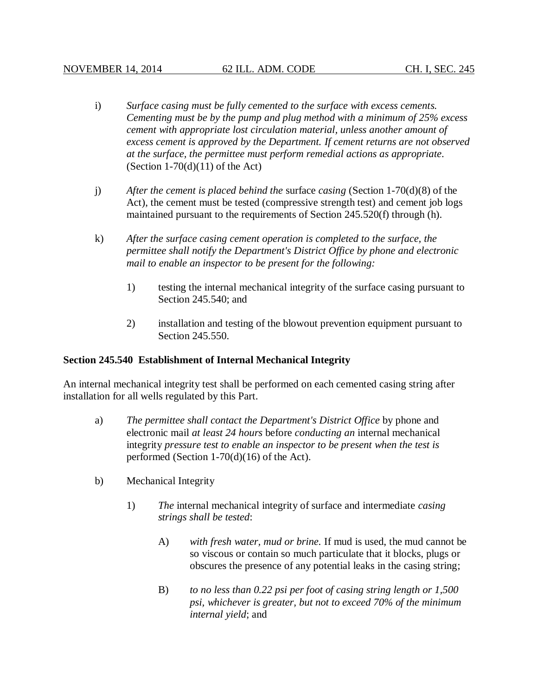- i) *Surface casing must be fully cemented to the surface with excess cements. Cementing must be by the pump and plug method with a minimum of 25% excess cement with appropriate lost circulation material, unless another amount of excess cement is approved by the Department. If cement returns are not observed at the surface, the permittee must perform remedial actions as appropriate.* (Section  $1-70(d)(11)$  of the Act)
- j) *After the cement is placed behind the* surface *casing* (Section 1-70(d)(8) of the Act), the cement must be tested (compressive strength test) and cement job logs maintained pursuant to the requirements of Section 245.520(f) through (h).
- k) *After the surface casing cement operation is completed to the surface, the permittee shall notify the Department's District Office by phone and electronic mail to enable an inspector to be present for the following:*
	- 1) testing the internal mechanical integrity of the surface casing pursuant to Section 245.540; and
	- 2) installation and testing of the blowout prevention equipment pursuant to Section 245.550.

# **Section 245.540 Establishment of Internal Mechanical Integrity**

An internal mechanical integrity test shall be performed on each cemented casing string after installation for all wells regulated by this Part.

- a) *The permittee shall contact the Department's District Office* by phone and electronic mail *at least 24 hours* before *conducting an* internal mechanical integrity *pressure test to enable an inspector to be present when the test is* performed (Section 1-70(d)(16) of the Act).
- b) Mechanical Integrity
	- 1) *The* internal mechanical integrity of surface and intermediate *casing strings shall be tested*:
		- A) *with fresh water, mud or brine.* If mud is used, the mud cannot be so viscous or contain so much particulate that it blocks, plugs or obscures the presence of any potential leaks in the casing string;
		- B) *to no less than 0.22 psi per foot of casing string length or 1,500 psi, whichever is greater, but not to exceed 70% of the minimum internal yield*; and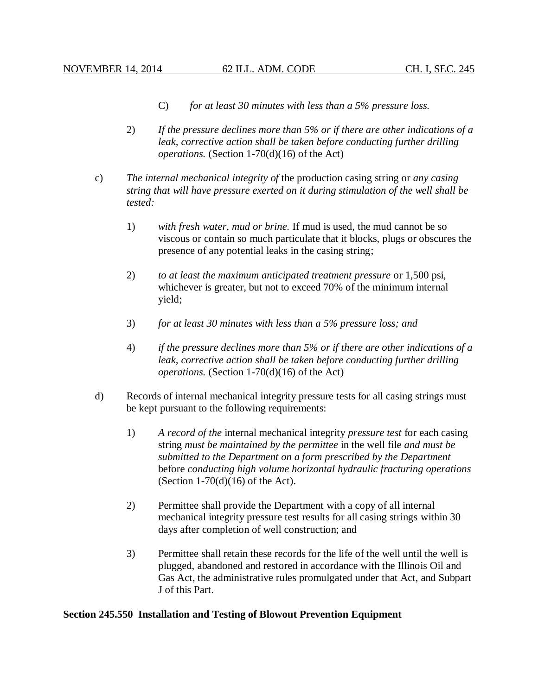- C) *for at least 30 minutes with less than a 5% pressure loss.*
- 2) *If the pressure declines more than 5% or if there are other indications of a leak, corrective action shall be taken before conducting further drilling operations.* (Section 1-70(d)(16) of the Act)
- c) *The internal mechanical integrity of* the production casing string or *any casing string that will have pressure exerted on it during stimulation of the well shall be tested:*
	- 1) *with fresh water, mud or brine.* If mud is used, the mud cannot be so viscous or contain so much particulate that it blocks, plugs or obscures the presence of any potential leaks in the casing string;
	- 2) *to at least the maximum anticipated treatment pressure* or 1,500 psi, whichever is greater, but not to exceed 70% of the minimum internal yield;
	- 3) *for at least 30 minutes with less than a 5% pressure loss; and*
	- 4) *if the pressure declines more than 5% or if there are other indications of a leak, corrective action shall be taken before conducting further drilling operations.* (Section 1-70(d)(16) of the Act)
- d) Records of internal mechanical integrity pressure tests for all casing strings must be kept pursuant to the following requirements:
	- 1) *A record of the* internal mechanical integrity *pressure test* for each casing string *must be maintained by the permittee* in the well file *and must be submitted to the Department on a form prescribed by the Department*  before *conducting high volume horizontal hydraulic fracturing operations* (Section 1-70 $(d)(16)$  of the Act).
	- 2) Permittee shall provide the Department with a copy of all internal mechanical integrity pressure test results for all casing strings within 30 days after completion of well construction; and
	- 3) Permittee shall retain these records for the life of the well until the well is plugged, abandoned and restored in accordance with the Illinois Oil and Gas Act, the administrative rules promulgated under that Act, and Subpart J of this Part.

## **Section 245.550 Installation and Testing of Blowout Prevention Equipment**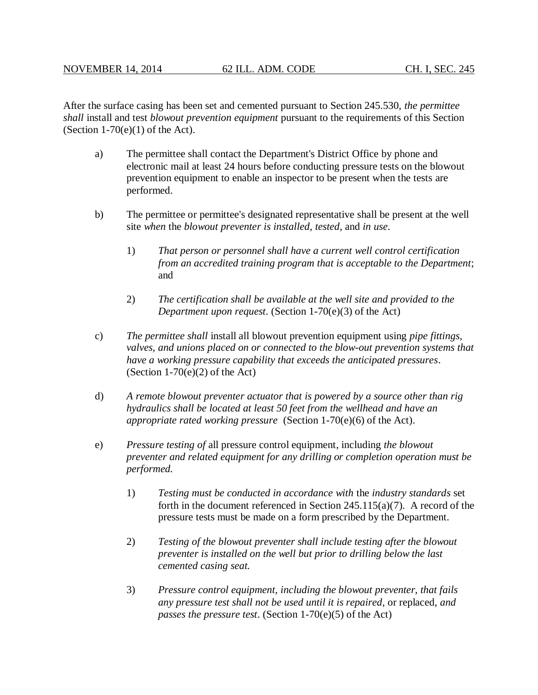After the surface casing has been set and cemented pursuant to Section 245.530, *the permittee shall* install and test *blowout prevention equipment* pursuant to the requirements of this Section (Section  $1-70(e)(1)$  of the Act).

- a) The permittee shall contact the Department's District Office by phone and electronic mail at least 24 hours before conducting pressure tests on the blowout prevention equipment to enable an inspector to be present when the tests are performed.
- b) The permittee or permittee's designated representative shall be present at the well site *when* the *blowout preventer is installed, tested*, and *in use*.
	- 1) *That person or personnel shall have a current well control certification from an accredited training program that is acceptable to the Department*; and
	- 2) *The certification shall be available at the well site and provided to the Department upon request*. (Section 1-70(e)(3) of the Act)
- c) *The permittee shall* install all blowout prevention equipment using *pipe fittings, valves, and unions placed on or connected to the blow-out prevention systems that have a working pressure capability that exceeds the anticipated pressures*. (Section  $1-70(e)(2)$  of the Act)
- d) *A remote blowout preventer actuator that is powered by a source other than rig hydraulics shall be located at least 50 feet from the wellhead and have an appropriate rated working pressure* (Section 1-70(e)(6) of the Act).
- e) *Pressure testing of* all pressure control equipment, including *the blowout preventer and related equipment for any drilling or completion operation must be performed.*
	- 1) *Testing must be conducted in accordance with* the *industry standards* set forth in the document referenced in Section 245.115(a)(7). A record of the pressure tests must be made on a form prescribed by the Department.
	- 2) *Testing of the blowout preventer shall include testing after the blowout preventer is installed on the well but prior to drilling below the last cemented casing seat.*
	- 3) *Pressure control equipment, including the blowout preventer, that fails any pressure test shall not be used until it is repaired*, or replaced, *and passes the pressure test*. (Section 1-70(e)(5) of the Act)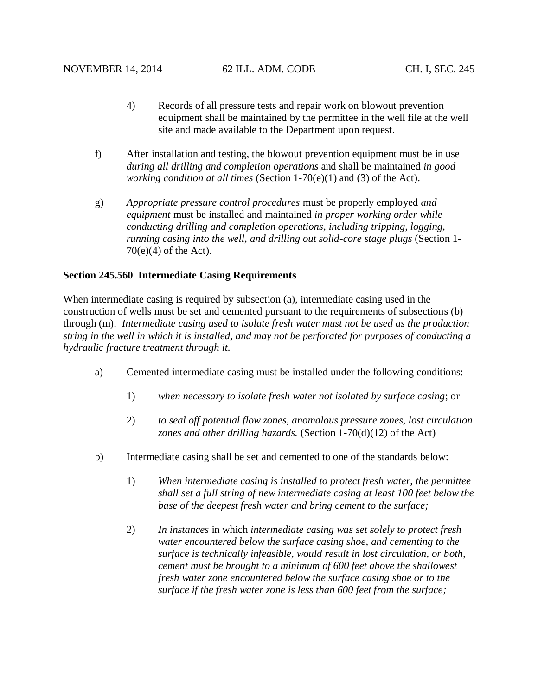- 4) Records of all pressure tests and repair work on blowout prevention equipment shall be maintained by the permittee in the well file at the well site and made available to the Department upon request.
- f) After installation and testing, the blowout prevention equipment must be in use *during all drilling and completion operations* and shall be maintained *in good working condition at all times* (Section 1-70(e)(1) and (3) of the Act).
- g) *Appropriate pressure control procedures* must be properly employed *and equipment* must be installed and maintained *in proper working order while conducting drilling and completion operations, including tripping, logging, running casing into the well, and drilling out solid-core stage plugs* (Section 1-  $70(e)(4)$  of the Act).

## **Section 245.560 Intermediate Casing Requirements**

When intermediate casing is required by subsection (a), intermediate casing used in the construction of wells must be set and cemented pursuant to the requirements of subsections (b) through (m). *Intermediate casing used to isolate fresh water must not be used as the production string in the well in which it is installed, and may not be perforated for purposes of conducting a hydraulic fracture treatment through it.*

- a) Cemented intermediate casing must be installed under the following conditions:
	- 1) *when necessary to isolate fresh water not isolated by surface casing*; or
	- 2) *to seal off potential flow zones, anomalous pressure zones, lost circulation zones and other drilling hazards.* (Section 1-70(d)(12) of the Act)
- b) Intermediate casing shall be set and cemented to one of the standards below:
	- 1) *When intermediate casing is installed to protect fresh water, the permittee shall set a full string of new intermediate casing at least 100 feet below the base of the deepest fresh water and bring cement to the surface;*
	- 2) *In instances* in which *intermediate casing was set solely to protect fresh water encountered below the surface casing shoe, and cementing to the surface is technically infeasible, would result in lost circulation, or both, cement must be brought to a minimum of 600 feet above the shallowest fresh water zone encountered below the surface casing shoe or to the surface if the fresh water zone is less than 600 feet from the surface;*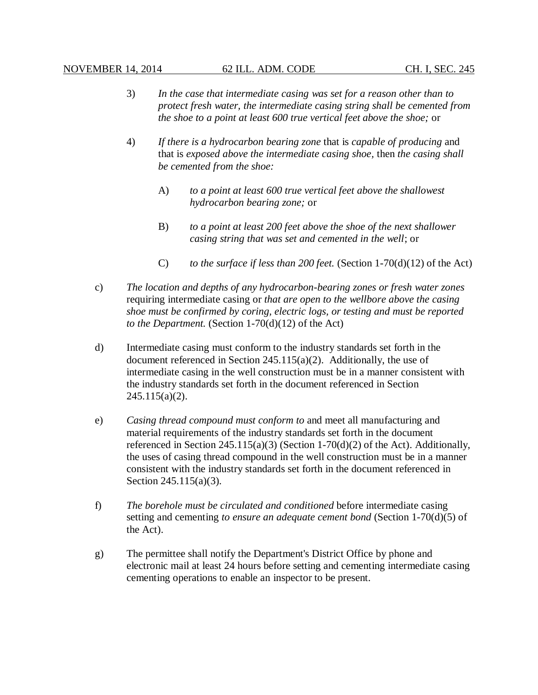- 3) *In the case that intermediate casing was set for a reason other than to protect fresh water, the intermediate casing string shall be cemented from the shoe to a point at least 600 true vertical feet above the shoe;* or
- 4) *If there is a hydrocarbon bearing zone* that is *capable of producing* and that is *exposed above the intermediate casing shoe,* then *the casing shall be cemented from the shoe:*
	- A) *to a point at least 600 true vertical feet above the shallowest hydrocarbon bearing zone;* or
	- B) *to a point at least 200 feet above the shoe of the next shallower casing string that was set and cemented in the well*; or
	- C) *to the surface if less than 200 feet.* (Section 1-70(d)(12) of the Act)
- c) *The location and depths of any hydrocarbon-bearing zones or fresh water zones*  requiring intermediate casing or *that are open to the wellbore above the casing shoe must be confirmed by coring, electric logs, or testing and must be reported to the Department.* (Section 1-70(d)(12) of the Act)
- d) Intermediate casing must conform to the industry standards set forth in the document referenced in Section 245.115(a)(2). Additionally, the use of intermediate casing in the well construction must be in a manner consistent with the industry standards set forth in the document referenced in Section  $245.115(a)(2)$ .
- e) *Casing thread compound must conform to* and meet all manufacturing and material requirements of the industry standards set forth in the document referenced in Section  $245.115(a)(3)$  (Section 1-70(d)(2) of the Act). Additionally, the uses of casing thread compound in the well construction must be in a manner consistent with the industry standards set forth in the document referenced in Section 245.115(a)(3).
- f) *The borehole must be circulated and conditioned* before intermediate casing setting and cementing *to ensure an adequate cement bond* (Section 1-70(d)(5) of the Act).
- g) The permittee shall notify the Department's District Office by phone and electronic mail at least 24 hours before setting and cementing intermediate casing cementing operations to enable an inspector to be present.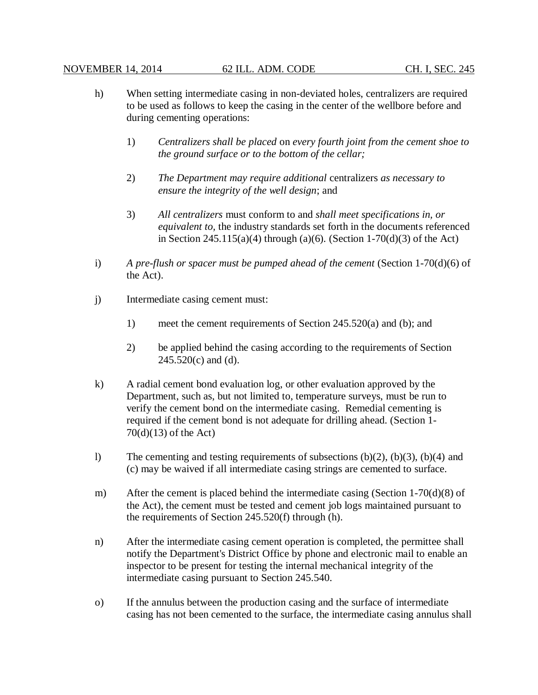- h) When setting intermediate casing in non-deviated holes, centralizers are required to be used as follows to keep the casing in the center of the wellbore before and during cementing operations:
	- 1) *Centralizers shall be placed* on *every fourth joint from the cement shoe to the ground surface or to the bottom of the cellar;*
	- 2) *The Department may require additional* centralizers *as necessary to ensure the integrity of the well design*; and
	- 3) *All centralizers* must conform to and *shall meet specifications in, or equivalent to,* the industry standards set forth in the documents referenced in Section 245.115(a)(4) through (a)(6)*.* (Section 1-70(d)(3) of the Act)
- i) *A pre-flush or spacer must be pumped ahead of the cement* (Section 1-70(d)(6) of the Act).
- j) Intermediate casing cement must:
	- 1) meet the cement requirements of Section 245.520(a) and (b); and
	- 2) be applied behind the casing according to the requirements of Section  $245.520(c)$  and (d).
- k) A radial cement bond evaluation log, or other evaluation approved by the Department, such as, but not limited to, temperature surveys, must be run to verify the cement bond on the intermediate casing. Remedial cementing is required if the cement bond is not adequate for drilling ahead. (Section 1- 70(d)(13) of the Act)
- l) The cementing and testing requirements of subsections  $(b)(2)$ ,  $(b)(3)$ ,  $(b)(4)$  and (c) may be waived if all intermediate casing strings are cemented to surface.
- m) After the cement is placed behind the intermediate casing (Section 1-70(d)(8) of the Act), the cement must be tested and cement job logs maintained pursuant to the requirements of Section 245.520(f) through (h).
- n) After the intermediate casing cement operation is completed, the permittee shall notify the Department's District Office by phone and electronic mail to enable an inspector to be present for testing the internal mechanical integrity of the intermediate casing pursuant to Section 245.540.
- o) If the annulus between the production casing and the surface of intermediate casing has not been cemented to the surface, the intermediate casing annulus shall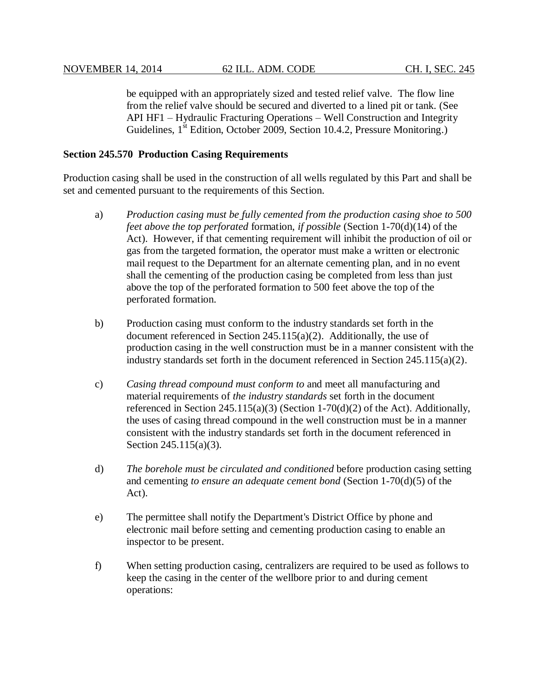be equipped with an appropriately sized and tested relief valve. The flow line from the relief valve should be secured and diverted to a lined pit or tank. (See API HF1 – Hydraulic Fracturing Operations – Well Construction and Integrity Guidelines, 1<sup>st</sup> Edition, October 2009, Section 10.4.2, Pressure Monitoring.)

## **Section 245.570 Production Casing Requirements**

Production casing shall be used in the construction of all wells regulated by this Part and shall be set and cemented pursuant to the requirements of this Section.

- a) *Production casing must be fully cemented from the production casing shoe to 500 feet above the top perforated* formation, *if possible* (Section 1-70(d)(14) of the Act). However, if that cementing requirement will inhibit the production of oil or gas from the targeted formation, the operator must make a written or electronic mail request to the Department for an alternate cementing plan, and in no event shall the cementing of the production casing be completed from less than just above the top of the perforated formation to 500 feet above the top of the perforated formation.
- b) Production casing must conform to the industry standards set forth in the document referenced in Section 245.115(a)(2). Additionally, the use of production casing in the well construction must be in a manner consistent with the industry standards set forth in the document referenced in Section 245.115(a)(2).
- c) *Casing thread compound must conform to* and meet all manufacturing and material requirements of *the industry standards* set forth in the document referenced in Section 245.115(a)(3) (Section 1-70(d)(2) of the Act). Additionally, the uses of casing thread compound in the well construction must be in a manner consistent with the industry standards set forth in the document referenced in Section 245.115(a)(3).
- d) *The borehole must be circulated and conditioned* before production casing setting and cementing *to ensure an adequate cement bond* (Section 1-70(d)(5) of the Act).
- e) The permittee shall notify the Department's District Office by phone and electronic mail before setting and cementing production casing to enable an inspector to be present.
- f) When setting production casing, centralizers are required to be used as follows to keep the casing in the center of the wellbore prior to and during cement operations: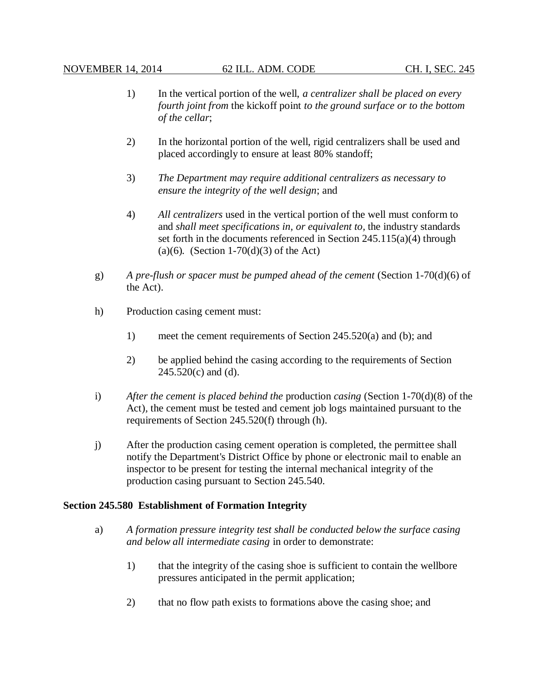- 1) In the vertical portion of the well, *a centralizer shall be placed on every fourth joint from* the kickoff point *to the ground surface or to the bottom of the cellar*;
- 2) In the horizontal portion of the well, rigid centralizers shall be used and placed accordingly to ensure at least 80% standoff;
- 3) *The Department may require additional centralizers as necessary to ensure the integrity of the well design*; and
- 4) *All centralizers* used in the vertical portion of the well must conform to and *shall meet specifications in, or equivalent to,* the industry standards set forth in the documents referenced in Section 245.115(a)(4) through (a)(6)*.* (Section 1-70(d)(3) of the Act)
- g) *A pre-flush or spacer must be pumped ahead of the cement* (Section 1-70(d)(6) of the Act).
- h) Production casing cement must:
	- 1) meet the cement requirements of Section 245.520(a) and (b); and
	- 2) be applied behind the casing according to the requirements of Section  $245.520(c)$  and (d).
- i) *After the cement is placed behind the* production *casing* (Section 1-70(d)(8) of the Act)*,* the cement must be tested and cement job logs maintained pursuant to the requirements of Section 245.520(f) through (h).
- j) After the production casing cement operation is completed, the permittee shall notify the Department's District Office by phone or electronic mail to enable an inspector to be present for testing the internal mechanical integrity of the production casing pursuant to Section 245.540.

## **Section 245.580 Establishment of Formation Integrity**

- a) *A formation pressure integrity test shall be conducted below the surface casing and below all intermediate casing* in order to demonstrate:
	- 1) that the integrity of the casing shoe is sufficient to contain the wellbore pressures anticipated in the permit application;
	- 2) that no flow path exists to formations above the casing shoe; and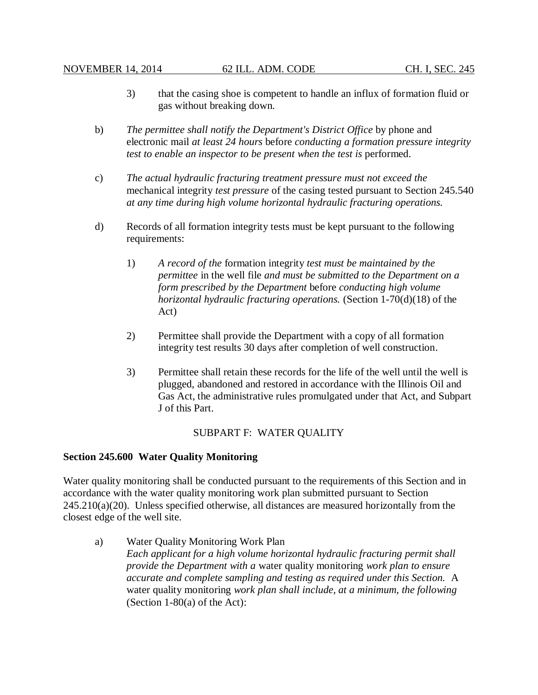- 3) that the casing shoe is competent to handle an influx of formation fluid or gas without breaking down.
- b) *The permittee shall notify the Department's District Office* by phone and electronic mail *at least 24 hours* before *conducting a formation pressure integrity test to enable an inspector to be present when the test is* performed.
- c) *The actual hydraulic fracturing treatment pressure must not exceed the* mechanical integrity *test pressure* of the casing tested pursuant to Section 245.540 *at any time during high volume horizontal hydraulic fracturing operations.*
- d) Records of all formation integrity tests must be kept pursuant to the following requirements:
	- 1) *A record of the* formation integrity *test must be maintained by the permittee* in the well file *and must be submitted to the Department on a form prescribed by the Department* before *conducting high volume horizontal hydraulic fracturing operations.* (Section 1-70(d)(18) of the Act)
	- 2) Permittee shall provide the Department with a copy of all formation integrity test results 30 days after completion of well construction.
	- 3) Permittee shall retain these records for the life of the well until the well is plugged, abandoned and restored in accordance with the Illinois Oil and Gas Act, the administrative rules promulgated under that Act, and Subpart J of this Part.

## SUBPART F: WATER QUALITY

### **Section 245.600 Water Quality Monitoring**

Water quality monitoring shall be conducted pursuant to the requirements of this Section and in accordance with the water quality monitoring work plan submitted pursuant to Section  $245.210(a)(20)$ . Unless specified otherwise, all distances are measured horizontally from the closest edge of the well site.

a) Water Quality Monitoring Work Plan *Each applicant for a high volume horizontal hydraulic fracturing permit shall provide the Department with a* water quality monitoring *work plan to ensure accurate and complete sampling and testing as required under this Section.* A water quality monitoring *work plan shall include, at a minimum, the following* (Section  $1-80(a)$  of the Act):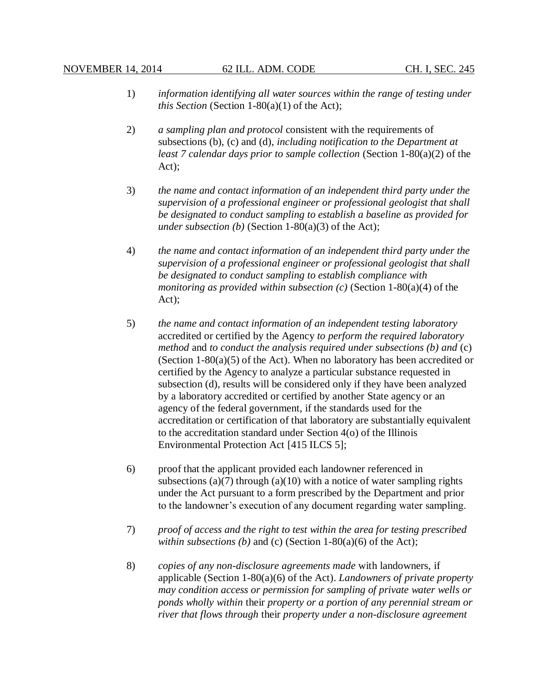- 1) *information identifying all water sources within the range of testing under this Section* (Section 1-80(a)(1) of the Act);
- 2) *a sampling plan and protocol* consistent with the requirements of subsections (b), (c) and (d), *including notification to the Department at least 7 calendar days prior to sample collection* (Section 1-80(a)(2) of the Act);
- 3) *the name and contact information of an independent third party under the supervision of a professional engineer or professional geologist that shall be designated to conduct sampling to establish a baseline as provided for under subsection (b)* (Section 1-80(a)(3) of the Act);
- 4) *the name and contact information of an independent third party under the supervision of a professional engineer or professional geologist that shall be designated to conduct sampling to establish compliance with monitoring as provided within subsection (c)* (Section 1-80(a)(4) of the Act);
- 5) *the name and contact information of an independent testing laboratory* accredited or certified by the Agency *to perform the required laboratory method* and *to conduct the analysis required under subsections (b) and* (c) (Section 1-80(a)(5) of the Act). When no laboratory has been accredited or certified by the Agency to analyze a particular substance requested in subsection (d), results will be considered only if they have been analyzed by a laboratory accredited or certified by another State agency or an agency of the federal government, if the standards used for the accreditation or certification of that laboratory are substantially equivalent to the accreditation standard under Section 4(o) of the Illinois Environmental Protection Act [415 ILCS 5];
- 6) proof that the applicant provided each landowner referenced in subsections (a)(7) through (a)(10) with a notice of water sampling rights under the Act pursuant to a form prescribed by the Department and prior to the landowner's execution of any document regarding water sampling.
- 7) *proof of access and the right to test within the area for testing prescribed within subsections (b)* and *(c)* (Section  $1-80(a)(6)$  of the Act);
- 8) *copies of any non-disclosure agreements made* with landowners, if applicable (Section 1-80(a)(6) of the Act). *Landowners of private property may condition access or permission for sampling of private water wells or ponds wholly within* their *property or a portion of any perennial stream or river that flows through* their *property under a non-disclosure agreement*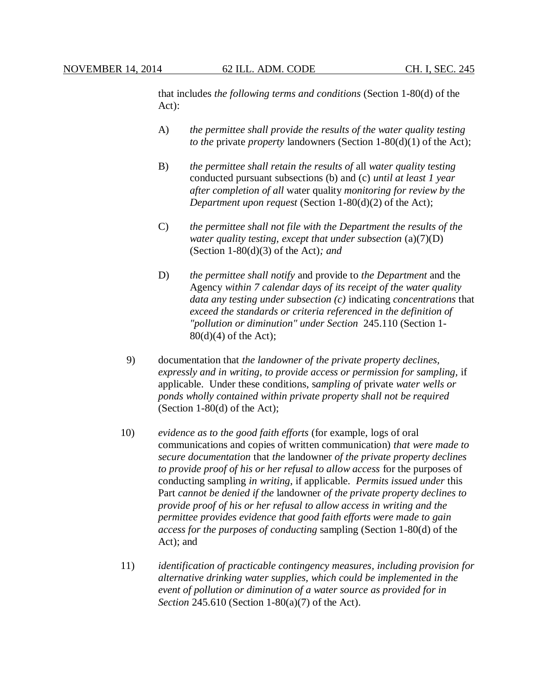that includes *the following terms and conditions* (Section 1-80(d) of the Act):

- A) *the permittee shall provide the results of the water quality testing to the* private *property* landowners (Section 1-80(d)(1) of the Act);
- B) *the permittee shall retain the results of* all *water quality testing* conducted pursuant subsections (b) and (c) *until at least 1 year after completion of all* water quality *monitoring for review by the Department upon request* (Section 1-80(d)(2) of the Act);
- C) *the permittee shall not file with the Department the results of the water quality testing, except that under subsection* (a)(7)(D) (Section 1-80(d)(3) of the Act)*; and*
- D) *the permittee shall notify* and provide to *the Department* and the Agency *within 7 calendar days of its receipt of the water quality data any testing under subsection (c)* indicating *concentrations* that *exceed the standards or criteria referenced in the definition of "pollution or diminution" under Section* 245.110 (Section 1- 80(d)(4) of the Act);
- 9) documentation that *the landowner of the private property declines, expressly and in writing, to provide access or permission for sampling,* if applicable. Under these conditions, s*ampling of* private *water wells or ponds wholly contained within private property shall not be required* (Section 1-80(d) of the Act);
- 10) *evidence as to the good faith efforts* (for example, logs of oral communications and copies of written communication) *that were made to secure documentation* that *the* landowner *of the private property declines to provide proof of his or her refusal to allow access* for the purposes of conducting sampling *in writing*, if applicable. *Permits issued under* this Part *cannot be denied if the* landowner *of the private property declines to provide proof of his or her refusal to allow access in writing and the permittee provides evidence that good faith efforts were made to gain access for the purposes of conducting* sampling (Section 1-80(d) of the Act); and
- 11) *identification of practicable contingency measures, including provision for alternative drinking water supplies, which could be implemented in the event of pollution or diminution of a water source as provided for in Section* 245.610 (Section 1-80(a)(7) of the Act).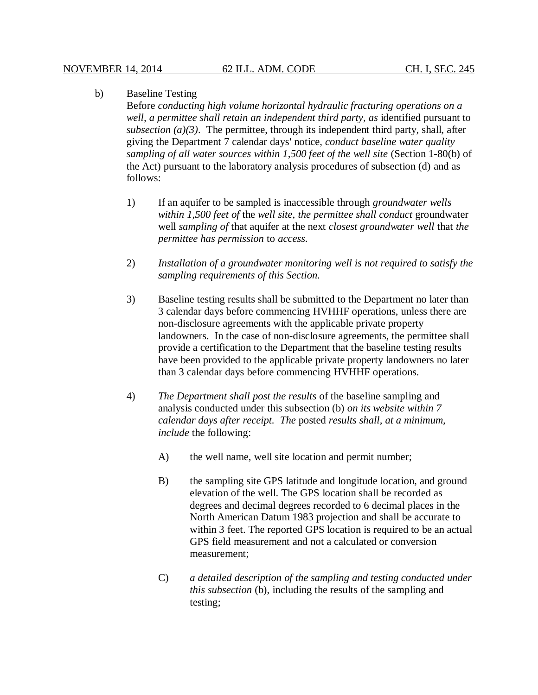## b) Baseline Testing

Before *conducting high volume horizontal hydraulic fracturing operations on a well, a permittee shall retain an independent third party, as* identified pursuant to  $subsection (a)(3)$ . The permittee, through its independent third party, shall, after giving the Department 7 calendar days' notice, *conduct baseline water quality sampling of all water sources within 1,500 feet of the well site* (Section 1-80(b) of the Act) pursuant to the laboratory analysis procedures of subsection (d) and as follows:

- 1) If an aquifer to be sampled is inaccessible through *groundwater wells within 1,500 feet of* the *well site*, *the permittee shall conduct* groundwater well *sampling of* that aquifer at the next *closest groundwater well* that *the permittee has permission* to *access*.
- 2) *Installation of a groundwater monitoring well is not required to satisfy the sampling requirements of this Section.*
- 3) Baseline testing results shall be submitted to the Department no later than 3 calendar days before commencing HVHHF operations, unless there are non-disclosure agreements with the applicable private property landowners. In the case of non-disclosure agreements, the permittee shall provide a certification to the Department that the baseline testing results have been provided to the applicable private property landowners no later than 3 calendar days before commencing HVHHF operations.
- 4) *The Department shall post the results* of the baseline sampling and analysis conducted under this subsection (b) *on its website within 7 calendar days after receipt. The* posted *results shall, at a minimum, include* the following:
	- A) the well name, well site location and permit number;
	- B) the sampling site GPS latitude and longitude location, and ground elevation of the well. The GPS location shall be recorded as degrees and decimal degrees recorded to 6 decimal places in the North American Datum 1983 projection and shall be accurate to within 3 feet. The reported GPS location is required to be an actual GPS field measurement and not a calculated or conversion measurement;
	- C) *a detailed description of the sampling and testing conducted under this subsection* (b), including the results of the sampling and testing;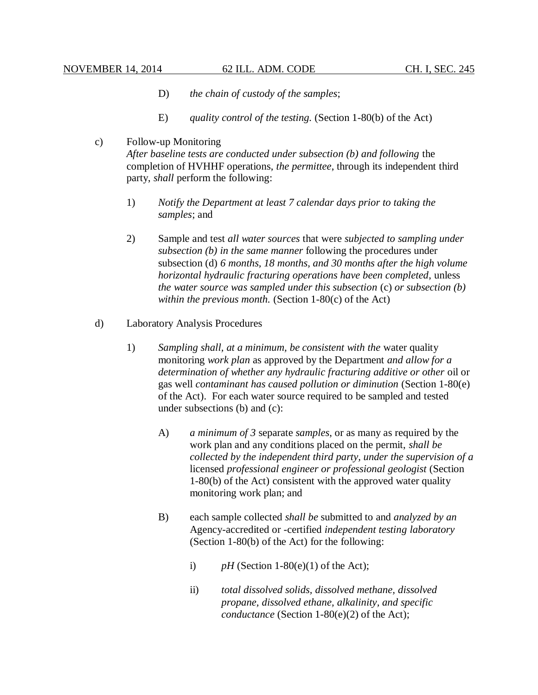- D) *the chain of custody of the samples*;
- E) *quality control of the testing.* (Section 1-80(b) of the Act)
- c) Follow-up Monitoring

*After baseline tests are conducted under subsection (b) and following* the completion of HVHHF operations, *the permittee*, through its independent third party, *shall* perform the following:

- 1) *Notify the Department at least 7 calendar days prior to taking the samples*; and
- 2) Sample and test *all water sources* that were *subjected to sampling under subsection (b) in the same manner* following the procedures under subsection (d) *6 months, 18 months, and 30 months after the high volume horizontal hydraulic fracturing operations have been completed*, unless *the water source was sampled under this subsection* (c) *or subsection (b) within the previous month.* (Section 1-80(c) of the Act)
- d) Laboratory Analysis Procedures
	- 1) *Sampling shall, at a minimum, be consistent with the* water quality monitoring *work plan* as approved by the Department *and allow for a determination of whether any hydraulic fracturing additive or other* oil or gas well *contaminant has caused pollution or diminution* (Section 1-80(e) of the Act). For each water source required to be sampled and tested under subsections (b) and (c):
		- A) *a minimum of 3* separate *samples*, or as many as required by the work plan and any conditions placed on the permit, *shall be collected by the independent third party, under the supervision of a* licensed *professional engineer or professional geologist* (Section 1-80(b) of the Act) consistent with the approved water quality monitoring work plan; and
		- B) each sample collected *shall be* submitted to and *analyzed by an* Agency-accredited or -certified *independent testing laboratory* (Section 1-80(b) of the Act) for the following:
			- i)  $pH$  (Section 1-80(e)(1) of the Act);
			- ii) *total dissolved solids, dissolved methane, dissolved propane, dissolved ethane, alkalinity, and specific conductance* (Section 1-80(e)(2) of the Act);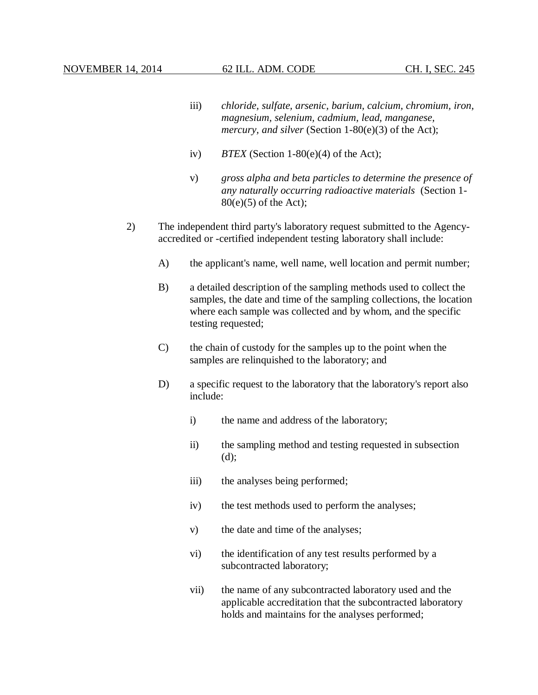- iii) *chloride, sulfate, arsenic, barium, calcium, chromium, iron, magnesium, selenium, cadmium, lead, manganese, mercury, and silver* (Section 1-80(e)(3) of the Act);
- iv) *BTEX* (Section 1-80(e)(4) of the Act);
- v) *gross alpha and beta particles to determine the presence of any naturally occurring radioactive materials* (Section 1-  $80(e)(5)$  of the Act);
- 2) The independent third party's laboratory request submitted to the Agencyaccredited or -certified independent testing laboratory shall include:
	- A) the applicant's name, well name, well location and permit number;
	- B) a detailed description of the sampling methods used to collect the samples, the date and time of the sampling collections, the location where each sample was collected and by whom, and the specific testing requested;
	- C) the chain of custody for the samples up to the point when the samples are relinquished to the laboratory; and
	- D) a specific request to the laboratory that the laboratory's report also include:
		- i) the name and address of the laboratory;
		- ii) the sampling method and testing requested in subsection (d);
		- iii) the analyses being performed;
		- iv) the test methods used to perform the analyses;
		- v) the date and time of the analyses;
		- vi) the identification of any test results performed by a subcontracted laboratory;
		- vii) the name of any subcontracted laboratory used and the applicable accreditation that the subcontracted laboratory holds and maintains for the analyses performed;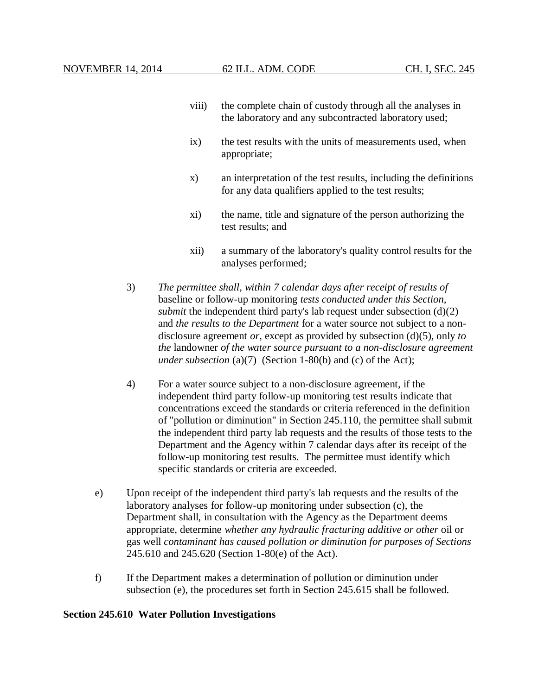- viii) the complete chain of custody through all the analyses in the laboratory and any subcontracted laboratory used;
- ix) the test results with the units of measurements used, when appropriate;
- x) an interpretation of the test results, including the definitions for any data qualifiers applied to the test results;
- xi) the name, title and signature of the person authorizing the test results; and
- xii) a summary of the laboratory's quality control results for the analyses performed;
- 3) *The permittee shall, within 7 calendar days after receipt of results of*  baseline or follow-up monitoring *tests conducted under this Section, submit* the independent third party's lab request under subsection (d)(2) and *the results to the Department* for a water source not subject to a nondisclosure agreement *or*, except as provided by subsection (d)(5), only *to the* landowner *of the water source pursuant to a non-disclosure agreement under subsection* (a)(7) (Section 1-80(b) and (c) of the Act);
- 4) For a water source subject to a non-disclosure agreement, if the independent third party follow-up monitoring test results indicate that concentrations exceed the standards or criteria referenced in the definition of "pollution or diminution" in Section 245.110, the permittee shall submit the independent third party lab requests and the results of those tests to the Department and the Agency within 7 calendar days after its receipt of the follow-up monitoring test results. The permittee must identify which specific standards or criteria are exceeded.
- e) Upon receipt of the independent third party's lab requests and the results of the laboratory analyses for follow-up monitoring under subsection (c), the Department shall, in consultation with the Agency as the Department deems appropriate, determine *whether any hydraulic fracturing additive or other* oil or gas well *contaminant has caused pollution or diminution for purposes of Sections* 245.610 and 245.620 (Section 1-80(e) of the Act).
- f) If the Department makes a determination of pollution or diminution under subsection (e), the procedures set forth in Section 245.615 shall be followed.

### **Section 245.610 Water Pollution Investigations**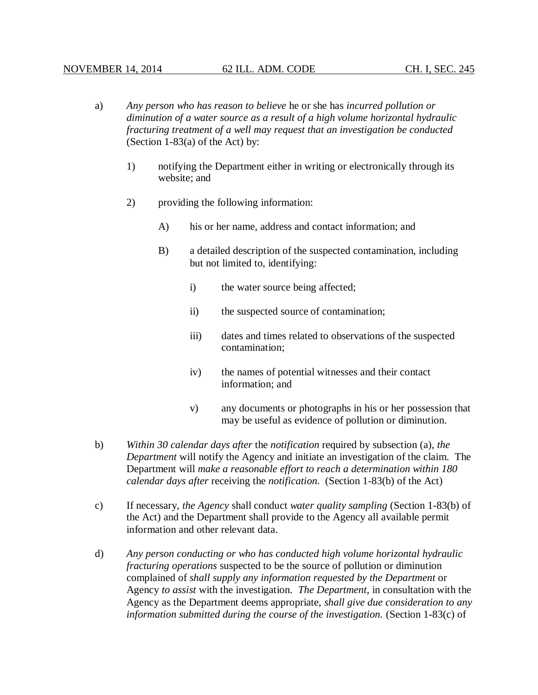- a) *Any person who has reason to believe* he or she has *incurred pollution or diminution of a water source as a result of a high volume horizontal hydraulic fracturing treatment of a well may request that an investigation be conducted* (Section 1-83(a) of the Act) by:
	- 1) notifying the Department either in writing or electronically through its website; and
	- 2) providing the following information:
		- A) his or her name, address and contact information; and
		- B) a detailed description of the suspected contamination, including but not limited to, identifying:
			- i) the water source being affected;
			- ii) the suspected source of contamination;
			- iii) dates and times related to observations of the suspected contamination;
			- iv) the names of potential witnesses and their contact information; and
			- v) any documents or photographs in his or her possession that may be useful as evidence of pollution or diminution.
- b) *Within 30 calendar days after* the *notification* required by subsection (a), *the Department* will notify the Agency and initiate an investigation of the claim. The Department will *make a reasonable effort to reach a determination within 180 calendar days after* receiving the *notification*. (Section 1-83(b) of the Act)
- c) If necessary, *the Agency* shall conduct *water quality sampling* (Section 1-83(b) of the Act) and the Department shall provide to the Agency all available permit information and other relevant data.
- d) *Any person conducting or who has conducted high volume horizontal hydraulic fracturing operations* suspected to be the source of pollution or diminution complained of *shall supply any information requested by the Department* or Agency *to assist* with the investigation. *The Department*, in consultation with the Agency as the Department deems appropriate, *shall give due consideration to any information submitted during the course of the investigation.* (Section 1-83(c) of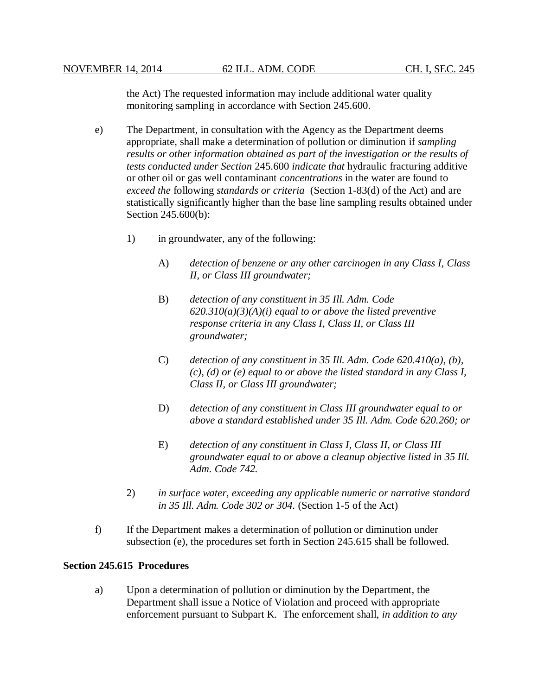the Act) The requested information may include additional water quality monitoring sampling in accordance with Section 245.600.

- e) The Department, in consultation with the Agency as the Department deems appropriate, shall make a determination of pollution or diminution if *sampling results or other information obtained as part of the investigation or the results of tests conducted under Section* 245.600 *indicate that* hydraulic fracturing additive or other oil or gas well contaminant *concentrations* in the water are found to *exceed the* following *standards or criteria* (Section 1-83(d) of the Act) and are statistically significantly higher than the base line sampling results obtained under Section 245.600(b):
	- 1) in groundwater, any of the following:
		- A) *detection of benzene or any other carcinogen in any Class I, Class II, or Class III groundwater;*
		- B) *detection of any constituent in 35 Ill. Adm. Code 620.310(a)(3)(A)(i) equal to or above the listed preventive response criteria in any Class I, Class II, or Class III groundwater;*
		- C) *detection of any constituent in 35 Ill. Adm. Code 620.410(a), (b), (c), (d) or (e) equal to or above the listed standard in any Class I, Class II, or Class III groundwater;*
		- D) *detection of any constituent in Class III groundwater equal to or above a standard established under 35 Ill. Adm. Code 620.260; or*
		- E) *detection of any constituent in Class I, Class II, or Class III groundwater equal to or above a cleanup objective listed in 35 Ill. Adm. Code 742.*
	- 2) *in surface water, exceeding any applicable numeric or narrative standard in 35 Ill. Adm. Code 302 or 304.* (Section 1-5 of the Act)
- f) If the Department makes a determination of pollution or diminution under subsection (e), the procedures set forth in Section 245.615 shall be followed.

## **Section 245.615 Procedures**

a) Upon a determination of pollution or diminution by the Department, the Department shall issue a Notice of Violation and proceed with appropriate enforcement pursuant to Subpart K. The enforcement shall, *in addition to any*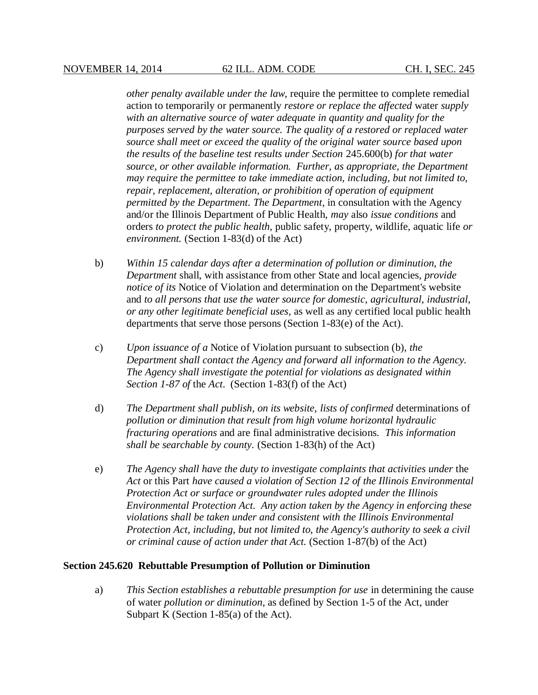*other penalty available under the law*, require the permittee to complete remedial action to temporarily or permanently *restore or replace the affected* water *supply with an alternative source of water adequate in quantity and quality for the purposes served by the water source. The quality of a restored or replaced water source shall meet or exceed the quality of the original water source based upon the results of the baseline test results under Section* 245.600(b) *for that water source, or other available information. Further, as appropriate, the Department may require the permittee to take immediate action, including, but not limited to, repair, replacement, alteration, or prohibition of operation of equipment permitted by the Department. The Department*, in consultation with the Agency and/or the Illinois Department of Public Health, *may* also *issue conditions* and orders *to protect the public health*, public safety, property, wildlife, aquatic life *or environment.* (Section 1-83(d) of the Act)

- b) *Within 15 calendar days after a determination of pollution or diminution, the Department* shall, with assistance from other State and local agencies, *provide notice of its* Notice of Violation and determination on the Department's website and *to all persons that use the water source for domestic, agricultural, industrial, or any other legitimate beneficial uses,* as well as any certified local public health departments that serve those persons (Section 1-83(e) of the Act).
- c) *Upon issuance of a* Notice of Violation pursuant to subsection (b), *the Department shall contact the Agency and forward all information to the Agency. The Agency shall investigate the potential for violations as designated within Section 1-87 of* the *Act*. (Section 1-83(f) of the Act)
- d) *The Department shall publish, on its website, lists of confirmed* determinations of *pollution or diminution that result from high volume horizontal hydraulic fracturing operations* and are final administrative decisions. *This information shall be searchable by county.* (Section 1-83(h) of the Act)
- e) *The Agency shall have the duty to investigate complaints that activities under* the *Act* or this Part *have caused a violation of Section 12 of the Illinois Environmental Protection Act or surface or groundwater rules adopted under the Illinois Environmental Protection Act. Any action taken by the Agency in enforcing these violations shall be taken under and consistent with the Illinois Environmental Protection Act, including, but not limited to, the Agency's authority to seek a civil or criminal cause of action under that Act.* (Section 1-87(b) of the Act)

#### **Section 245.620 Rebuttable Presumption of Pollution or Diminution**

a) *This Section establishes a rebuttable presumption for use* in determining the cause of water *pollution or diminution*, as defined by Section 1-5 of the Act, under Subpart K (Section 1-85(a) of the Act).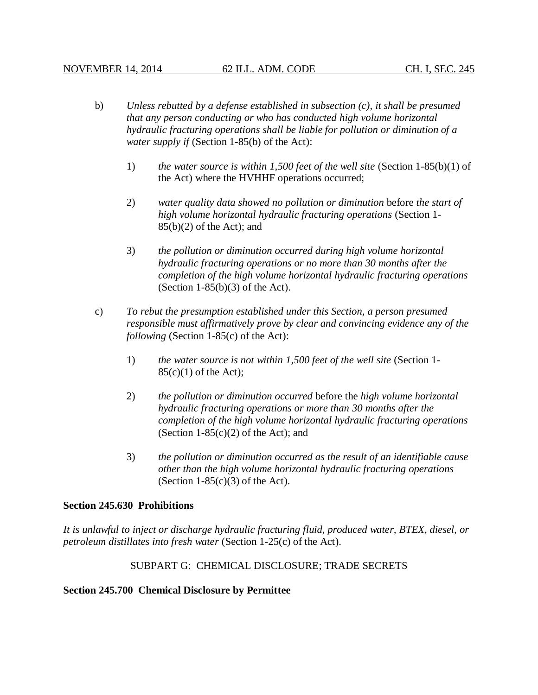- b) *Unless rebutted by a defense established in subsection (c), it shall be presumed that any person conducting or who has conducted high volume horizontal hydraulic fracturing operations shall be liable for pollution or diminution of a water supply if* (Section 1-85(b) of the Act):
	- 1) *the water source is within 1,500 feet of the well site* (Section 1-85(b)(1) of the Act) where the HVHHF operations occurred;
	- 2) *water quality data showed no pollution or diminution* before *the start of high volume horizontal hydraulic fracturing operations* (Section 1-  $85(b)(2)$  of the Act); and
	- 3) *the pollution or diminution occurred during high volume horizontal hydraulic fracturing operations or no more than 30 months after the completion of the high volume horizontal hydraulic fracturing operations* (Section  $1-85(b)(3)$  of the Act).
- c) *To rebut the presumption established under this Section, a person presumed responsible must affirmatively prove by clear and convincing evidence any of the following* (Section 1-85(c) of the Act):
	- 1) *the water source is not within 1,500 feet of the well site* (Section 1-  $85(c)(1)$  of the Act);
	- 2) *the pollution or diminution occurred* before the *high volume horizontal hydraulic fracturing operations or more than 30 months after the completion of the high volume horizontal hydraulic fracturing operations* (Section  $1-85(c)(2)$  of the Act); and
	- 3) *the pollution or diminution occurred as the result of an identifiable cause other than the high volume horizontal hydraulic fracturing operations* (Section  $1-85(c)(3)$  of the Act).

## **Section 245.630 Prohibitions**

*It is unlawful to inject or discharge hydraulic fracturing fluid, produced water, BTEX, diesel, or petroleum distillates into fresh water* (Section 1-25(c) of the Act).

## SUBPART G: CHEMICAL DISCLOSURE; TRADE SECRETS

### **Section 245.700 Chemical Disclosure by Permittee**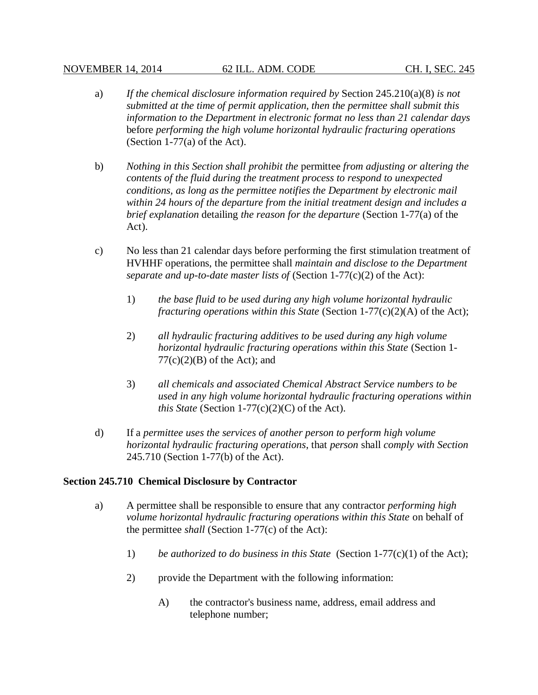- a) *If the chemical disclosure information required by* Section 245.210(a)(8) *is not submitted at the time of permit application, then the permittee shall submit this information to the Department in electronic format no less than 21 calendar days* before *performing the high volume horizontal hydraulic fracturing operations* (Section 1-77(a) of the Act).
- b) *Nothing in this Section shall prohibit the* permittee *from adjusting or altering the contents of the fluid during the treatment process to respond to unexpected conditions, as long as the permittee notifies the Department by electronic mail within 24 hours of the departure from the initial treatment design and includes a brief explanation* detailing *the reason for the departure* (Section 1-77(a) of the Act).
- c) No less than 21 calendar days before performing the first stimulation treatment of HVHHF operations, the permittee shall *maintain and disclose to the Department separate and up-to-date master lists of* (Section 1-77(c)(2) of the Act):
	- 1) *the base fluid to be used during any high volume horizontal hydraulic fracturing operations within this State* (Section 1-77(c)(2)(A) of the Act);
	- 2) *all hydraulic fracturing additives to be used during any high volume horizontal hydraulic fracturing operations within this State* (Section 1-  $77(c)(2)(B)$  of the Act); and
	- 3) *all chemicals and associated Chemical Abstract Service numbers to be used in any high volume horizontal hydraulic fracturing operations within this State* (Section 1-77(c)(2)(C) of the Act).
- d) If a *permittee uses the services of another person to perform high volume horizontal hydraulic fracturing operations*, that *person* shall *comply with Section* 245.710 (Section 1-77(b) of the Act).

## **Section 245.710 Chemical Disclosure by Contractor**

- a) A permittee shall be responsible to ensure that any contractor *performing high volume horizontal hydraulic fracturing operations within this State* on behalf of the permittee *shall* (Section 1-77(c) of the Act):
	- 1) *be authorized to do business in this State* (Section 1-77(c)(1) of the Act);
	- 2) provide the Department with the following information:
		- A) the contractor's business name, address, email address and telephone number;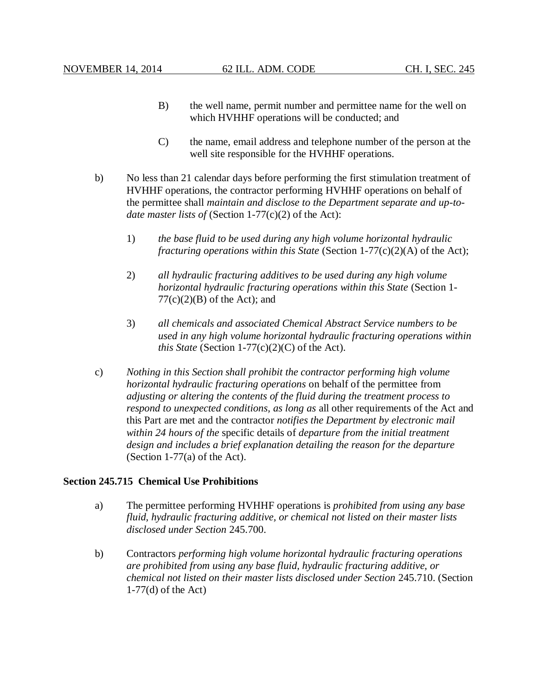- B) the well name, permit number and permittee name for the well on which HVHHF operations will be conducted; and
- C) the name, email address and telephone number of the person at the well site responsible for the HVHHF operations.
- b) No less than 21 calendar days before performing the first stimulation treatment of HVHHF operations, the contractor performing HVHHF operations on behalf of the permittee shall *maintain and disclose to the Department separate and up-todate master lists of* (Section 1-77(c)(2) of the Act):
	- 1) *the base fluid to be used during any high volume horizontal hydraulic fracturing operations within this State* (Section 1-77(c)(2)(A) of the Act);
	- 2) *all hydraulic fracturing additives to be used during any high volume horizontal hydraulic fracturing operations within this State* (Section 1-  $77(c)(2)(B)$  of the Act); and
	- 3) *all chemicals and associated Chemical Abstract Service numbers to be used in any high volume horizontal hydraulic fracturing operations within this State* (Section 1-77(c)(2)(C) of the Act).
- c) *Nothing in this Section shall prohibit the contractor performing high volume horizontal hydraulic fracturing operations* on behalf of the permittee from *adjusting or altering the contents of the fluid during the treatment process to respond to unexpected conditions, as long as* all other requirements of the Act and this Part are met and the contractor *notifies the Department by electronic mail within 24 hours of the* specific details of *departure from the initial treatment design and includes a brief explanation detailing the reason for the departure* (Section 1-77(a) of the Act).

### **Section 245.715 Chemical Use Prohibitions**

- a) The permittee performing HVHHF operations is *prohibited from using any base fluid, hydraulic fracturing additive, or chemical not listed on their master lists disclosed under Section* 245.700.
- b) Contractors *performing high volume horizontal hydraulic fracturing operations are prohibited from using any base fluid, hydraulic fracturing additive, or chemical not listed on their master lists disclosed under Section* 245.710. (Section 1-77(d) of the Act)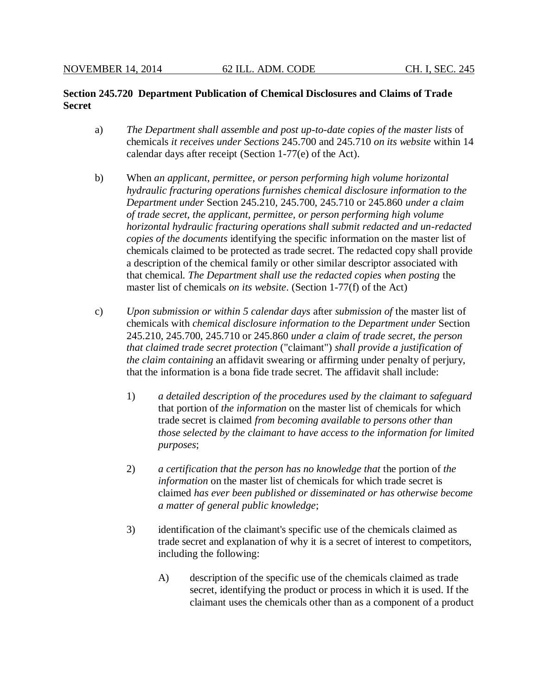## **Section 245.720 Department Publication of Chemical Disclosures and Claims of Trade Secret**

- a) *The Department shall assemble and post up-to-date copies of the master lists* of chemicals *it receives under Sections* 245.700 and 245.710 *on its website* within 14 calendar days after receipt (Section 1-77(e) of the Act).
- b) When *an applicant, permittee, or person performing high volume horizontal hydraulic fracturing operations furnishes chemical disclosure information to the Department under* Section 245.210, 245.700, 245.710 or 245.860 *under a claim of trade secret, the applicant, permittee, or person performing high volume horizontal hydraulic fracturing operations shall submit redacted and un-redacted copies of the documents* identifying the specific information on the master list of chemicals claimed to be protected as trade secret. The redacted copy shall provide a description of the chemical family or other similar descriptor associated with that chemical. *The Department shall use the redacted copies when posting* the master list of chemicals *on its website*. (Section 1-77(f) of the Act)
- c) *Upon submission or within 5 calendar days* after *submission of* the master list of chemicals with *chemical disclosure information to the Department under* Section 245.210, 245.700, 245.710 or 245.860 *under a claim of trade secret, the person that claimed trade secret protection* ("claimant") *shall provide a justification of the claim containing* an affidavit swearing or affirming under penalty of perjury, that the information is a bona fide trade secret. The affidavit shall include:
	- 1) *a detailed description of the procedures used by the claimant to safeguard* that portion of *the information* on the master list of chemicals for which trade secret is claimed *from becoming available to persons other than those selected by the claimant to have access to the information for limited purposes*;
	- 2) *a certification that the person has no knowledge that* the portion of *the information* on the master list of chemicals for which trade secret is claimed *has ever been published or disseminated or has otherwise become a matter of general public knowledge*;
	- 3) identification of the claimant's specific use of the chemicals claimed as trade secret and explanation of why it is a secret of interest to competitors, including the following:
		- A) description of the specific use of the chemicals claimed as trade secret, identifying the product or process in which it is used. If the claimant uses the chemicals other than as a component of a product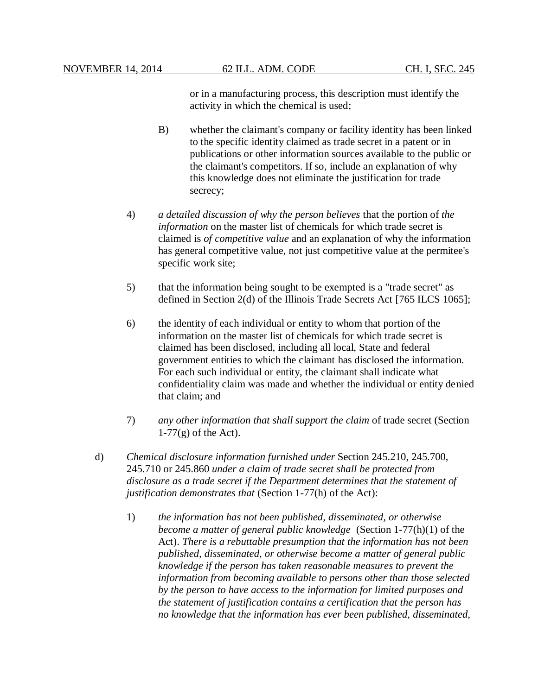or in a manufacturing process, this description must identify the activity in which the chemical is used;

- B) whether the claimant's company or facility identity has been linked to the specific identity claimed as trade secret in a patent or in publications or other information sources available to the public or the claimant's competitors. If so, include an explanation of why this knowledge does not eliminate the justification for trade secrecy;
- 4) *a detailed discussion of why the person believes* that the portion of *the information* on the master list of chemicals for which trade secret is claimed is *of competitive value* and an explanation of why the information has general competitive value, not just competitive value at the permitee's specific work site;
- 5) that the information being sought to be exempted is a "trade secret" as defined in Section 2(d) of the Illinois Trade Secrets Act [765 ILCS 1065];
- 6) the identity of each individual or entity to whom that portion of the information on the master list of chemicals for which trade secret is claimed has been disclosed, including all local, State and federal government entities to which the claimant has disclosed the information. For each such individual or entity, the claimant shall indicate what confidentiality claim was made and whether the individual or entity denied that claim; and
- 7) *any other information that shall support the claim* of trade secret (Section  $1-77(g)$  of the Act).
- d) *Chemical disclosure information furnished under* Section 245.210, 245.700, 245.710 or 245.860 *under a claim of trade secret shall be protected from disclosure as a trade secret if the Department determines that the statement of justification demonstrates that* (Section 1-77(h) of the Act):
	- 1) *the information has not been published, disseminated, or otherwise become a matter of general public knowledge* (Section 1-77(h)(1) of the Act). *There is a rebuttable presumption that the information has not been published, disseminated, or otherwise become a matter of general public knowledge if the person has taken reasonable measures to prevent the information from becoming available to persons other than those selected by the person to have access to the information for limited purposes and the statement of justification contains a certification that the person has no knowledge that the information has ever been published, disseminated,*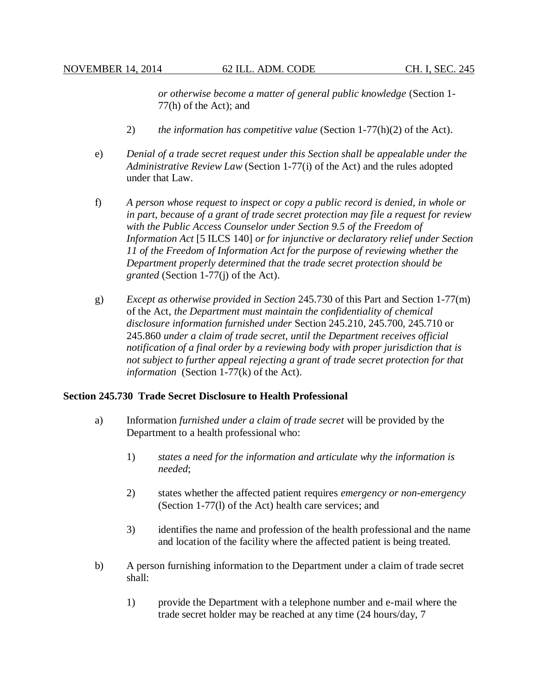*or otherwise become a matter of general public knowledge* (Section 1- 77(h) of the Act); and

- 2) *the information has competitive value* (Section 1-77(h)(2) of the Act).
- e) *Denial of a trade secret request under this Section shall be appealable under the Administrative Review Law* (Section 1-77(i) of the Act) and the rules adopted under that Law.
- f) *A person whose request to inspect or copy a public record is denied, in whole or in part, because of a grant of trade secret protection may file a request for review with the Public Access Counselor under Section 9.5 of the Freedom of Information Act* [5 ILCS 140] *or for injunctive or declaratory relief under Section 11 of the Freedom of Information Act for the purpose of reviewing whether the Department properly determined that the trade secret protection should be granted* (Section 1-77(j) of the Act).
- g) *Except as otherwise provided in Section* 245.730 of this Part and Section 1-77(m) of the Act, *the Department must maintain the confidentiality of chemical disclosure information furnished under* Section 245.210, 245.700, 245.710 or 245.860 *under a claim of trade secret, until the Department receives official notification of a final order by a reviewing body with proper jurisdiction that is not subject to further appeal rejecting a grant of trade secret protection for that information* (Section 1-77(k) of the Act).

### **Section 245.730 Trade Secret Disclosure to Health Professional**

- a) Information *furnished under a claim of trade secret* will be provided by the Department to a health professional who:
	- 1) *states a need for the information and articulate why the information is needed*;
	- 2) states whether the affected patient requires *emergency or non-emergency* (Section 1-77(l) of the Act) health care services; and
	- 3) identifies the name and profession of the health professional and the name and location of the facility where the affected patient is being treated.
- b) A person furnishing information to the Department under a claim of trade secret shall:
	- 1) provide the Department with a telephone number and e-mail where the trade secret holder may be reached at any time (24 hours/day, 7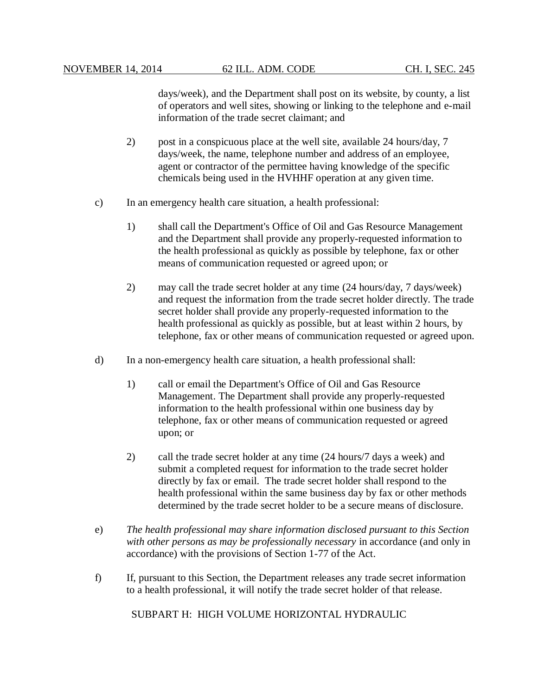days/week), and the Department shall post on its website, by county, a list of operators and well sites, showing or linking to the telephone and e-mail information of the trade secret claimant; and

- 2) post in a conspicuous place at the well site, available 24 hours/day, 7 days/week, the name, telephone number and address of an employee, agent or contractor of the permittee having knowledge of the specific chemicals being used in the HVHHF operation at any given time.
- c) In an emergency health care situation, a health professional:
	- 1) shall call the Department's Office of Oil and Gas Resource Management and the Department shall provide any properly-requested information to the health professional as quickly as possible by telephone, fax or other means of communication requested or agreed upon; or
	- 2) may call the trade secret holder at any time (24 hours/day, 7 days/week) and request the information from the trade secret holder directly. The trade secret holder shall provide any properly-requested information to the health professional as quickly as possible, but at least within 2 hours, by telephone, fax or other means of communication requested or agreed upon.
- d) In a non-emergency health care situation, a health professional shall:
	- 1) call or email the Department's Office of Oil and Gas Resource Management. The Department shall provide any properly-requested information to the health professional within one business day by telephone, fax or other means of communication requested or agreed upon; or
	- 2) call the trade secret holder at any time (24 hours/7 days a week) and submit a completed request for information to the trade secret holder directly by fax or email. The trade secret holder shall respond to the health professional within the same business day by fax or other methods determined by the trade secret holder to be a secure means of disclosure.
- e) *The health professional may share information disclosed pursuant to this Section with other persons as may be professionally necessary* in accordance (and only in accordance) with the provisions of Section 1-77 of the Act.
- f) If, pursuant to this Section, the Department releases any trade secret information to a health professional, it will notify the trade secret holder of that release.

SUBPART H: HIGH VOLUME HORIZONTAL HYDRAULIC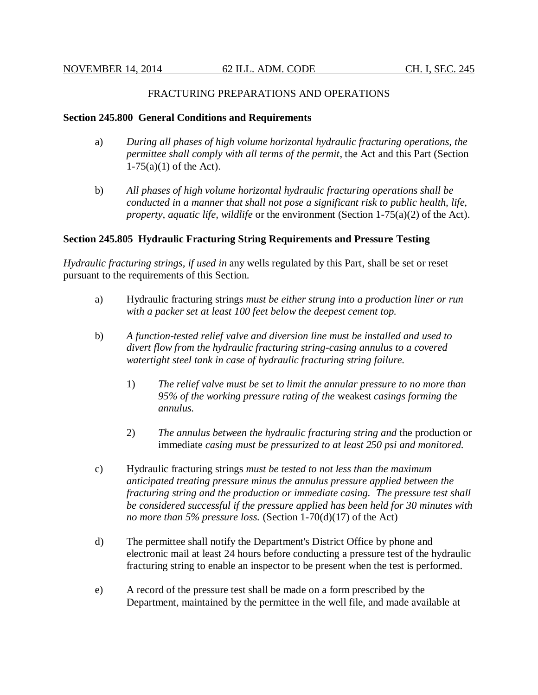## FRACTURING PREPARATIONS AND OPERATIONS

### **Section 245.800 General Conditions and Requirements**

- a) *During all phases of high volume horizontal hydraulic fracturing operations, the permittee shall comply with all terms of the permit*, the Act and this Part (Section  $1-75(a)(1)$  of the Act).
- b) *All phases of high volume horizontal hydraulic fracturing operations shall be conducted in a manner that shall not pose a significant risk to public health, life, property, aquatic life, wildlife* or the environment (Section 1-75(a)(2) of the Act).

## **Section 245.805 Hydraulic Fracturing String Requirements and Pressure Testing**

*Hydraulic fracturing strings, if used in* any wells regulated by this Part, shall be set or reset pursuant to the requirements of this Section.

- a) Hydraulic fracturing strings *must be either strung into a production liner or run with a packer set at least 100 feet below the deepest cement top.*
- b) *A function-tested relief valve and diversion line must be installed and used to divert flow from the hydraulic fracturing string-casing annulus to a covered watertight steel tank in case of hydraulic fracturing string failure.*
	- 1) *The relief valve must be set to limit the annular pressure to no more than 95% of the working pressure rating of the* weakest *casings forming the annulus.*
	- 2) *The annulus between the hydraulic fracturing string and* the production or immediate *casing must be pressurized to at least 250 psi and monitored.*
- c) Hydraulic fracturing strings *must be tested to not less than the maximum anticipated treating pressure minus the annulus pressure applied between the fracturing string and the production or immediate casing. The pressure test shall be considered successful if the pressure applied has been held for 30 minutes with no more than 5% pressure loss.* (Section 1-70(d)(17) of the Act)
- d) The permittee shall notify the Department's District Office by phone and electronic mail at least 24 hours before conducting a pressure test of the hydraulic fracturing string to enable an inspector to be present when the test is performed.
- e) A record of the pressure test shall be made on a form prescribed by the Department, maintained by the permittee in the well file, and made available at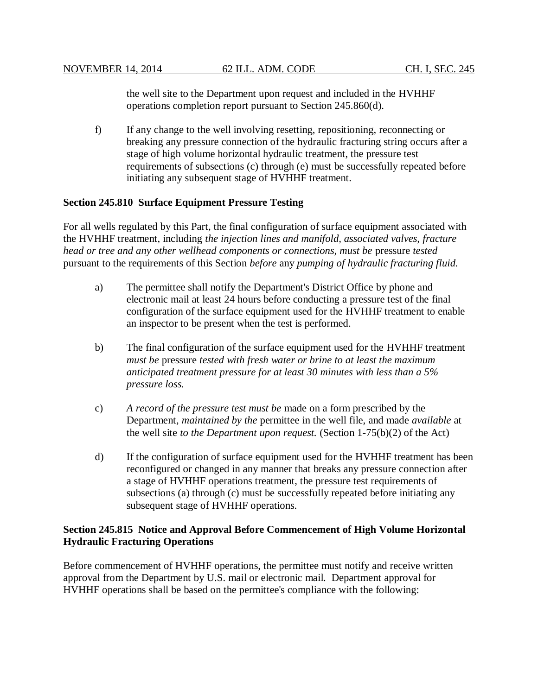the well site to the Department upon request and included in the HVHHF operations completion report pursuant to Section 245.860(d).

f) If any change to the well involving resetting, repositioning, reconnecting or breaking any pressure connection of the hydraulic fracturing string occurs after a stage of high volume horizontal hydraulic treatment, the pressure test requirements of subsections (c) through (e) must be successfully repeated before initiating any subsequent stage of HVHHF treatment.

## **Section 245.810 Surface Equipment Pressure Testing**

For all wells regulated by this Part, the final configuration of surface equipment associated with the HVHHF treatment, including *the injection lines and manifold, associated valves, fracture head or tree and any other wellhead components or connections, must be* pressure *tested* pursuant to the requirements of this Section *before* any *pumping of hydraulic fracturing fluid.*

- a) The permittee shall notify the Department's District Office by phone and electronic mail at least 24 hours before conducting a pressure test of the final configuration of the surface equipment used for the HVHHF treatment to enable an inspector to be present when the test is performed.
- b) The final configuration of the surface equipment used for the HVHHF treatment *must be* pressure *tested with fresh water or brine to at least the maximum anticipated treatment pressure for at least 30 minutes with less than a 5% pressure loss.*
- c) *A record of the pressure test must be* made on a form prescribed by the Department, *maintained by the* permittee in the well file, and made *available* at the well site *to the Department upon request.* (Section 1-75(b)(2) of the Act)
- d) If the configuration of surface equipment used for the HVHHF treatment has been reconfigured or changed in any manner that breaks any pressure connection after a stage of HVHHF operations treatment, the pressure test requirements of subsections (a) through (c) must be successfully repeated before initiating any subsequent stage of HVHHF operations.

## **Section 245.815 Notice and Approval Before Commencement of High Volume Horizontal Hydraulic Fracturing Operations**

Before commencement of HVHHF operations, the permittee must notify and receive written approval from the Department by U.S. mail or electronic mail. Department approval for HVHHF operations shall be based on the permittee's compliance with the following: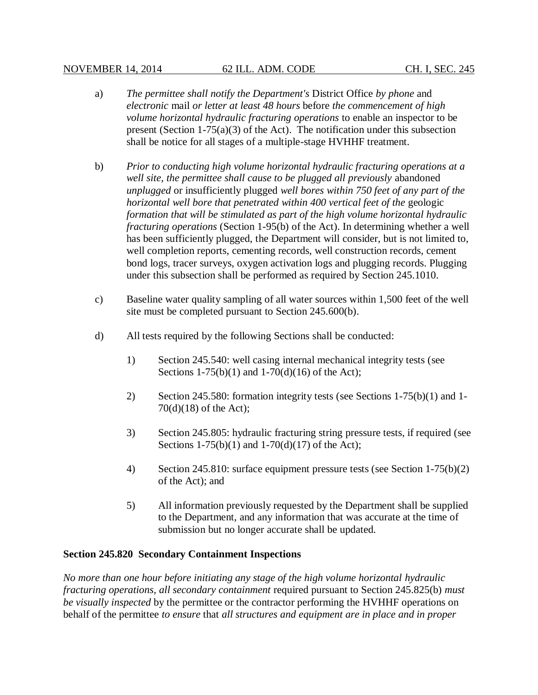- a) *The permittee shall notify the Department's* District Office *by phone* and *electronic* mail *or letter at least 48 hours* before *the commencement of high volume horizontal hydraulic fracturing operations* to enable an inspector to be present (Section 1-75(a)(3) of the Act). The notification under this subsection shall be notice for all stages of a multiple-stage HVHHF treatment.
- b) *Prior to conducting high volume horizontal hydraulic fracturing operations at a well site, the permittee shall cause to be plugged all previously* abandoned *unplugged* or insufficiently plugged *well bores within 750 feet of any part of the horizontal well bore that penetrated within 400 vertical feet of the* geologic *formation that will be stimulated as part of the high volume horizontal hydraulic fracturing operations* (Section 1-95(b) of the Act). In determining whether a well has been sufficiently plugged, the Department will consider, but is not limited to, well completion reports, cementing records, well construction records, cement bond logs, tracer surveys, oxygen activation logs and plugging records. Plugging under this subsection shall be performed as required by Section 245.1010.
- c) Baseline water quality sampling of all water sources within 1,500 feet of the well site must be completed pursuant to Section 245.600(b).
- d) All tests required by the following Sections shall be conducted:
	- 1) Section 245.540: well casing internal mechanical integrity tests (see Sections  $1-75(b)(1)$  and  $1-70(d)(16)$  of the Act);
	- 2) Section 245.580: formation integrity tests (see Sections 1-75(b)(1) and 1- 70(d)(18) of the Act);
	- 3) Section 245.805: hydraulic fracturing string pressure tests, if required (see Sections  $1-75(b)(1)$  and  $1-70(d)(17)$  of the Act);
	- 4) Section 245.810: surface equipment pressure tests (see Section 1-75(b)(2) of the Act); and
	- 5) All information previously requested by the Department shall be supplied to the Department, and any information that was accurate at the time of submission but no longer accurate shall be updated.

## **Section 245.820 Secondary Containment Inspections**

*No more than one hour before initiating any stage of the high volume horizontal hydraulic fracturing operations, all secondary containment* required pursuant to Section 245.825(b) *must be visually inspected* by the permittee or the contractor performing the HVHHF operations on behalf of the permittee *to ensure* that *all structures and equipment are in place and in proper*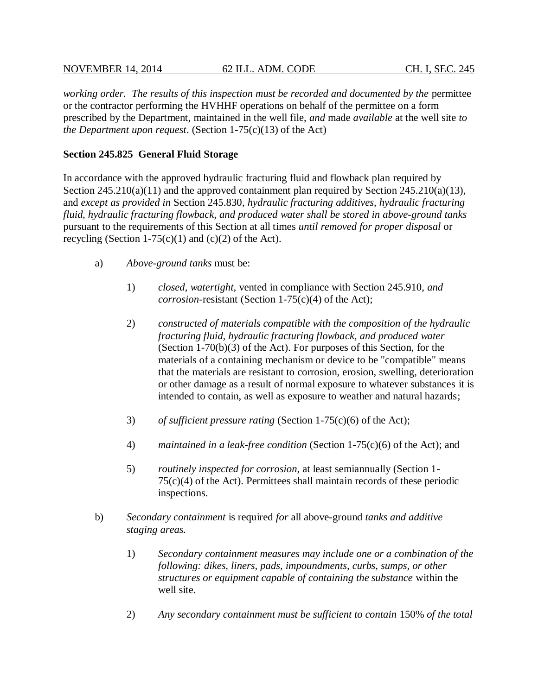### NOVEMBER 14, 2014 62 ILL. ADM. CODE CH. I, SEC. 245

working order. The results of this inspection must be recorded and documented by the permittee or the contractor performing the HVHHF operations on behalf of the permittee on a form prescribed by the Department, maintained in the well file, *and* made *available* at the well site *to the Department upon request*. (Section 1-75(c)(13) of the Act)

## **Section 245.825 General Fluid Storage**

In accordance with the approved hydraulic fracturing fluid and flowback plan required by Section 245.210(a)(11) and the approved containment plan required by Section 245.210(a)(13), and *except as provided in* Section 245.830, *hydraulic fracturing additives, hydraulic fracturing fluid, hydraulic fracturing flowback, and produced water shall be stored in above-ground tanks* pursuant to the requirements of this Section at all times *until removed for proper disposal* or recycling (Section 1-75 $(c)(1)$  and  $(c)(2)$  of the Act).

- a) *Above-ground tanks* must be:
	- 1) *closed, watertight,* vented in compliance with Section 245.910, *and corrosion*-resistant (Section 1-75(c)(4) of the Act);
	- 2) *constructed of materials compatible with the composition of the hydraulic fracturing fluid, hydraulic fracturing flowback, and produced water* (Section 1-70(b)(3) of the Act). For purposes of this Section, for the materials of a containing mechanism or device to be "compatible" means that the materials are resistant to corrosion, erosion, swelling, deterioration or other damage as a result of normal exposure to whatever substances it is intended to contain, as well as exposure to weather and natural hazards;
	- 3) *of sufficient pressure rating* (Section 1-75(c)(6) of the Act);
	- 4) *maintained in a leak-free condition* (Section 1-75(c)(6) of the Act); and
	- 5) *routinely inspected for corrosion*, at least semiannually (Section 1- 75(c)(4) of the Act). Permittees shall maintain records of these periodic inspections.
- b) *Secondary containment* is required *for* all above-ground *tanks and additive staging areas.*
	- 1) *Secondary containment measures may include one or a combination of the following: dikes, liners, pads, impoundments, curbs, sumps, or other structures or equipment capable of containing the substance* within the well site.
	- 2) *Any secondary containment must be sufficient to contain* 150% *of the total*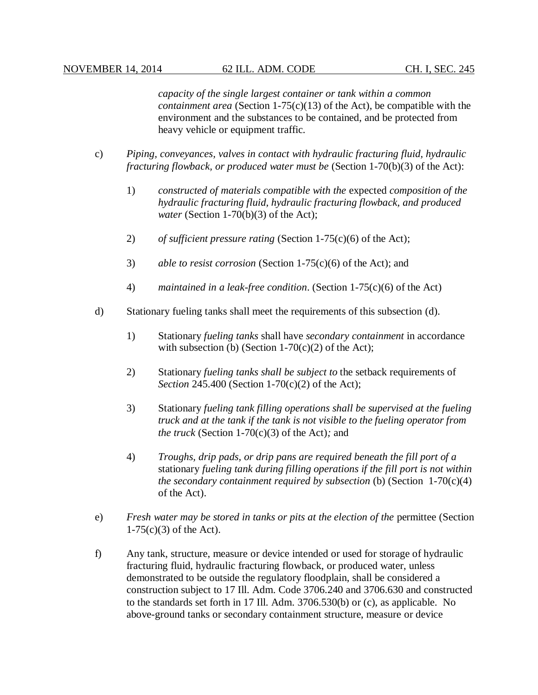*capacity of the single largest container or tank within a common containment area* (Section 1-75(c)(13) of the Act), be compatible with the environment and the substances to be contained, and be protected from heavy vehicle or equipment traffic*.*

- c) *Piping, conveyances, valves in contact with hydraulic fracturing fluid, hydraulic fracturing flowback, or produced water must be* (Section 1-70(b)(3) of the Act):
	- 1) *constructed of materials compatible with the* expected *composition of the hydraulic fracturing fluid, hydraulic fracturing flowback, and produced water* (Section 1-70(b)(3) of the Act);
	- 2) *of sufficient pressure rating* (Section 1-75(c)(6) of the Act);
	- 3) *able to resist corrosion* (Section 1-75(c)(6) of the Act); and
	- 4) *maintained in a leak-free condition*. (Section 1-75(c)(6) of the Act)
- d) Stationary fueling tanks shall meet the requirements of this subsection (d).
	- 1) Stationary *fueling tanks* shall have *secondary containment* in accordance with subsection (b) (Section  $1-70(c)(2)$  of the Act);
	- 2) Stationary *fueling tanks shall be subject to* the setback requirements of *Section* 245.400 (Section 1-70(c)(2) of the Act);
	- 3) Stationary *fueling tank filling operations shall be supervised at the fueling truck and at the tank if the tank is not visible to the fueling operator from the truck* (Section 1-70(c)(3) of the Act)*;* and
	- 4) *Troughs, drip pads, or drip pans are required beneath the fill port of a* stationary *fueling tank during filling operations if the fill port is not within the secondary containment required by subsection* (b) (Section 1-70(c)(4) of the Act).
- e) *Fresh water may be stored in tanks or pits at the election of the* permittee (Section 1-75(c)(3) of the Act).
- f) Any tank, structure, measure or device intended or used for storage of hydraulic fracturing fluid, hydraulic fracturing flowback, or produced water, unless demonstrated to be outside the regulatory floodplain, shall be considered a construction subject to 17 Ill. Adm. Code 3706.240 and 3706.630 and constructed to the standards set forth in 17 Ill. Adm. 3706.530(b) or (c), as applicable. No above-ground tanks or secondary containment structure, measure or device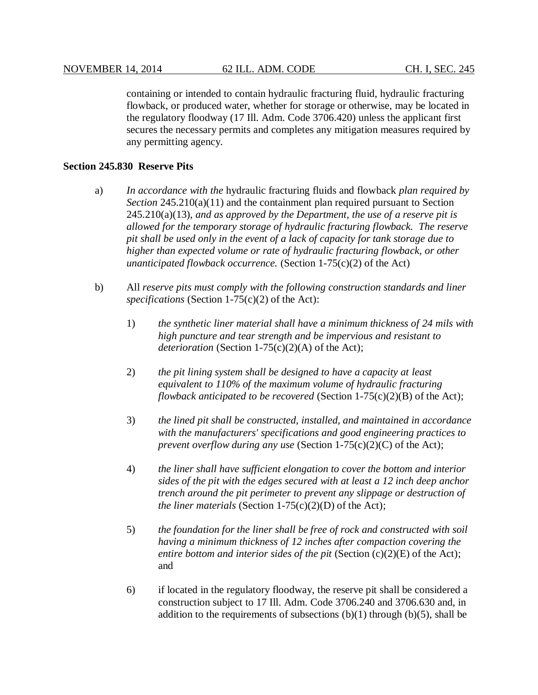containing or intended to contain hydraulic fracturing fluid, hydraulic fracturing flowback, or produced water, whether for storage or otherwise, may be located in the regulatory floodway (17 Ill. Adm. Code 3706.420) unless the applicant first secures the necessary permits and completes any mitigation measures required by any permitting agency.

### **Section 245.830 Reserve Pits**

- a) *In accordance with the* hydraulic fracturing fluids and flowback *plan required by Section* 245.210(a)(11) and the containment plan required pursuant to Section 245.210(a)(13), *and as approved by the Department, the use of a reserve pit is allowed for the temporary storage of hydraulic fracturing flowback. The reserve pit shall be used only in the event of a lack of capacity for tank storage due to higher than expected volume or rate of hydraulic fracturing flowback, or other unanticipated flowback occurrence.* (Section 1-75(c)(2) of the Act)
- b) All *reserve pits must comply with the following construction standards and liner specifications* (Section 1-75(c)(2) of the Act):
	- 1) *the synthetic liner material shall have a minimum thickness of 24 mils with high puncture and tear strength and be impervious and resistant to deterioration* (Section 1-75(c)(2)(A) of the Act);
	- 2) *the pit lining system shall be designed to have a capacity at least equivalent to 110% of the maximum volume of hydraulic fracturing flowback anticipated to be recovered* (Section 1-75(c)(2)(B) of the Act);
	- 3) *the lined pit shall be constructed, installed, and maintained in accordance with the manufacturers' specifications and good engineering practices to prevent overflow during any use* (Section 1-75(c)(2)(C) of the Act);
	- 4) *the liner shall have sufficient elongation to cover the bottom and interior sides of the pit with the edges secured with at least a 12 inch deep anchor trench around the pit perimeter to prevent any slippage or destruction of the liner materials* (Section 1-75(c)(2)(D) of the Act);
	- 5) *the foundation for the liner shall be free of rock and constructed with soil having a minimum thickness of 12 inches after compaction covering the entire bottom and interior sides of the pit* (Section (c)(2)(E) of the Act); and
	- 6) if located in the regulatory floodway, the reserve pit shall be considered a construction subject to 17 Ill. Adm. Code 3706.240 and 3706.630 and, in addition to the requirements of subsections  $(b)(1)$  through  $(b)(5)$ , shall be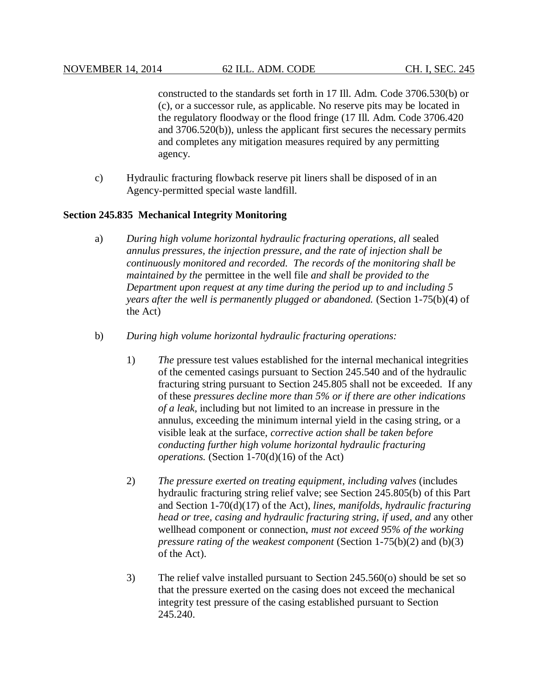constructed to the standards set forth in 17 Ill. Adm. Code 3706.530(b) or (c), or a successor rule, as applicable. No reserve pits may be located in the regulatory floodway or the flood fringe (17 Ill. Adm. Code 3706.420 and 3706.520(b)), unless the applicant first secures the necessary permits and completes any mitigation measures required by any permitting agency.

c) Hydraulic fracturing flowback reserve pit liners shall be disposed of in an Agency-permitted special waste landfill.

### **Section 245.835 Mechanical Integrity Monitoring**

- a) *During high volume horizontal hydraulic fracturing operations, all* sealed *annulus pressures, the injection pressure, and the rate of injection shall be continuously monitored and recorded. The records of the monitoring shall be maintained by the* permittee in the well file *and shall be provided to the Department upon request at any time during the period up to and including 5 years after the well is permanently plugged or abandoned.* (Section 1-75(b)(4) of the Act)
- b) *During high volume horizontal hydraulic fracturing operations:*
	- 1) *The* pressure test values established for the internal mechanical integrities of the cemented casings pursuant to Section 245.540 and of the hydraulic fracturing string pursuant to Section 245.805 shall not be exceeded. If any of these *pressures decline more than 5% or if there are other indications of a leak,* including but not limited to an increase in pressure in the annulus, exceeding the minimum internal yield in the casing string, or a visible leak at the surface, *corrective action shall be taken before conducting further high volume horizontal hydraulic fracturing operations.* (Section 1-70(d)(16) of the Act)
	- 2) *The pressure exerted on treating equipment, including valves* (includes hydraulic fracturing string relief valve; see Section 245.805(b) of this Part and Section 1-70(d)(17) of the Act)*, lines, manifolds, hydraulic fracturing head or tree, casing and hydraulic fracturing string, if used, and* any other wellhead component or connection, *must not exceed 95% of the working pressure rating of the weakest component* (Section 1-75(b)(2) and (b)(3) of the Act).
	- 3) The relief valve installed pursuant to Section 245.560(o) should be set so that the pressure exerted on the casing does not exceed the mechanical integrity test pressure of the casing established pursuant to Section 245.240.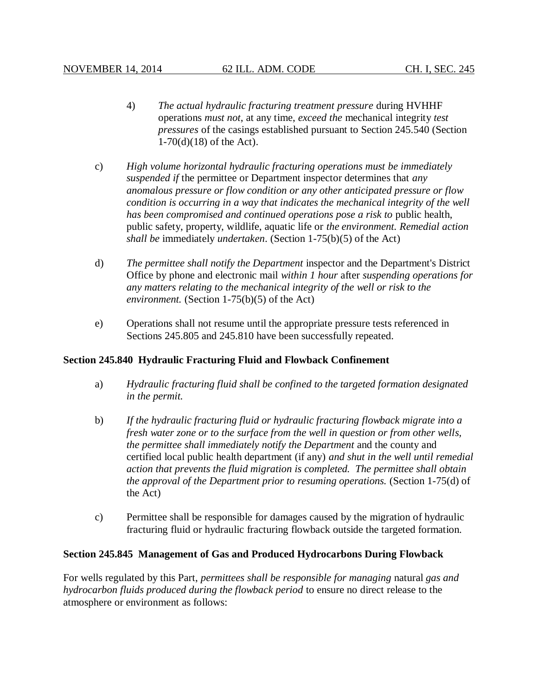- 4) *The actual hydraulic fracturing treatment pressure* during HVHHF operations *must not*, at any time, *exceed the* mechanical integrity *test pressures* of the casings established pursuant to Section 245.540 (Section 1-70(d)(18) of the Act).
- c) *High volume horizontal hydraulic fracturing operations must be immediately suspended if* the permittee or Department inspector determines that *any anomalous pressure or flow condition or any other anticipated pressure or flow condition is occurring in a way that indicates the mechanical integrity of the well has been compromised and continued operations pose a risk to public health,* public safety, property, wildlife, aquatic life or *the environment. Remedial action shall be* immediately *undertaken*. (Section 1-75(b)(5) of the Act)
- d) *The permittee shall notify the Department* inspector and the Department's District Office by phone and electronic mail *within 1 hour* after *suspending operations for any matters relating to the mechanical integrity of the well or risk to the environment.* (Section 1-75(b)(5) of the Act)
- e) Operations shall not resume until the appropriate pressure tests referenced in Sections 245.805 and 245.810 have been successfully repeated.

## **Section 245.840 Hydraulic Fracturing Fluid and Flowback Confinement**

- a) *Hydraulic fracturing fluid shall be confined to the targeted formation designated in the permit.*
- b) *If the hydraulic fracturing fluid or hydraulic fracturing flowback migrate into a fresh water zone or to the surface from the well in question or from other wells, the permittee shall immediately notify the Department* and the county and certified local public health department (if any) *and shut in the well until remedial action that prevents the fluid migration is completed. The permittee shall obtain the approval of the Department prior to resuming operations.* (Section 1-75(d) of the Act)
- c) Permittee shall be responsible for damages caused by the migration of hydraulic fracturing fluid or hydraulic fracturing flowback outside the targeted formation.

#### **Section 245.845 Management of Gas and Produced Hydrocarbons During Flowback**

For wells regulated by this Part, *permittees shall be responsible for managing* natural *gas and hydrocarbon fluids produced during the flowback period* to ensure no direct release to the atmosphere or environment as follows: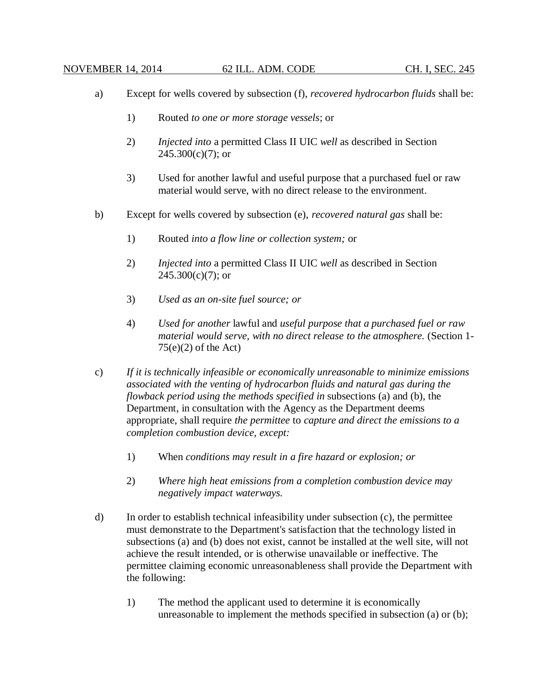- a) Except for wells covered by subsection (f), *recovered hydrocarbon fluids* shall be:
	- 1) Routed *to one or more storage vessels*; or
	- 2) *Injected into* a permitted Class II UIC *well* as described in Section  $245.300(c)(7)$ ; or
	- 3) Used for another lawful and useful purpose that a purchased fuel or raw material would serve, with no direct release to the environment.
- b) Except for wells covered by subsection (e), *recovered natural gas* shall be:
	- 1) Routed *into a flow line or collection system;* or
	- 2) *Injected into* a permitted Class II UIC *well* as described in Section  $245.300(c)(7)$ ; or
	- 3) *Used as an on-site fuel source; or*
	- 4) *Used for another* lawful and *useful purpose that a purchased fuel or raw material would serve, with no direct release to the atmosphere.* (Section 1-  $75(e)(2)$  of the Act)
- c) *If it is technically infeasible or economically unreasonable to minimize emissions associated with the venting of hydrocarbon fluids and natural gas during the flowback period using the methods specified in* subsections (a) and (b), the Department, in consultation with the Agency as the Department deems appropriate, shall require *the permittee* to *capture and direct the emissions to a completion combustion device, except:*
	- 1) When *conditions may result in a fire hazard or explosion; or*
	- 2) *Where high heat emissions from a completion combustion device may negatively impact waterways.*
- d) In order to establish technical infeasibility under subsection (c), the permittee must demonstrate to the Department's satisfaction that the technology listed in subsections (a) and (b) does not exist, cannot be installed at the well site, will not achieve the result intended, or is otherwise unavailable or ineffective. The permittee claiming economic unreasonableness shall provide the Department with the following:
	- 1) The method the applicant used to determine it is economically unreasonable to implement the methods specified in subsection (a) or (b);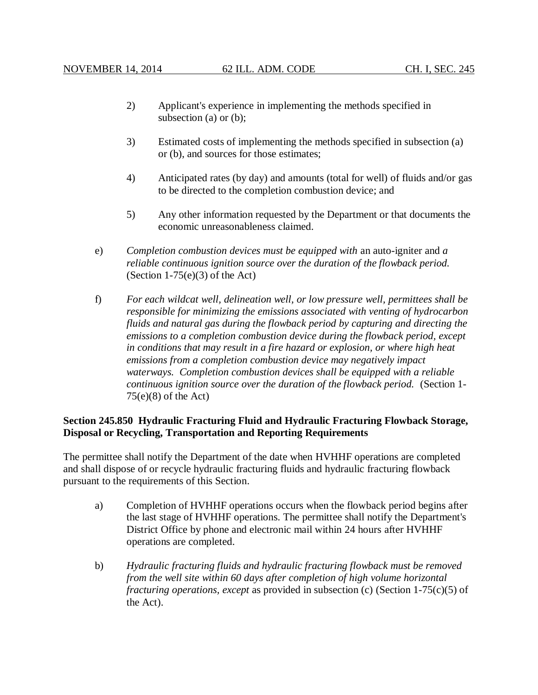- 2) Applicant's experience in implementing the methods specified in subsection (a) or (b);
- 3) Estimated costs of implementing the methods specified in subsection (a) or (b), and sources for those estimates;
- 4) Anticipated rates (by day) and amounts (total for well) of fluids and/or gas to be directed to the completion combustion device; and
- 5) Any other information requested by the Department or that documents the economic unreasonableness claimed.
- e) *Completion combustion devices must be equipped with* an auto-igniter and *a reliable continuous ignition source over the duration of the flowback period.* (Section  $1-75(e)(3)$  of the Act)
- f) *For each wildcat well, delineation well, or low pressure well, permittees shall be responsible for minimizing the emissions associated with venting of hydrocarbon fluids and natural gas during the flowback period by capturing and directing the emissions to a completion combustion device during the flowback period, except in conditions that may result in a fire hazard or explosion, or where high heat emissions from a completion combustion device may negatively impact waterways. Completion combustion devices shall be equipped with a reliable continuous ignition source over the duration of the flowback period.* (Section 1-  $75(e)(8)$  of the Act)

## **Section 245.850 Hydraulic Fracturing Fluid and Hydraulic Fracturing Flowback Storage, Disposal or Recycling, Transportation and Reporting Requirements**

The permittee shall notify the Department of the date when HVHHF operations are completed and shall dispose of or recycle hydraulic fracturing fluids and hydraulic fracturing flowback pursuant to the requirements of this Section.

- a) Completion of HVHHF operations occurs when the flowback period begins after the last stage of HVHHF operations. The permittee shall notify the Department's District Office by phone and electronic mail within 24 hours after HVHHF operations are completed.
- b) *Hydraulic fracturing fluids and hydraulic fracturing flowback must be removed from the well site within 60 days after completion of high volume horizontal fracturing operations, except* as provided in subsection (c) (Section 1-75(c)(5) of the Act).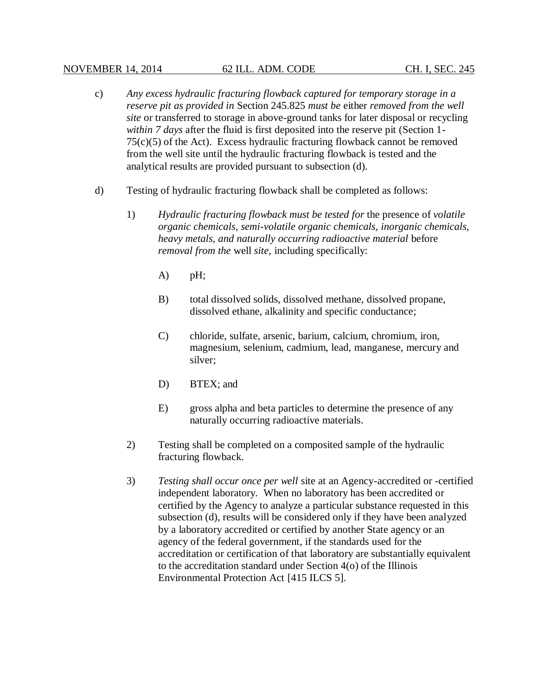### NOVEMBER 14, 2014 62 ILL. ADM. CODE CH. I, SEC. 245

- c) *Any excess hydraulic fracturing flowback captured for temporary storage in a reserve pit as provided in* Section 245.825 *must be* either *removed from the well site* or transferred to storage in above-ground tanks for later disposal or recycling *within 7 days* after the fluid is first deposited into the reserve pit (Section 1- 75(c)(5) of the Act). Excess hydraulic fracturing flowback cannot be removed from the well site until the hydraulic fracturing flowback is tested and the analytical results are provided pursuant to subsection (d).
- d) Testing of hydraulic fracturing flowback shall be completed as follows:
	- 1) *Hydraulic fracturing flowback must be tested for* the presence of *volatile organic chemicals, semi-volatile organic chemicals, inorganic chemicals, heavy metals, and naturally occurring radioactive material* before *removal from the* well *site*, including specifically:
		- A) pH;
		- B) total dissolved solids, dissolved methane, dissolved propane, dissolved ethane, alkalinity and specific conductance;
		- C) chloride, sulfate, arsenic, barium, calcium, chromium, iron, magnesium, selenium, cadmium, lead, manganese, mercury and silver;
		- D) BTEX; and
		- E) gross alpha and beta particles to determine the presence of any naturally occurring radioactive materials.
	- 2) Testing shall be completed on a composited sample of the hydraulic fracturing flowback.
	- 3) *Testing shall occur once per well* site at an Agency-accredited or -certified independent laboratory. When no laboratory has been accredited or certified by the Agency to analyze a particular substance requested in this subsection (d), results will be considered only if they have been analyzed by a laboratory accredited or certified by another State agency or an agency of the federal government, if the standards used for the accreditation or certification of that laboratory are substantially equivalent to the accreditation standard under Section 4(o) of the Illinois Environmental Protection Act [415 ILCS 5].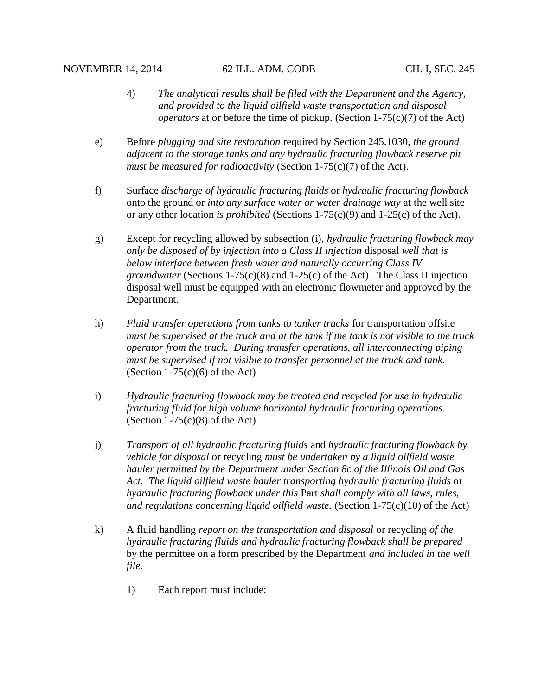- 4) *The analytical results shall be filed with the Department and the Agency, and provided to the liquid oilfield waste transportation and disposal operators* at or before the time of pickup. (Section 1-75(c)(7) of the Act)
- e) Before *plugging and site restoration* required by Section 245.1030, *the ground adjacent to the storage tanks and any hydraulic fracturing flowback reserve pit must be measured for radioactivity* (Section 1-75(c)(7) of the Act).
- f) Surface *discharge of hydraulic fracturing fluids* or *hydraulic fracturing flowback* onto the ground or *into any surface water or water drainage way* at the well site or any other location *is prohibited* (Sections 1-75(c)(9) and 1-25(c) of the Act).
- g) Except for recycling allowed by subsection (i), *hydraulic fracturing flowback may only be disposed of by injection into a Class II injection* disposal *well that is below interface between fresh water and naturally occurring Class IV groundwater* (Sections 1-75(c)(8) and 1-25(c) of the Act)*.* The Class II injection disposal well must be equipped with an electronic flowmeter and approved by the Department.
- h) *Fluid transfer operations from tanks to tanker trucks* for transportation offsite *must be supervised at the truck and at the tank if the tank is not visible to the truck operator from the truck. During transfer operations, all interconnecting piping must be supervised if not visible to transfer personnel at the truck and tank.* (Section  $1-75(c)(6)$  of the Act)
- i) *Hydraulic fracturing flowback may be treated and recycled for use in hydraulic fracturing fluid for high volume horizontal hydraulic fracturing operations.* (Section  $1-75(c)(8)$  of the Act)
- j) *Transport of all hydraulic fracturing fluids* and *hydraulic fracturing flowback by vehicle for disposal* or recycling *must be undertaken by a liquid oilfield waste hauler permitted by the Department under Section 8c of the Illinois Oil and Gas Act. The liquid oilfield waste hauler transporting hydraulic fracturing fluids* or *hydraulic fracturing flowback under this* Part *shall comply with all laws, rules, and regulations concerning liquid oilfield waste.* (Section 1-75(c)(10) of the Act)
- k) A fluid handling *report on the transportation and disposal* or recycling *of the hydraulic fracturing fluids and hydraulic fracturing flowback shall be prepared* by the permittee on a form prescribed by the Department *and included in the well file*.
	- 1) Each report must include: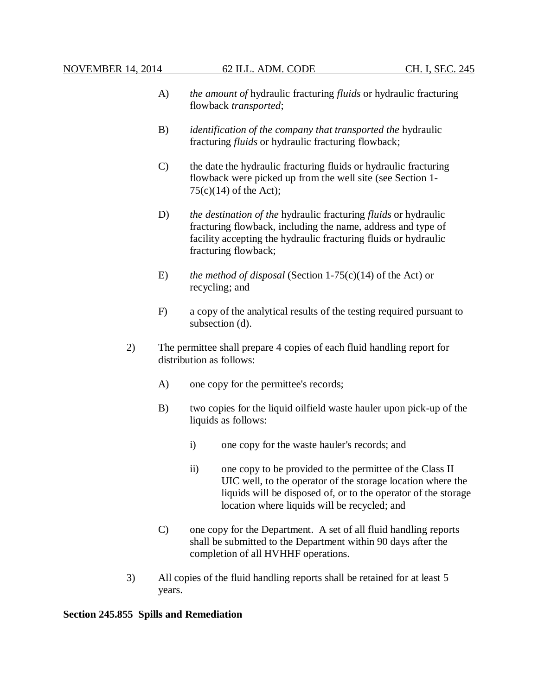- A) *the amount of* hydraulic fracturing *fluids* or hydraulic fracturing flowback *transported*;
- B) *identification of the company that transported the* hydraulic fracturing *fluids* or hydraulic fracturing flowback;
- C) the date the hydraulic fracturing fluids or hydraulic fracturing flowback were picked up from the well site (see Section 1-  $75(c)(14)$  of the Act);
- D) *the destination of the* hydraulic fracturing *fluids* or hydraulic fracturing flowback, including the name, address and type of facility accepting the hydraulic fracturing fluids or hydraulic fracturing flowback;
- E) *the method of disposal* (Section 1-75(c)(14) of the Act) or recycling; and
- F) a copy of the analytical results of the testing required pursuant to subsection (d).
- 2) The permittee shall prepare 4 copies of each fluid handling report for distribution as follows:
	- A) one copy for the permittee's records;
	- B) two copies for the liquid oilfield waste hauler upon pick-up of the liquids as follows:
		- i) one copy for the waste hauler's records; and
		- ii) one copy to be provided to the permittee of the Class II UIC well, to the operator of the storage location where the liquids will be disposed of, or to the operator of the storage location where liquids will be recycled; and
	- C) one copy for the Department. A set of all fluid handling reports shall be submitted to the Department within 90 days after the completion of all HVHHF operations.
- 3) All copies of the fluid handling reports shall be retained for at least 5 years.

## **Section 245.855 Spills and Remediation**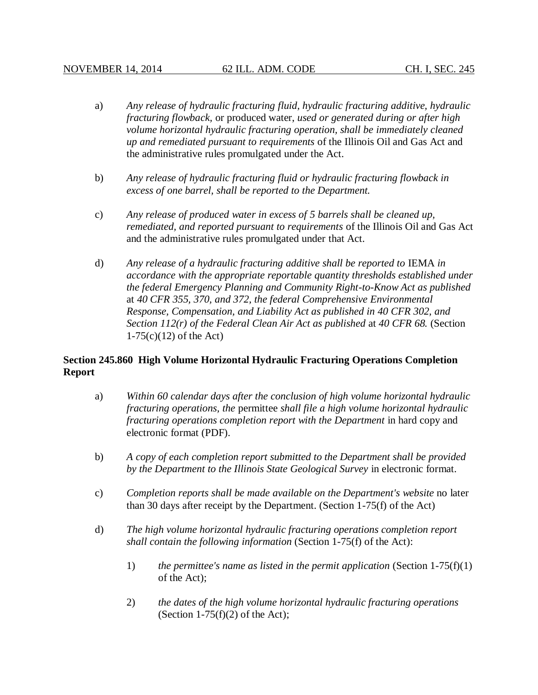- a) *Any release of hydraulic fracturing fluid, hydraulic fracturing additive, hydraulic fracturing flowback,* or produced water, *used or generated during or after high volume horizontal hydraulic fracturing operation, shall be immediately cleaned up and remediated pursuant to requirements* of the Illinois Oil and Gas Act and the administrative rules promulgated under the Act.
- b) *Any release of hydraulic fracturing fluid or hydraulic fracturing flowback in excess of one barrel, shall be reported to the Department.*
- c) *Any release of produced water in excess of 5 barrels shall be cleaned up, remediated, and reported pursuant to requirements* of the Illinois Oil and Gas Act and the administrative rules promulgated under that Act.
- d) *Any release of a hydraulic fracturing additive shall be reported to* IEMA *in accordance with the appropriate reportable quantity thresholds established under the federal Emergency Planning and Community Right-to-Know Act as published*  at *40 CFR 355, 370, and 372, the federal Comprehensive Environmental Response, Compensation, and Liability Act as published in 40 CFR 302, and Section 112(r) of the Federal Clean Air Act as published* at *40 CFR 68.* (Section  $1-75(c)(12)$  of the Act)

# **Section 245.860 High Volume Horizontal Hydraulic Fracturing Operations Completion Report**

- a) *Within 60 calendar days after the conclusion of high volume horizontal hydraulic fracturing operations, the* permittee *shall file a high volume horizontal hydraulic fracturing operations completion report with the Department* in hard copy and electronic format (PDF).
- b) *A copy of each completion report submitted to the Department shall be provided by the Department to the Illinois State Geological Survey* in electronic format.
- c) *Completion reports shall be made available on the Department's website* no later than 30 days after receipt by the Department. (Section 1-75(f) of the Act)
- d) *The high volume horizontal hydraulic fracturing operations completion report shall contain the following information* (Section 1-75(f) of the Act):
	- 1) *the permittee's name as listed in the permit application* (Section 1-75(f)(1) of the Act);
	- 2) *the dates of the high volume horizontal hydraulic fracturing operations* (Section 1-75 $(f)(2)$  of the Act);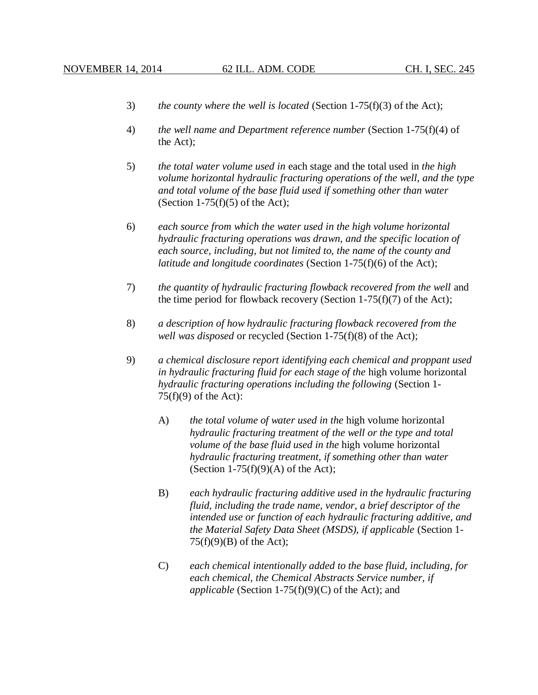- 3) *the county where the well is located* (Section 1-75(f)(3) of the Act);
- 4) *the well name and Department reference number* (Section 1-75(f)(4) of the Act);
- 5) *the total water volume used in* each stage and the total used in *the high volume horizontal hydraulic fracturing operations of the well, and the type and total volume of the base fluid used if something other than water* (Section 1-75 $(f)(5)$  of the Act);
- 6) *each source from which the water used in the high volume horizontal hydraulic fracturing operations was drawn, and the specific location of each source, including, but not limited to, the name of the county and latitude and longitude coordinates* (Section 1-75(f)(6) of the Act);
- 7) *the quantity of hydraulic fracturing flowback recovered from the well* and the time period for flowback recovery (Section  $1-75(f)(7)$  of the Act);
- 8) *a description of how hydraulic fracturing flowback recovered from the well was disposed* or recycled (Section 1-75(f)(8) of the Act);
- 9) *a chemical disclosure report identifying each chemical and proppant used in hydraulic fracturing fluid for each stage of the* high volume horizontal *hydraulic fracturing operations including the following* (Section 1-  $75(f)(9)$  of the Act):
	- A) *the total volume of water used in the* high volume horizontal *hydraulic fracturing treatment of the well or the type and total volume of the base fluid used in the* high volume horizontal *hydraulic fracturing treatment, if something other than water* (Section 1-75 $(f)(9)(A)$  of the Act);
	- B) *each hydraulic fracturing additive used in the hydraulic fracturing fluid, including the trade name, vendor, a brief descriptor of the intended use or function of each hydraulic fracturing additive, and the Material Safety Data Sheet (MSDS), if applicable* (Section 1-  $75(f)(9)(B)$  of the Act);
	- C) *each chemical intentionally added to the base fluid, including, for each chemical, the Chemical Abstracts Service number, if applicable* (Section 1-75(f)(9)(C) of the Act); and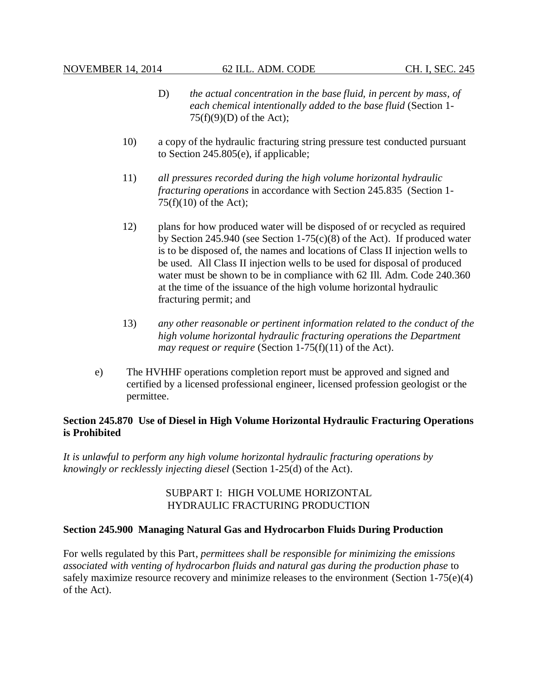- D) *the actual concentration in the base fluid, in percent by mass, of each chemical intentionally added to the base fluid* (Section 1-  $75(f)(9)(D)$  of the Act);
- 10) a copy of the hydraulic fracturing string pressure test conducted pursuant to Section 245.805(e), if applicable;
- 11) *all pressures recorded during the high volume horizontal hydraulic fracturing operations* in accordance with Section 245.835 (Section 1-  $75(f)(10)$  of the Act);
- 12) plans for how produced water will be disposed of or recycled as required by Section 245.940 (see Section 1-75(c)(8) of the Act). If produced water is to be disposed of, the names and locations of Class II injection wells to be used. All Class II injection wells to be used for disposal of produced water must be shown to be in compliance with 62 Ill. Adm. Code 240.360 at the time of the issuance of the high volume horizontal hydraulic fracturing permit; and
- 13) *any other reasonable or pertinent information related to the conduct of the high volume horizontal hydraulic fracturing operations the Department may request or require* (Section 1-75(f)(11) of the Act).
- e) The HVHHF operations completion report must be approved and signed and certified by a licensed professional engineer, licensed profession geologist or the permittee.

## **Section 245.870 Use of Diesel in High Volume Horizontal Hydraulic Fracturing Operations is Prohibited**

*It is unlawful to perform any high volume horizontal hydraulic fracturing operations by knowingly or recklessly injecting diesel* (Section 1-25(d) of the Act).

## SUBPART I: HIGH VOLUME HORIZONTAL HYDRAULIC FRACTURING PRODUCTION

## **Section 245.900 Managing Natural Gas and Hydrocarbon Fluids During Production**

For wells regulated by this Part, *permittees shall be responsible for minimizing the emissions associated with venting of hydrocarbon fluids and natural gas during the production phase* to safely maximize resource recovery and minimize releases to the environment (Section 1-75(e)(4) of the Act).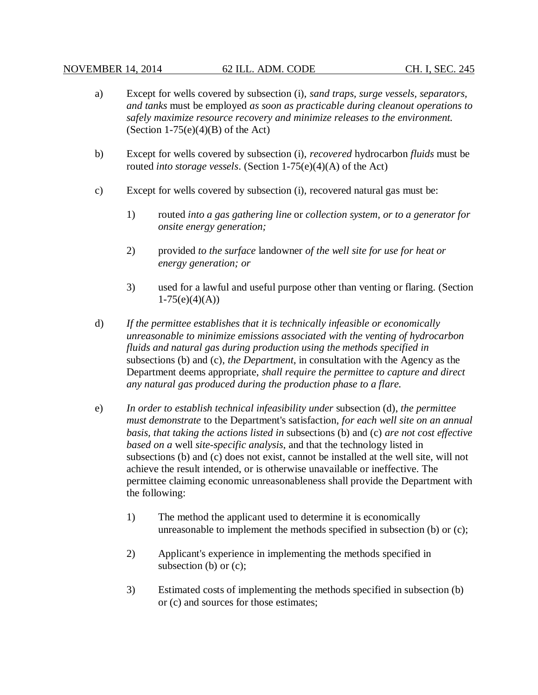- a) Except for wells covered by subsection (i), *sand traps, surge vessels, separators, and tanks* must be employed *as soon as practicable during cleanout operations to safely maximize resource recovery and minimize releases to the environment.* (Section  $1-75(e)(4)(B)$  of the Act)
- b) Except for wells covered by subsection (i), *recovered* hydrocarbon *fluids* must be routed *into storage vessels*. (Section 1-75(e)(4)(A) of the Act)
- c) Except for wells covered by subsection (i), recovered natural gas must be:
	- 1) routed *into a gas gathering line* or *collection system, or to a generator for onsite energy generation;*
	- 2) provided *to the surface* landowner *of the well site for use for heat or energy generation; or*
	- 3) used for a lawful and useful purpose other than venting or flaring. (Section  $1-75(e)(4)(A))$
- d) *If the permittee establishes that it is technically infeasible or economically unreasonable to minimize emissions associated with the venting of hydrocarbon fluids and natural gas during production using the methods specified in* subsections (b) and (c), *the Department*, in consultation with the Agency as the Department deems appropriate, *shall require the permittee to capture and direct any natural gas produced during the production phase to a flare.*
- e) *In order to establish technical infeasibility under* subsection (d), *the permittee must demonstrate* to the Department's satisfaction, *for each well site on an annual basis, that taking the actions listed in* subsections (b) and (c) *are not cost effective based on a* well *site-specific analysis*, and that the technology listed in subsections (b) and (c) does not exist, cannot be installed at the well site, will not achieve the result intended, or is otherwise unavailable or ineffective. The permittee claiming economic unreasonableness shall provide the Department with the following:
	- 1) The method the applicant used to determine it is economically unreasonable to implement the methods specified in subsection (b) or (c);
	- 2) Applicant's experience in implementing the methods specified in subsection (b) or (c);
	- 3) Estimated costs of implementing the methods specified in subsection (b) or (c) and sources for those estimates;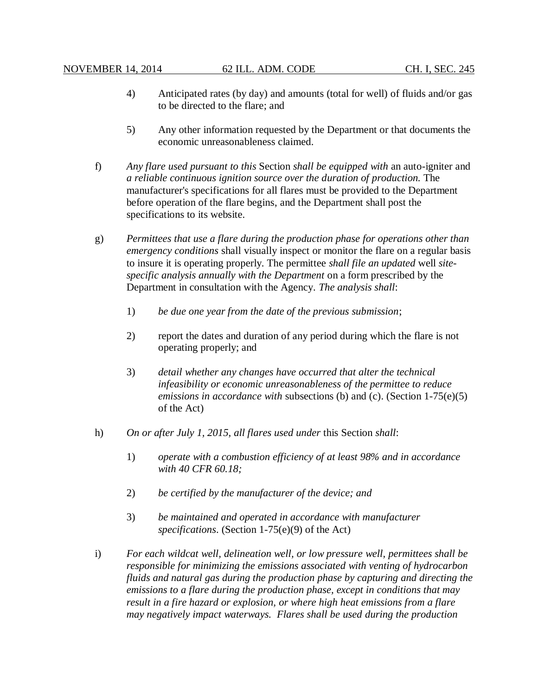- 4) Anticipated rates (by day) and amounts (total for well) of fluids and/or gas to be directed to the flare; and
- 5) Any other information requested by the Department or that documents the economic unreasonableness claimed.
- f) *Any flare used pursuant to this* Section *shall be equipped with* an auto-igniter and *a reliable continuous ignition source over the duration of production.* The manufacturer's specifications for all flares must be provided to the Department before operation of the flare begins, and the Department shall post the specifications to its website.
- g) *Permittees that use a flare during the production phase for operations other than emergency conditions* shall visually inspect or monitor the flare on a regular basis to insure it is operating properly. The permittee *shall file an updated* well *sitespecific analysis annually with the Department* on a form prescribed by the Department in consultation with the Agency. *The analysis shall*:
	- 1) *be due one year from the date of the previous submission*;
	- 2) report the dates and duration of any period during which the flare is not operating properly; and
	- 3) *detail whether any changes have occurred that alter the technical infeasibility or economic unreasonableness of the permittee to reduce emissions in accordance with* subsections (b) and (c). (Section 1-75(e)(5) of the Act)
- h) *On or after July 1, 2015, all flares used under* this Section *shall*:
	- 1) *operate with a combustion efficiency of at least 98% and in accordance with 40 CFR 60.18;*
	- 2) *be certified by the manufacturer of the device; and*
	- 3) *be maintained and operated in accordance with manufacturer specifications*. (Section 1-75(e)(9) of the Act)
- i) *For each wildcat well, delineation well, or low pressure well, permittees shall be responsible for minimizing the emissions associated with venting of hydrocarbon fluids and natural gas during the production phase by capturing and directing the emissions to a flare during the production phase, except in conditions that may result in a fire hazard or explosion, or where high heat emissions from a flare may negatively impact waterways. Flares shall be used during the production*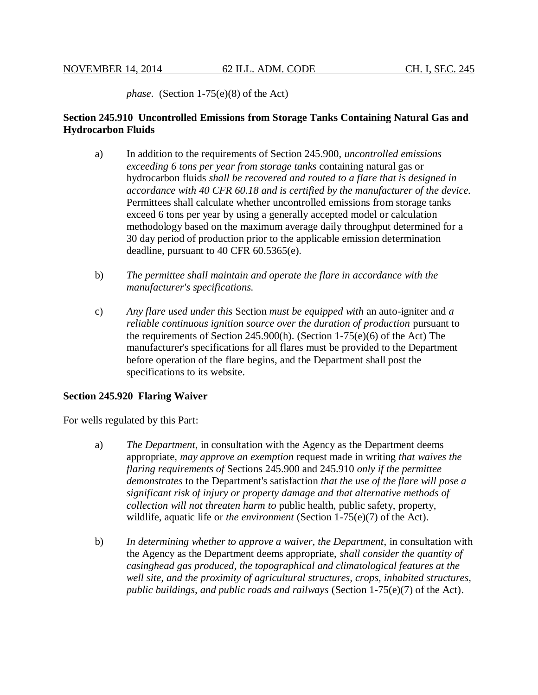*phase*. (Section 1-75(e)(8) of the Act)

# **Section 245.910 Uncontrolled Emissions from Storage Tanks Containing Natural Gas and Hydrocarbon Fluids**

- a) In addition to the requirements of Section 245.900, *uncontrolled emissions exceeding 6 tons per year from storage tanks* containing natural gas or hydrocarbon fluids *shall be recovered and routed to a flare that is designed in accordance with 40 CFR 60.18 and is certified by the manufacturer of the device.* Permittees shall calculate whether uncontrolled emissions from storage tanks exceed 6 tons per year by using a generally accepted model or calculation methodology based on the maximum average daily throughput determined for a 30 day period of production prior to the applicable emission determination deadline, pursuant to 40 CFR 60.5365(e).
- b) *The permittee shall maintain and operate the flare in accordance with the manufacturer's specifications.*
- c) *Any flare used under this* Section *must be equipped with* an auto-igniter and *a reliable continuous ignition source over the duration of production* pursuant to the requirements of Section 245.900(h). (Section 1-75(e)(6) of the Act) The manufacturer's specifications for all flares must be provided to the Department before operation of the flare begins, and the Department shall post the specifications to its website.

## **Section 245.920 Flaring Waiver**

For wells regulated by this Part:

- a) *The Department*, in consultation with the Agency as the Department deems appropriate, *may approve an exemption* request made in writing *that waives the flaring requirements of* Sections 245.900 and 245.910 *only if the permittee demonstrates* to the Department's satisfaction *that the use of the flare will pose a significant risk of injury or property damage and that alternative methods of collection will not threaten harm to* public health, public safety, property, wildlife, aquatic life or *the environment* (Section 1-75(e)(7) of the Act).
- b) *In determining whether to approve a waiver, the Department*, in consultation with the Agency as the Department deems appropriate, *shall consider the quantity of casinghead gas produced, the topographical and climatological features at the well site, and the proximity of agricultural structures, crops, inhabited structures, public buildings, and public roads and railways* (Section 1-75(e)(7) of the Act).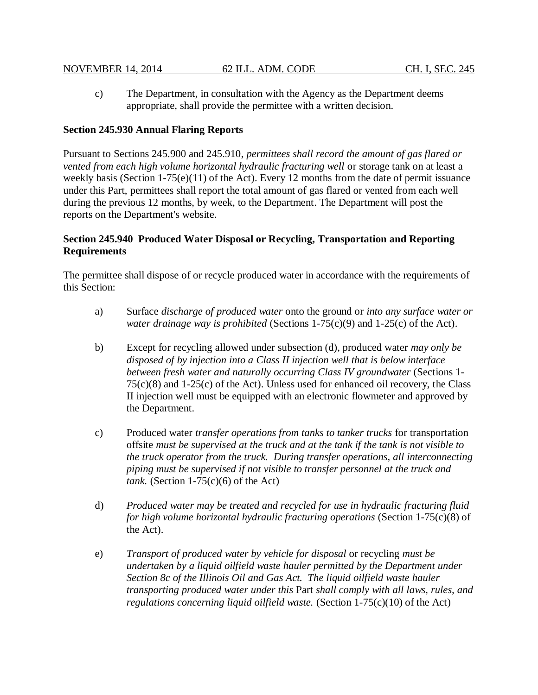c) The Department, in consultation with the Agency as the Department deems appropriate, shall provide the permittee with a written decision.

## **Section 245.930 Annual Flaring Reports**

Pursuant to Sections 245.900 and 245.910, *permittees shall record the amount of gas flared or*  vented from each high volume horizontal hydraulic fracturing well or storage tank on at least a weekly basis (Section 1-75(e)(11) of the Act). Every 12 months from the date of permit issuance under this Part, permittees shall report the total amount of gas flared or vented from each well during the previous 12 months, by week, to the Department. The Department will post the reports on the Department's website.

# **Section 245.940 Produced Water Disposal or Recycling, Transportation and Reporting Requirements**

The permittee shall dispose of or recycle produced water in accordance with the requirements of this Section:

- a) Surface *discharge of produced water* onto the ground or *into any surface water or water drainage way is prohibited* (Sections 1-75(c)(9) and 1-25(c) of the Act).
- b) Except for recycling allowed under subsection (d), produced water *may only be disposed of by injection into a Class II injection well that is below interface between fresh water and naturally occurring Class IV groundwater* (Sections 1- 75(c)(8) and 1-25(c) of the Act). Unless used for enhanced oil recovery, the Class II injection well must be equipped with an electronic flowmeter and approved by the Department.
- c) Produced water *transfer operations from tanks to tanker trucks* for transportation offsite *must be supervised at the truck and at the tank if the tank is not visible to the truck operator from the truck. During transfer operations, all interconnecting piping must be supervised if not visible to transfer personnel at the truck and tank.* (Section  $1-75(c)(6)$  of the Act)
- d) *Produced water may be treated and recycled for use in hydraulic fracturing fluid for high volume horizontal hydraulic fracturing operations* (Section 1-75(c)(8) of the Act).
- e) *Transport of produced water by vehicle for disposal* or recycling *must be undertaken by a liquid oilfield waste hauler permitted by the Department under Section 8c of the Illinois Oil and Gas Act. The liquid oilfield waste hauler transporting produced water under this* Part *shall comply with all laws, rules, and regulations concerning liquid oilfield waste.* (Section 1-75(c)(10) of the Act)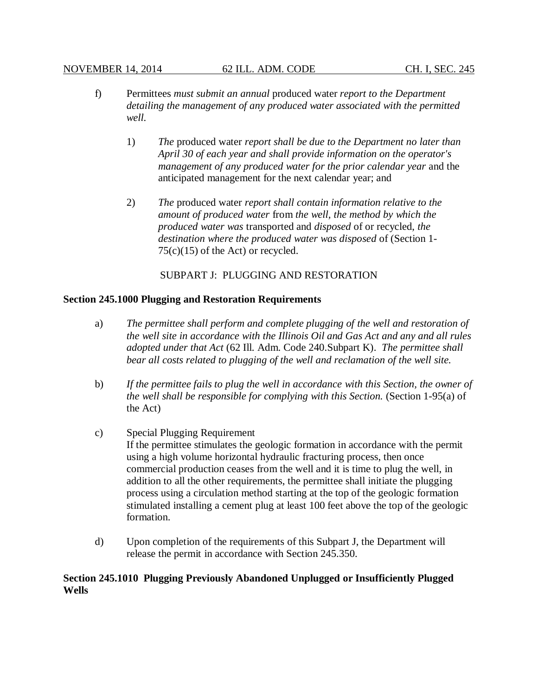#### NOVEMBER 14, 2014 62 ILL. ADM. CODE CH. I, SEC. 245

- f) Permittees *must submit an annual* produced water *report to the Department detailing the management of any produced water associated with the permitted well.*
	- 1) *The* produced water *report shall be due to the Department no later than April 30 of each year and shall provide information on the operator's management of any produced water for the prior calendar year* and the anticipated management for the next calendar year; and
	- 2) *The* produced water *report shall contain information relative to the amount of produced water* from *the well, the method by which the produced water was* transported and *disposed* of or recycled, *the destination where the produced water was disposed* of (Section 1-  $75(c)(15)$  of the Act) or recycled.

SUBPART J: PLUGGING AND RESTORATION

#### **Section 245.1000 Plugging and Restoration Requirements**

- a) *The permittee shall perform and complete plugging of the well and restoration of the well site in accordance with the Illinois Oil and Gas Act and any and all rules adopted under that Act* (62 Ill. Adm. Code 240.Subpart K). *The permittee shall bear all costs related to plugging of the well and reclamation of the well site.*
- b) *If the permittee fails to plug the well in accordance with this Section, the owner of the well shall be responsible for complying with this Section.* (Section 1-95(a) of the Act)
- c) Special Plugging Requirement If the permittee stimulates the geologic formation in accordance with the permit using a high volume horizontal hydraulic fracturing process, then once commercial production ceases from the well and it is time to plug the well, in addition to all the other requirements, the permittee shall initiate the plugging process using a circulation method starting at the top of the geologic formation stimulated installing a cement plug at least 100 feet above the top of the geologic formation.
- d) Upon completion of the requirements of this Subpart J, the Department will release the permit in accordance with Section 245.350.

## **Section 245.1010 Plugging Previously Abandoned Unplugged or Insufficiently Plugged Wells**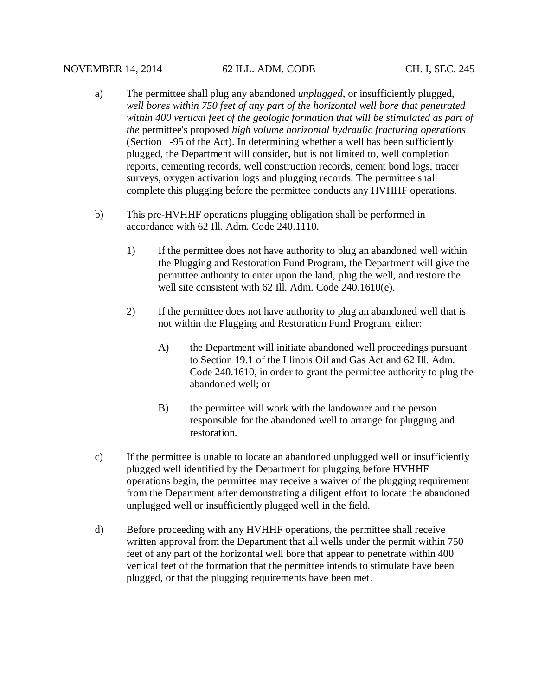#### NOVEMBER 14, 2014 62 ILL. ADM. CODE CH. I, SEC. 245

- a) The permittee shall plug any abandoned *unplugged*, or insufficiently plugged, *well bores within 750 feet of any part of the horizontal well bore that penetrated*  within 400 vertical feet of the geologic formation that will be stimulated as part of *the* permittee's proposed *high volume horizontal hydraulic fracturing operations* (Section 1-95 of the Act). In determining whether a well has been sufficiently plugged, the Department will consider, but is not limited to, well completion reports, cementing records, well construction records, cement bond logs, tracer surveys, oxygen activation logs and plugging records. The permittee shall complete this plugging before the permittee conducts any HVHHF operations.
- b) This pre-HVHHF operations plugging obligation shall be performed in accordance with 62 Ill. Adm. Code 240.1110.
	- 1) If the permittee does not have authority to plug an abandoned well within the Plugging and Restoration Fund Program, the Department will give the permittee authority to enter upon the land, plug the well, and restore the well site consistent with 62 Ill. Adm. Code 240.1610(e).
	- 2) If the permittee does not have authority to plug an abandoned well that is not within the Plugging and Restoration Fund Program, either:
		- A) the Department will initiate abandoned well proceedings pursuant to Section 19.1 of the Illinois Oil and Gas Act and 62 Ill. Adm. Code 240.1610, in order to grant the permittee authority to plug the abandoned well; or
		- B) the permittee will work with the landowner and the person responsible for the abandoned well to arrange for plugging and restoration.
- c) If the permittee is unable to locate an abandoned unplugged well or insufficiently plugged well identified by the Department for plugging before HVHHF operations begin, the permittee may receive a waiver of the plugging requirement from the Department after demonstrating a diligent effort to locate the abandoned unplugged well or insufficiently plugged well in the field.
- d) Before proceeding with any HVHHF operations, the permittee shall receive written approval from the Department that all wells under the permit within 750 feet of any part of the horizontal well bore that appear to penetrate within 400 vertical feet of the formation that the permittee intends to stimulate have been plugged, or that the plugging requirements have been met.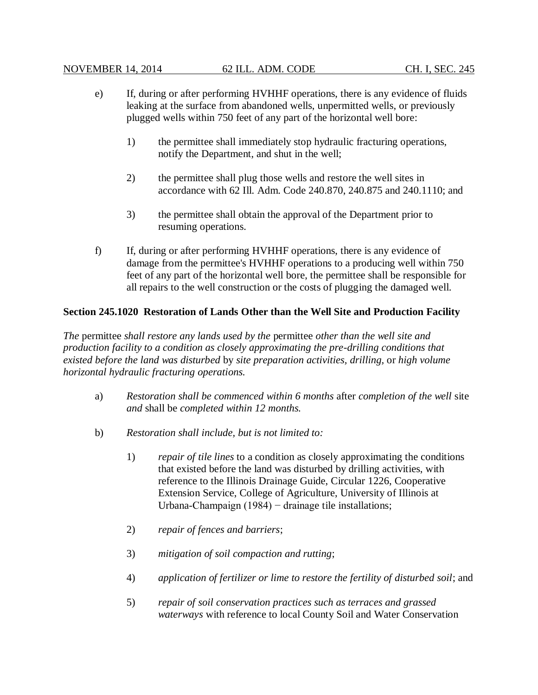#### NOVEMBER 14, 2014 62 ILL. ADM. CODE CH. I, SEC. 245

- e) If, during or after performing HVHHF operations, there is any evidence of fluids leaking at the surface from abandoned wells, unpermitted wells, or previously plugged wells within 750 feet of any part of the horizontal well bore:
	- 1) the permittee shall immediately stop hydraulic fracturing operations, notify the Department, and shut in the well;
	- 2) the permittee shall plug those wells and restore the well sites in accordance with 62 Ill. Adm. Code 240.870, 240.875 and 240.1110; and
	- 3) the permittee shall obtain the approval of the Department prior to resuming operations.
- f) If, during or after performing HVHHF operations, there is any evidence of damage from the permittee's HVHHF operations to a producing well within 750 feet of any part of the horizontal well bore, the permittee shall be responsible for all repairs to the well construction or the costs of plugging the damaged well.

## **Section 245.1020 Restoration of Lands Other than the Well Site and Production Facility**

*The* permittee *shall restore any lands used by the* permittee *other than the well site and production facility to a condition as closely approximating the pre-drilling conditions that existed before the land was disturbed* by *site preparation activities, drilling,* or *high volume horizontal hydraulic fracturing operations.* 

- a) *Restoration shall be commenced within 6 months* after *completion of the well* site *and* shall be *completed within 12 months.*
- b) *Restoration shall include, but is not limited to:*
	- 1) *repair of tile lines* to a condition as closely approximating the conditions that existed before the land was disturbed by drilling activities, with reference to the Illinois Drainage Guide, Circular 1226, Cooperative Extension Service, College of Agriculture, University of Illinois at Urbana-Champaign (1984) − drainage tile installations;
	- 2) *repair of fences and barriers*;
	- 3) *mitigation of soil compaction and rutting*;
	- 4) *application of fertilizer or lime to restore the fertility of disturbed soil*; and
	- 5) *repair of soil conservation practices such as terraces and grassed waterways* with reference to local County Soil and Water Conservation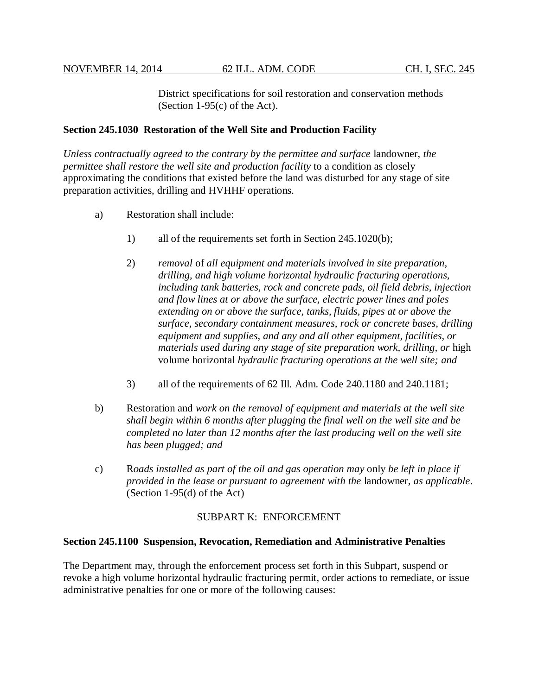District specifications for soil restoration and conservation methods (Section 1-95(c) of the Act).

## **Section 245.1030 Restoration of the Well Site and Production Facility**

*Unless contractually agreed to the contrary by the permittee and surface* landowner, *the permittee shall restore the well site and production facility* to a condition as closely approximating the conditions that existed before the land was disturbed for any stage of site preparation activities, drilling and HVHHF operations.

- a) Restoration shall include:
	- 1) all of the requirements set forth in Section 245.1020(b);
	- 2) *removal* of *all equipment and materials involved in site preparation, drilling, and high volume horizontal hydraulic fracturing operations, including tank batteries, rock and concrete pads, oil field debris, injection and flow lines at or above the surface, electric power lines and poles extending on or above the surface, tanks, fluids, pipes at or above the surface, secondary containment measures, rock or concrete bases, drilling equipment and supplies, and any and all other equipment, facilities, or materials used during any stage of site preparation work, drilling, or* high volume horizontal *hydraulic fracturing operations at the well site; and*
	- 3) all of the requirements of 62 Ill. Adm. Code 240.1180 and 240.1181;
- b) Restoration and *work on the removal of equipment and materials at the well site shall begin within 6 months after plugging the final well on the well site and be completed no later than 12 months after the last producing well on the well site has been plugged; and*
- c) R*oads installed as part of the oil and gas operation may* only *be left in place if provided in the lease or pursuant to agreement with the* landowner*, as applicable*. (Section 1-95(d) of the Act)

#### SUBPART K: ENFORCEMENT

#### **Section 245.1100 Suspension, Revocation, Remediation and Administrative Penalties**

The Department may, through the enforcement process set forth in this Subpart, suspend or revoke a high volume horizontal hydraulic fracturing permit, order actions to remediate, or issue administrative penalties for one or more of the following causes: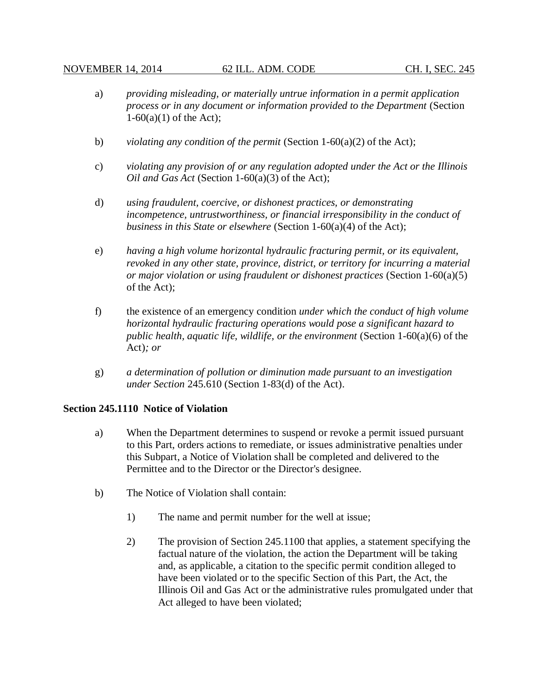- a) *providing misleading, or materially untrue information in a permit application process or in any document or information provided to the Department* (Section  $1-60(a)(1)$  of the Act):
- b) *violating any condition of the permit* (Section 1-60(a)(2) of the Act);
- c) *violating any provision of or any regulation adopted under the Act or the Illinois Oil and Gas Act* (Section 1-60(a)(3) of the Act);
- d) *using fraudulent, coercive, or dishonest practices, or demonstrating incompetence, untrustworthiness, or financial irresponsibility in the conduct of business in this State or elsewhere* (Section 1-60(a)(4) of the Act);
- e) *having a high volume horizontal hydraulic fracturing permit, or its equivalent, revoked in any other state, province, district, or territory for incurring a material or major violation or using fraudulent or dishonest practices* (Section 1-60(a)(5) of the Act);
- f) the existence of an emergency condition *under which the conduct of high volume horizontal hydraulic fracturing operations would pose a significant hazard to public health, aquatic life, wildlife, or the environment* (Section 1-60(a)(6) of the Act)*; or*
- g) *a determination of pollution or diminution made pursuant to an investigation under Section* 245.610 (Section 1-83(d) of the Act).

#### **Section 245.1110 Notice of Violation**

- a) When the Department determines to suspend or revoke a permit issued pursuant to this Part, orders actions to remediate, or issues administrative penalties under this Subpart, a Notice of Violation shall be completed and delivered to the Permittee and to the Director or the Director's designee.
- b) The Notice of Violation shall contain:
	- 1) The name and permit number for the well at issue;
	- 2) The provision of Section 245.1100 that applies, a statement specifying the factual nature of the violation, the action the Department will be taking and, as applicable, a citation to the specific permit condition alleged to have been violated or to the specific Section of this Part, the Act, the Illinois Oil and Gas Act or the administrative rules promulgated under that Act alleged to have been violated;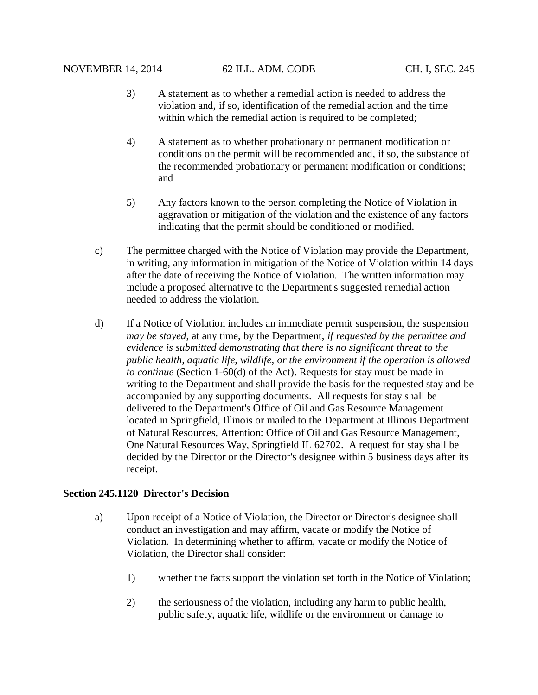- 3) A statement as to whether a remedial action is needed to address the violation and, if so, identification of the remedial action and the time within which the remedial action is required to be completed;
- 4) A statement as to whether probationary or permanent modification or conditions on the permit will be recommended and, if so, the substance of the recommended probationary or permanent modification or conditions; and
- 5) Any factors known to the person completing the Notice of Violation in aggravation or mitigation of the violation and the existence of any factors indicating that the permit should be conditioned or modified.
- c) The permittee charged with the Notice of Violation may provide the Department, in writing, any information in mitigation of the Notice of Violation within 14 days after the date of receiving the Notice of Violation. The written information may include a proposed alternative to the Department's suggested remedial action needed to address the violation.
- d) If a Notice of Violation includes an immediate permit suspension, the suspension *may be stayed*, at any time, by the Department, *if requested by the permittee and evidence is submitted demonstrating that there is no significant threat to the public health, aquatic life, wildlife, or the environment if the operation is allowed to continue* (Section 1-60(d) of the Act). Requests for stay must be made in writing to the Department and shall provide the basis for the requested stay and be accompanied by any supporting documents. All requests for stay shall be delivered to the Department's Office of Oil and Gas Resource Management located in Springfield, Illinois or mailed to the Department at Illinois Department of Natural Resources, Attention: Office of Oil and Gas Resource Management, One Natural Resources Way, Springfield IL 62702. A request for stay shall be decided by the Director or the Director's designee within 5 business days after its receipt.

## **Section 245.1120 Director's Decision**

- a) Upon receipt of a Notice of Violation, the Director or Director's designee shall conduct an investigation and may affirm, vacate or modify the Notice of Violation. In determining whether to affirm, vacate or modify the Notice of Violation, the Director shall consider:
	- 1) whether the facts support the violation set forth in the Notice of Violation;
	- 2) the seriousness of the violation, including any harm to public health, public safety, aquatic life, wildlife or the environment or damage to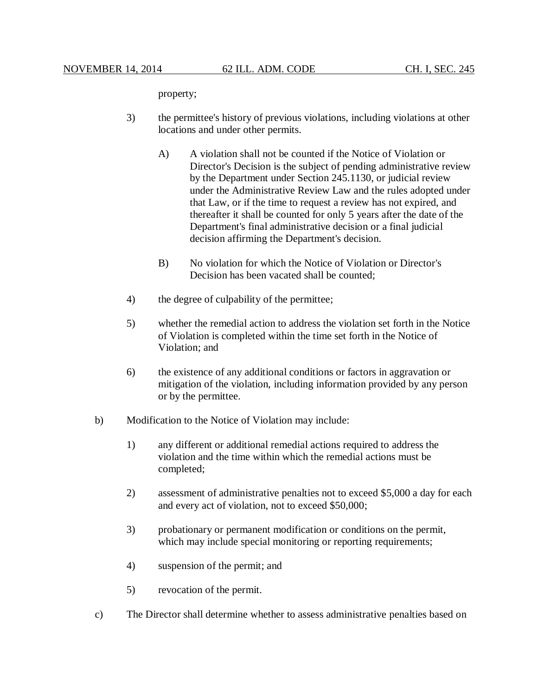property;

- 3) the permittee's history of previous violations, including violations at other locations and under other permits.
	- A) A violation shall not be counted if the Notice of Violation or Director's Decision is the subject of pending administrative review by the Department under Section 245.1130, or judicial review under the Administrative Review Law and the rules adopted under that Law, or if the time to request a review has not expired, and thereafter it shall be counted for only 5 years after the date of the Department's final administrative decision or a final judicial decision affirming the Department's decision.
	- B) No violation for which the Notice of Violation or Director's Decision has been vacated shall be counted;
- 4) the degree of culpability of the permittee;
- 5) whether the remedial action to address the violation set forth in the Notice of Violation is completed within the time set forth in the Notice of Violation; and
- 6) the existence of any additional conditions or factors in aggravation or mitigation of the violation, including information provided by any person or by the permittee.
- b) Modification to the Notice of Violation may include:
	- 1) any different or additional remedial actions required to address the violation and the time within which the remedial actions must be completed;
	- 2) assessment of administrative penalties not to exceed \$5,000 a day for each and every act of violation, not to exceed \$50,000;
	- 3) probationary or permanent modification or conditions on the permit, which may include special monitoring or reporting requirements;
	- 4) suspension of the permit; and
	- 5) revocation of the permit.
- c) The Director shall determine whether to assess administrative penalties based on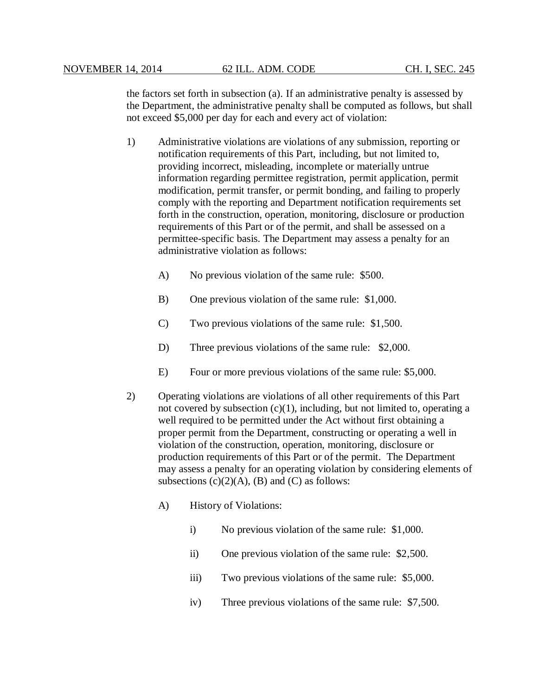the factors set forth in subsection (a). If an administrative penalty is assessed by the Department, the administrative penalty shall be computed as follows, but shall not exceed \$5,000 per day for each and every act of violation:

- 1) Administrative violations are violations of any submission, reporting or notification requirements of this Part, including, but not limited to, providing incorrect, misleading, incomplete or materially untrue information regarding permittee registration, permit application, permit modification, permit transfer, or permit bonding, and failing to properly comply with the reporting and Department notification requirements set forth in the construction, operation, monitoring, disclosure or production requirements of this Part or of the permit, and shall be assessed on a permittee-specific basis. The Department may assess a penalty for an administrative violation as follows:
	- A) No previous violation of the same rule: \$500.
	- B) One previous violation of the same rule: \$1,000.
	- C) Two previous violations of the same rule: \$1,500.
	- D) Three previous violations of the same rule: \$2,000.
	- E) Four or more previous violations of the same rule: \$5,000.
- 2) Operating violations are violations of all other requirements of this Part not covered by subsection  $(c)(1)$ , including, but not limited to, operating a well required to be permitted under the Act without first obtaining a proper permit from the Department, constructing or operating a well in violation of the construction, operation, monitoring, disclosure or production requirements of this Part or of the permit. The Department may assess a penalty for an operating violation by considering elements of subsections  $(c)(2)(A)$ ,  $(B)$  and  $(C)$  as follows:
	- A) History of Violations:
		- i) No previous violation of the same rule: \$1,000.
		- ii) One previous violation of the same rule: \$2,500.
		- iii) Two previous violations of the same rule: \$5,000.
		- iv) Three previous violations of the same rule: \$7,500.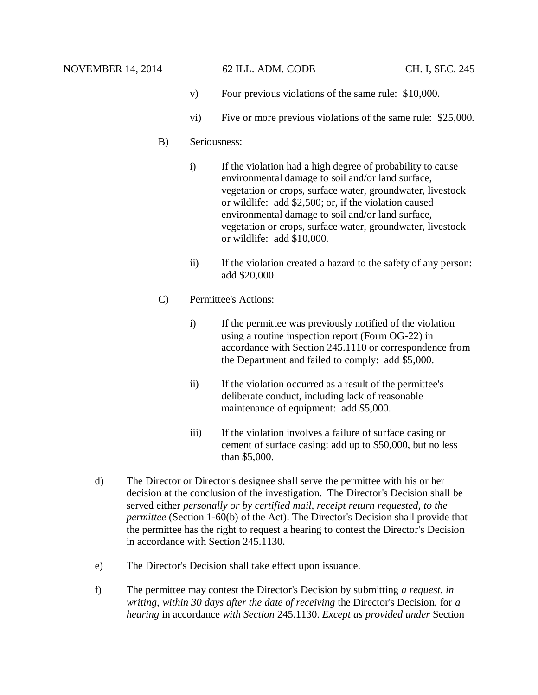- v) Four previous violations of the same rule: \$10,000.
- vi) Five or more previous violations of the same rule: \$25,000.
- B) Seriousness:
	- i) If the violation had a high degree of probability to cause environmental damage to soil and/or land surface, vegetation or crops, surface water, groundwater, livestock or wildlife: add \$2,500; or, if the violation caused environmental damage to soil and/or land surface, vegetation or crops, surface water, groundwater, livestock or wildlife: add \$10,000.
	- ii) If the violation created a hazard to the safety of any person: add \$20,000.
- C) Permittee's Actions:
	- i) If the permittee was previously notified of the violation using a routine inspection report (Form OG-22) in accordance with Section 245.1110 or correspondence from the Department and failed to comply: add \$5,000.
	- ii) If the violation occurred as a result of the permittee's deliberate conduct, including lack of reasonable maintenance of equipment: add \$5,000.
	- iii) If the violation involves a failure of surface casing or cement of surface casing: add up to \$50,000, but no less than \$5,000.
- d) The Director or Director's designee shall serve the permittee with his or her decision at the conclusion of the investigation. The Director's Decision shall be served either *personally or by certified mail, receipt return requested, to the permittee* (Section 1-60(b) of the Act). The Director's Decision shall provide that the permittee has the right to request a hearing to contest the Director's Decision in accordance with Section 245.1130.
- e) The Director's Decision shall take effect upon issuance.
- f) The permittee may contest the Director's Decision by submitting *a request, in writing, within 30 days after the date of receiving* the Director's Decision, for *a hearing* in accordance *with Section* 245.1130. *Except as provided under* Section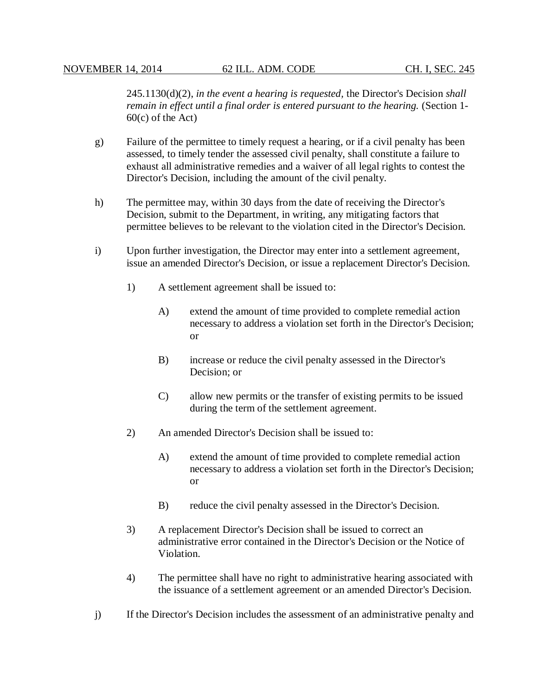245.1130(d)(2), *in the event a hearing is requested,* the Director's Decision *shall remain in effect until a final order is entered pursuant to the hearing.* (Section 1- 60(c) of the Act)

- g) Failure of the permittee to timely request a hearing, or if a civil penalty has been assessed, to timely tender the assessed civil penalty, shall constitute a failure to exhaust all administrative remedies and a waiver of all legal rights to contest the Director's Decision, including the amount of the civil penalty.
- h) The permittee may, within 30 days from the date of receiving the Director's Decision, submit to the Department, in writing, any mitigating factors that permittee believes to be relevant to the violation cited in the Director's Decision.
- i) Upon further investigation, the Director may enter into a settlement agreement, issue an amended Director's Decision, or issue a replacement Director's Decision.
	- 1) A settlement agreement shall be issued to:
		- A) extend the amount of time provided to complete remedial action necessary to address a violation set forth in the Director's Decision; or
		- B) increase or reduce the civil penalty assessed in the Director's Decision; or
		- C) allow new permits or the transfer of existing permits to be issued during the term of the settlement agreement.
	- 2) An amended Director's Decision shall be issued to:
		- A) extend the amount of time provided to complete remedial action necessary to address a violation set forth in the Director's Decision; or
		- B) reduce the civil penalty assessed in the Director's Decision.
	- 3) A replacement Director's Decision shall be issued to correct an administrative error contained in the Director's Decision or the Notice of Violation.
	- 4) The permittee shall have no right to administrative hearing associated with the issuance of a settlement agreement or an amended Director's Decision.
- j) If the Director's Decision includes the assessment of an administrative penalty and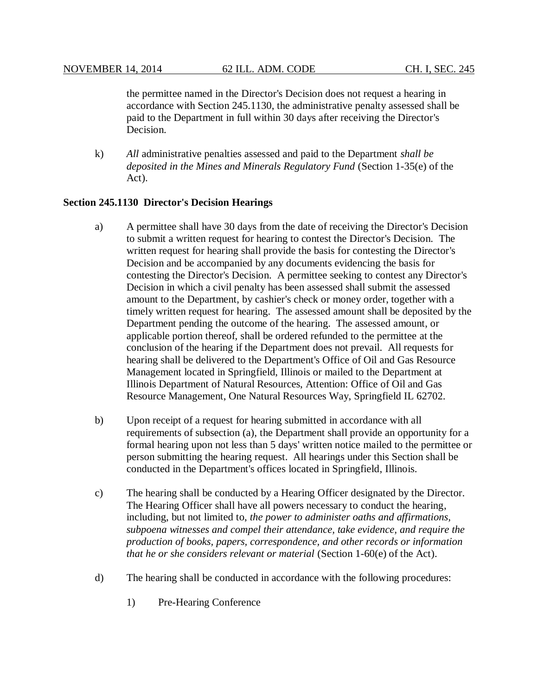the permittee named in the Director's Decision does not request a hearing in accordance with Section 245.1130, the administrative penalty assessed shall be paid to the Department in full within 30 days after receiving the Director's Decision.

k) *All* administrative penalties assessed and paid to the Department *shall be deposited in the Mines and Minerals Regulatory Fund* (Section 1-35(e) of the Act).

## **Section 245.1130 Director's Decision Hearings**

- a) A permittee shall have 30 days from the date of receiving the Director's Decision to submit a written request for hearing to contest the Director's Decision. The written request for hearing shall provide the basis for contesting the Director's Decision and be accompanied by any documents evidencing the basis for contesting the Director's Decision. A permittee seeking to contest any Director's Decision in which a civil penalty has been assessed shall submit the assessed amount to the Department, by cashier's check or money order, together with a timely written request for hearing. The assessed amount shall be deposited by the Department pending the outcome of the hearing. The assessed amount, or applicable portion thereof, shall be ordered refunded to the permittee at the conclusion of the hearing if the Department does not prevail. All requests for hearing shall be delivered to the Department's Office of Oil and Gas Resource Management located in Springfield, Illinois or mailed to the Department at Illinois Department of Natural Resources, Attention: Office of Oil and Gas Resource Management, One Natural Resources Way, Springfield IL 62702.
- b) Upon receipt of a request for hearing submitted in accordance with all requirements of subsection (a), the Department shall provide an opportunity for a formal hearing upon not less than 5 days' written notice mailed to the permittee or person submitting the hearing request. All hearings under this Section shall be conducted in the Department's offices located in Springfield, Illinois.
- c) The hearing shall be conducted by a Hearing Officer designated by the Director. The Hearing Officer shall have all powers necessary to conduct the hearing, including, but not limited to, *the power to administer oaths and affirmations, subpoena witnesses and compel their attendance, take evidence, and require the production of books, papers, correspondence, and other records or information that he or she considers relevant or material* (Section 1-60(e) of the Act).
- d) The hearing shall be conducted in accordance with the following procedures:
	- 1) Pre-Hearing Conference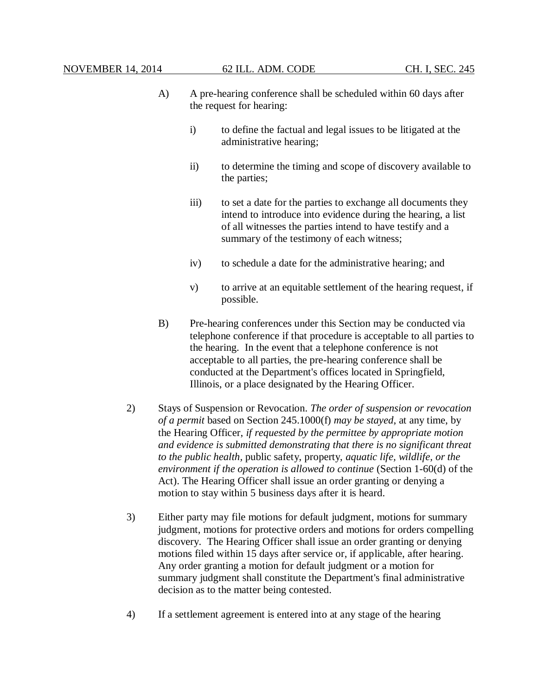- A) A pre-hearing conference shall be scheduled within 60 days after the request for hearing:
	- i) to define the factual and legal issues to be litigated at the administrative hearing;
	- ii) to determine the timing and scope of discovery available to the parties;
	- iii) to set a date for the parties to exchange all documents they intend to introduce into evidence during the hearing, a list of all witnesses the parties intend to have testify and a summary of the testimony of each witness;
	- iv) to schedule a date for the administrative hearing; and
	- v) to arrive at an equitable settlement of the hearing request, if possible.
- B) Pre-hearing conferences under this Section may be conducted via telephone conference if that procedure is acceptable to all parties to the hearing. In the event that a telephone conference is not acceptable to all parties, the pre-hearing conference shall be conducted at the Department's offices located in Springfield, Illinois, or a place designated by the Hearing Officer.
- 2) Stays of Suspension or Revocation. *The order of suspension or revocation of a permit* based on Section 245.1000(f) *may be stayed*, at any time, by the Hearing Officer, *if requested by the permittee by appropriate motion and evidence is submitted demonstrating that there is no significant threat to the public health,* public safety, property, *aquatic life, wildlife, or the environment if the operation is allowed to continue* (Section 1-60(d) of the Act). The Hearing Officer shall issue an order granting or denying a motion to stay within 5 business days after it is heard.
- 3) Either party may file motions for default judgment, motions for summary judgment, motions for protective orders and motions for orders compelling discovery. The Hearing Officer shall issue an order granting or denying motions filed within 15 days after service or, if applicable, after hearing. Any order granting a motion for default judgment or a motion for summary judgment shall constitute the Department's final administrative decision as to the matter being contested.
- 4) If a settlement agreement is entered into at any stage of the hearing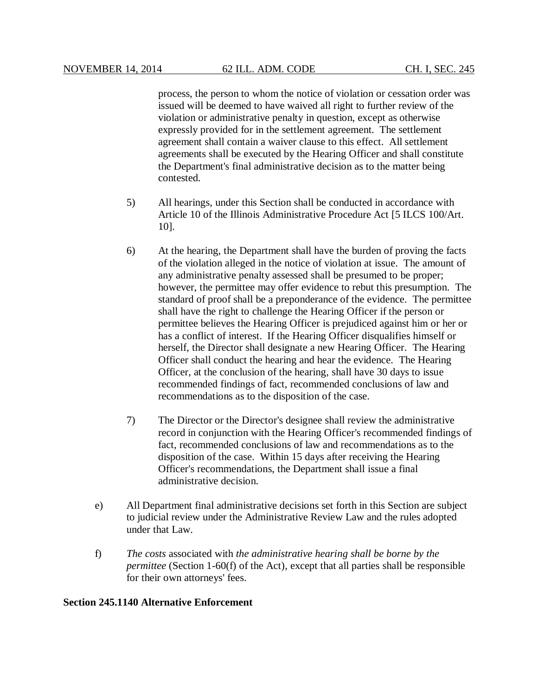process, the person to whom the notice of violation or cessation order was issued will be deemed to have waived all right to further review of the violation or administrative penalty in question, except as otherwise expressly provided for in the settlement agreement. The settlement agreement shall contain a waiver clause to this effect. All settlement agreements shall be executed by the Hearing Officer and shall constitute the Department's final administrative decision as to the matter being contested.

- 5) All hearings, under this Section shall be conducted in accordance with Article 10 of the Illinois Administrative Procedure Act [5 ILCS 100/Art. 10].
- 6) At the hearing, the Department shall have the burden of proving the facts of the violation alleged in the notice of violation at issue. The amount of any administrative penalty assessed shall be presumed to be proper; however, the permittee may offer evidence to rebut this presumption. The standard of proof shall be a preponderance of the evidence. The permittee shall have the right to challenge the Hearing Officer if the person or permittee believes the Hearing Officer is prejudiced against him or her or has a conflict of interest. If the Hearing Officer disqualifies himself or herself, the Director shall designate a new Hearing Officer. The Hearing Officer shall conduct the hearing and hear the evidence. The Hearing Officer, at the conclusion of the hearing, shall have 30 days to issue recommended findings of fact, recommended conclusions of law and recommendations as to the disposition of the case.
- 7) The Director or the Director's designee shall review the administrative record in conjunction with the Hearing Officer's recommended findings of fact, recommended conclusions of law and recommendations as to the disposition of the case. Within 15 days after receiving the Hearing Officer's recommendations, the Department shall issue a final administrative decision.
- e) All Department final administrative decisions set forth in this Section are subject to judicial review under the Administrative Review Law and the rules adopted under that Law.
- f) *The costs* associated with *the administrative hearing shall be borne by the permittee* (Section 1-60(f) of the Act), except that all parties shall be responsible for their own attorneys' fees.

#### **Section 245.1140 Alternative Enforcement**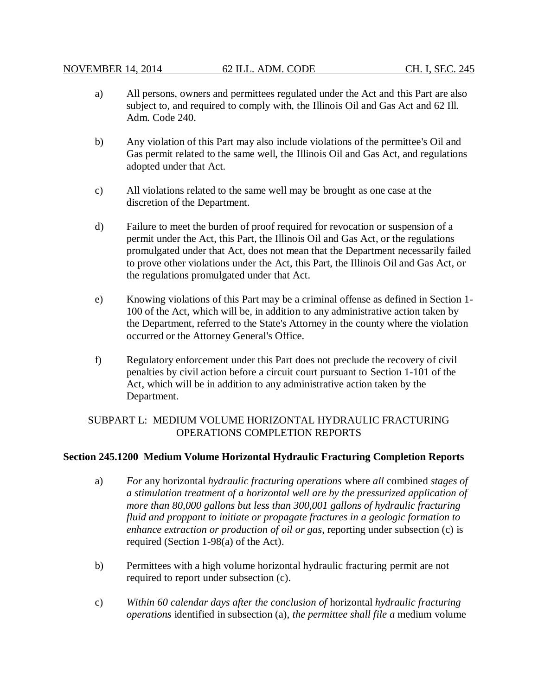- a) All persons, owners and permittees regulated under the Act and this Part are also subject to, and required to comply with, the Illinois Oil and Gas Act and 62 Ill. Adm. Code 240.
- b) Any violation of this Part may also include violations of the permittee's Oil and Gas permit related to the same well, the Illinois Oil and Gas Act, and regulations adopted under that Act.
- c) All violations related to the same well may be brought as one case at the discretion of the Department.
- d) Failure to meet the burden of proof required for revocation or suspension of a permit under the Act, this Part, the Illinois Oil and Gas Act, or the regulations promulgated under that Act, does not mean that the Department necessarily failed to prove other violations under the Act, this Part, the Illinois Oil and Gas Act, or the regulations promulgated under that Act.
- e) Knowing violations of this Part may be a criminal offense as defined in Section 1- 100 of the Act, which will be, in addition to any administrative action taken by the Department, referred to the State's Attorney in the county where the violation occurred or the Attorney General's Office.
- f) Regulatory enforcement under this Part does not preclude the recovery of civil penalties by civil action before a circuit court pursuant to Section 1-101 of the Act, which will be in addition to any administrative action taken by the Department.

# SUBPART L: MEDIUM VOLUME HORIZONTAL HYDRAULIC FRACTURING OPERATIONS COMPLETION REPORTS

## **Section 245.1200 Medium Volume Horizontal Hydraulic Fracturing Completion Reports**

- a) *For* any horizontal *hydraulic fracturing operations* where *all* combined *stages of a stimulation treatment of a horizontal well are by the pressurized application of more than 80,000 gallons but less than 300,001 gallons of hydraulic fracturing fluid and proppant to initiate or propagate fractures in a geologic formation to enhance extraction or production of oil or gas*, reporting under subsection (c) is required (Section 1-98(a) of the Act).
- b) Permittees with a high volume horizontal hydraulic fracturing permit are not required to report under subsection (c).
- c) *Within 60 calendar days after the conclusion of* horizontal *hydraulic fracturing operations* identified in subsection (a), *the permittee shall file a* medium volume